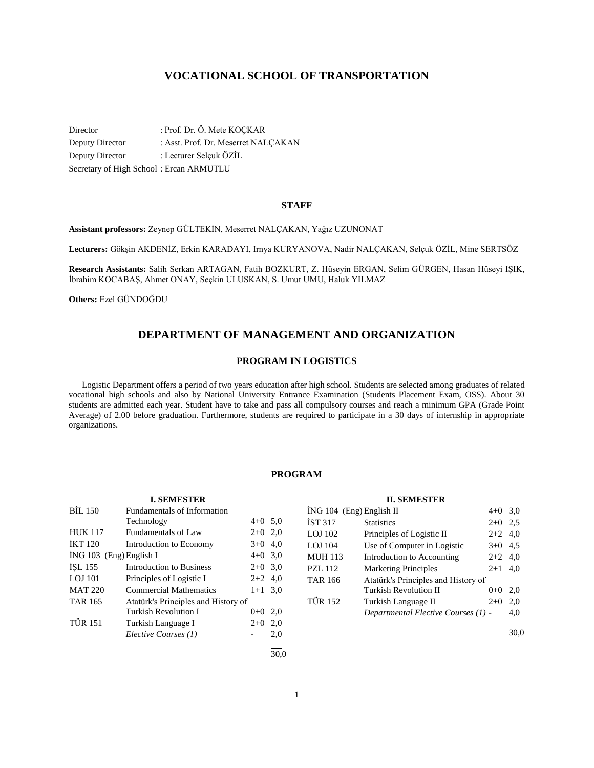# **VOCATIONAL SCHOOL OF TRANSPORTATION**

Director : Prof. Dr. Ö. Mete KOÇKAR Deputy Director : Asst. Prof. Dr. Meserret NALÇAKAN Deputy Director : Lecturer Selçuk ÖZİL Secretary of High School : Ercan ARMUTLU

## **STAFF**

**Assistant professors:** Zeynep GÜLTEKİN, Meserret NALÇAKAN, Yağız UZUNONAT

**Lecturers:** Gökşin AKDENİZ, Erkin KARADAYI, Irnya KURYANOVA, Nadir NALÇAKAN, Selçuk ÖZİL, Mine SERTSÖZ

**Research Assistants:** Salih Serkan ARTAGAN, Fatih BOZKURT, Z. Hüseyin ERGAN, Selim GÜRGEN, Hasan Hüseyi IŞIK, İbrahim KOCABAŞ, Ahmet ONAY, Seçkin ULUSKAN, S. Umut UMU, Haluk YILMAZ

**Others:** Ezel GÜNDOĞDU

# **DEPARTMENT OF MANAGEMENT AND ORGANIZATION**

#### **PROGRAM IN LOGISTICS**

 Logistic Department offers a period of two years education after high school. Students are selected among graduates of related vocational high schools and also by National University Entrance Examination (Students Placement Exam, OSS). About 30 students are admitted each year. Student have to take and pass all compulsory courses and reach a minimum GPA (Grade Point Average) of 2.00 before graduation. Furthermore, students are required to participate in a 30 days of internship in appropriate organizations.

## **PROGRAM**

|  | <b>I. SEMESTER</b>   |  |
|--|----------------------|--|
|  | ndomontolo of Inform |  |

| <b>BIL 150</b>            | Fundamentals of Information         |           |     |
|---------------------------|-------------------------------------|-----------|-----|
|                           | Technology                          | $4+0$ 5.0 |     |
| <b>HUK 117</b>            | <b>Fundamentals of Law</b>          | $2+0$     | 2.0 |
| <b>IKT 120</b>            | Introduction to Economy             | $3+0$     | 4,0 |
| $ING 103$ (Eng) English I |                                     | $4+0$ 3,0 |     |
| ISL 155                   | Introduction to Business            | $2+0$     | 3,0 |
| LOJ 101                   | Principles of Logistic I            | $2+2$ 4.0 |     |
| <b>MAT 220</b>            | <b>Commercial Mathematics</b>       | $1 + 1$   | 3.0 |
| <b>TAR 165</b>            | Atatürk's Principles and History of |           |     |
|                           | Turkish Revolution I                | $0 + 0$   | 2,0 |
| <b>TÜR 151</b>            | Turkish Language I                  | $2+0$     | 2,0 |
|                           | Elective Courses (1)                |           | 2,0 |
|                           |                                     |           |     |

|                            | п. эрипрэни                         |           |     |
|----------------------------|-------------------------------------|-----------|-----|
| $ING 104$ (Eng) English II |                                     | $4 + 0$   | 3,0 |
| <b>IST 317</b>             | <b>Statistics</b>                   | $2+0$     | 2.5 |
| LOJ 102                    | Principles of Logistic II           | $2+2$ 4,0 |     |
| LOJ 104                    | Use of Computer in Logistic         | $3+0$ 4.5 |     |
| <b>MUH 113</b>             | Introduction to Accounting          | $2+2$ 4,0 |     |
| <b>PZL 112</b>             | <b>Marketing Principles</b>         | $2 + 1$   | 4.0 |
| <b>TAR 166</b>             | Atatürk's Principles and History of |           |     |
|                            | Turkish Revolution II               | $0 + 0$   | 2,0 |
| <b>TÜR 152</b>             | Turkish Language II                 | $2+0$     | 2,0 |
|                            | Departmental Elective Courses (1) - |           | 4.0 |
|                            |                                     |           |     |

**II. SEMESTER**

30,0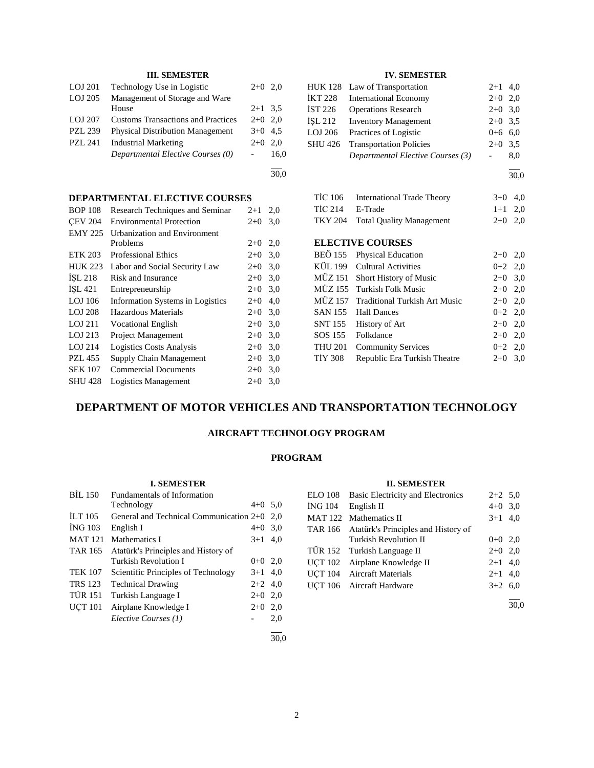# **III. SEMESTER**

| LOJ 201        | Technology Use in Logistic                | $2+0$ 2,0 |      |
|----------------|-------------------------------------------|-----------|------|
| LOJ 205        | Management of Storage and Ware            |           |      |
|                | House                                     | $2+1$ 3.5 |      |
| LOJ 207        | <b>Customs Transactions and Practices</b> | $2+0$ 2.0 |      |
| <b>PZL 239</b> | <b>Physical Distribution Management</b>   | $3+0$ 4.5 |      |
| <b>PZL 241</b> | <b>Industrial Marketing</b>               | $2+0$ 2,0 |      |
|                | Departmental Elective Courses (0)         |           | 16.0 |

30,0

l

# **DEPARTMENTAL ELECTIVE COURSES**

| <b>BOP 108</b> | Research Techniques and Seminar  | $2 + 1$ | 2,0 |
|----------------|----------------------------------|---------|-----|
| <b>CEV 204</b> | <b>Environmental Protection</b>  | $2+0$   | 3,0 |
| <b>EMY 225</b> | Urbanization and Environment     |         |     |
|                | Problems                         | $2+0$   | 2,0 |
| <b>ETK 203</b> | <b>Professional Ethics</b>       | $2+0$   | 3,0 |
| <b>HUK 223</b> | Labor and Social Security Law    | $2+0$   | 3,0 |
| <b>ISL 218</b> | Risk and Insurance               | $2+0$   | 3,0 |
| ISL 421        | Entrepreneurship                 | $2+0$   | 3,0 |
| LOJ 106        | Information Systems in Logistics | $2+0$   | 4,0 |
| <b>LOJ 208</b> | Hazardous Materials              | $2+0$   | 3,0 |
| $LOJ$ 211      | <b>Vocational English</b>        | $2+0$   | 3,0 |
| LOJ 213        | <b>Project Management</b>        | $2+0$   | 3,0 |
| LOJ 214        | <b>Logistics Costs Analysis</b>  | $2+0$   | 3,0 |
| <b>PZL 455</b> | Supply Chain Management          | $2+0$   | 3,0 |
| <b>SEK 107</b> | <b>Commercial Documents</b>      | $2+0$   | 3,0 |
| <b>SHU 428</b> | Logistics Management             | $2+0$   | 3,0 |

## **IV. SEMESTER**

|         | HUK 128 Law of Transportation     | $2+1$ 4,0 |     |
|---------|-----------------------------------|-----------|-----|
| İKT 228 | <b>International Economy</b>      | $2+0$ 2,0 |     |
| IST 226 | <b>Operations Research</b>        | $2+0$ 3,0 |     |
| İSL 212 | <b>Inventory Management</b>       | $2+0$ 3.5 |     |
| LOJ 206 | Practices of Logistic             | $0+6$ 6.0 |     |
| SHU 426 | <b>Transportation Policies</b>    | $2+0$ 3.5 |     |
|         | Departmental Elective Courses (3) |           | 8,0 |
|         |                                   |           |     |

 $\frac{1}{30,0}$ 

| TİC 106         | International Trade Theory       | $3+0$ 4.0 |  |
|-----------------|----------------------------------|-----------|--|
| TIC 214 E-Trade |                                  | $1+1$ 2.0 |  |
|                 | TKY 204 Total Quality Management | $2+0$ 2.0 |  |

# **ELECTIVE COURSES**

|                | BEÖ 155 Physical Education            | $2+0$ 2,0 |     |
|----------------|---------------------------------------|-----------|-----|
|                | KÜL 199 Cultural Activities           | $0+2$ 2,0 |     |
|                | MÜZ 151 Short History of Music        | $2+0$ 3,0 |     |
|                | MÜZ 155 Turkish Folk Music            | $2+0$ 2,0 |     |
|                | MÜZ 157 Traditional Turkish Art Music | $2+0$ 2,0 |     |
|                | SAN 155 Hall Dances                   | $0+2$ 2,0 |     |
|                | SNT 155 History of Art                | $2+0$ 2,0 |     |
|                | SOS 155 Folkdance                     | $2+0$ 2,0 |     |
| THU 201        | <b>Community Services</b>             | $0+2$ 2,0 |     |
| <b>TIY 308</b> | Republic Era Turkish Theatre          | $2+0$     | 3,0 |
|                |                                       |           |     |

# **DEPARTMENT OF MOTOR VEHICLES AND TRANSPORTATION TECHNOLOGY**

# **AIRCRAFT TECHNOLOGY PROGRAM**

## **PROGRAM**

### **I. SEMESTER**

| BIL 150        | Fundamentals of Information             |           |      |
|----------------|-----------------------------------------|-----------|------|
|                | Technology                              | $4+0$ 5.0 |      |
| <b>ILT 105</b> | General and Technical Communication 2+0 |           | 2.0  |
| <b>ING 103</b> | English I                               | $4 + 0$   | 3,0  |
| <b>MAT 121</b> | Mathematics I                           | $3+1$     | 4,0  |
| TAR 165        | Atatürk's Principles and History of     |           |      |
|                | Turkish Revolution I                    | $0+0$ 2,0 |      |
| <b>TEK 107</b> | Scientific Principles of Technology     | $3+1$ 4,0 |      |
| <b>TRS</b> 123 | <b>Technical Drawing</b>                | $2+2$ 4,0 |      |
| <b>TÜR 151</b> | Turkish Language I                      | $2+0$     | 2,0  |
| <b>UCT 101</b> | Airplane Knowledge I                    | $2+0$     | 2,0  |
|                | Elective Courses (1)                    |           | 2,0  |
|                |                                         |           | 30.0 |

### **II. SEMESTER**

|                | ELO 108 Basic Electricity and Electronics   | $2+2$ 5,0 |  |
|----------------|---------------------------------------------|-----------|--|
| <b>ING 104</b> | English II                                  | $4+0$ 3,0 |  |
|                | MAT 122 Mathematics II                      | $3+1$ 4,0 |  |
|                | TAR 166 Atatürk's Principles and History of |           |  |
|                | Turkish Revolution II                       | $0+0$ 2,0 |  |
|                | TÜR 152 Turkish Language II                 | $2+0$ 2,0 |  |
|                | UÇT 102 Airplane Knowledge II               | $2+1$ 4.0 |  |
|                | UCT 104 Aircraft Materials                  | $2+1$ 4,0 |  |
|                | UÇT 106 Aircraft Hardware                   | $3+2$ 6,0 |  |
|                |                                             |           |  |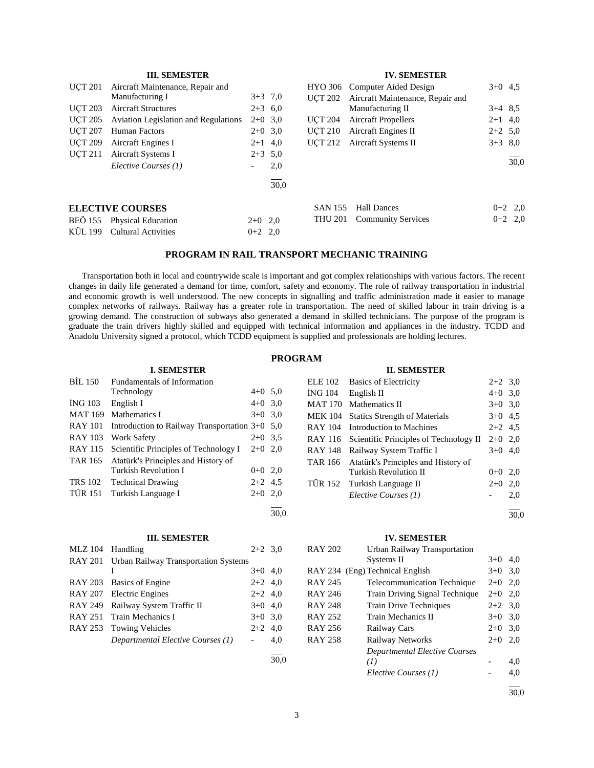|  | <b>III. SEMESTER</b> |
|--|----------------------|
|--|----------------------|

| <b>UCT 201</b> | Aircraft Maintenance, Repair and            |           |      |                | HYO 306 Computer Aided Design    | $3+0$ 4.5 |           |
|----------------|---------------------------------------------|-----------|------|----------------|----------------------------------|-----------|-----------|
|                | Manufacturing I                             | $3+3$ 7,0 |      | <b>UCT 202</b> | Aircraft Maintenance, Repair and |           |           |
| <b>UCT 203</b> | <b>Aircraft Structures</b>                  | $2+3$ 6.0 |      |                | Manufacturing II                 | $3+4$ 8.5 |           |
| <b>UCT 205</b> | <b>Aviation Legislation and Regulations</b> | $2+0$ 3.0 |      | UCT 204        | <b>Aircraft Propellers</b>       | $2+1$ 4,0 |           |
| <b>UCT 207</b> | Human Factors                               | $2+0$ 3.0 |      | <b>UCT 210</b> | Aircraft Engines II              | $2+2$ 5,0 |           |
| <b>UCT 209</b> | Aircraft Engines I                          | $2+1$ 4,0 |      | <b>UCT 212</b> | Aircraft Systems II              | $3+3$ 8.0 |           |
| <b>UCT 211</b> | Aircraft Systems I                          | $2+3$ 5.0 |      |                |                                  |           |           |
|                | Elective Courses (1)                        |           | 2,0  |                |                                  |           | 30,0      |
|                |                                             |           | 30.0 |                |                                  |           |           |
|                | <b>ELECTIVE COURSES</b>                     |           |      | <b>SAN 155</b> | <b>Hall Dances</b>               |           | $0+2$ 2.0 |
| <b>BEÖ</b> 155 | <b>Physical Education</b>                   | $2+0$ 2,0 |      | THU 201        | <b>Community Services</b>        |           | $0+2$ 2.0 |
| KÜL 199        | <b>Cultural Activities</b>                  | $0+2$ 2,0 |      |                |                                  |           |           |

### **PROGRAM IN RAIL TRANSPORT MECHANIC TRAINING**

 Transportation both in local and countrywide scale is important and got complex relationships with various factors. The recent changes in daily life generated a demand for time, comfort, safety and economy. The role of railway transportation in industrial and economic growth is well understood. The new concepts in signalling and traffic administration made it easier to manage complex networks of railways. Railway has a greater role in transportation. The need of skilled labour in train driving is a growing demand. The construction of subways also generated a demand in skilled technicians. The purpose of the program is graduate the train drivers highly skilled and equipped with technical information and appliances in the industry. TCDD and Anadolu University signed a protocol, which TCDD equipment is supplied and professionals are holding lectures.

#### **PROGRAM**

## **I. SEMESTER** BİL 150 Fundamentals of Information Technology 4+0 5,0  $i$ NG 103 English I 4+0 3,0 MAT 169 Mathematics I  $3+0$  3,0 RAY 101 Introduction to Railway Transportation 3+0 5,0 RAY 103 Work Safety 2+0 3,5 RAY 115 Scientific Principles of Technology I 2+0 2,0 TAR 165 Atatürk's Principles and History of Turkish Revolution I  $0+0$  2,0 TRS 102 Technical Drawing 2+2 4,5 TÜR 151 Turkish Language I  $2+0$  2,0  $\overline{a}$ 30,0

#### **III. SEMESTER**

| <b>MLZ</b> 104 | Handling                                     | $2+2$ 3.0 |     |
|----------------|----------------------------------------------|-----------|-----|
|                | RAY 201 Urban Railway Transportation Systems |           |     |
|                |                                              | $3+0$ 4,0 |     |
|                | RAY 203 Basics of Engine                     | $2+2$ 4,0 |     |
|                | RAY 207 Electric Engines                     | $2+2$ 4,0 |     |
| RAY 249        | Railway System Traffic II                    | $3+0$ 4.0 |     |
|                | RAY 251 Train Mechanics I                    | $3+0$ 3.0 |     |
| RAY 253        | <b>Towing Vehicles</b>                       | $2+2$ 4,0 |     |
|                | Departmental Elective Courses (1)            |           | 4,0 |
|                |                                              |           |     |

|         | <b>II. SEMESTER</b>                    |           |      |
|---------|----------------------------------------|-----------|------|
| ELE 102 | <b>Basics of Electricity</b>           | $2+2$ 3.0 |      |
| ÍNG 104 | English II                             | $4+0$ 3,0 |      |
| MAT 170 | Mathematics II                         | $3+0$ 3.0 |      |
| MEK 104 | <b>Statics Strength of Materials</b>   | $3+0$ 4.5 |      |
| RAY 104 | Introduction to Machines               | $2+2$ 4.5 |      |
| RAY 116 | Scientific Principles of Technology II | $2+0$ 2,0 |      |
| RAY 148 | Railway System Traffic I               | $3+0$ 4,0 |      |
| TAR 166 | Atatürk's Principles and History of    |           |      |
|         | Turkish Revolution II                  | $0+0$ 2,0 |      |
| TÜR 152 | Turkish Language II                    | $2+0$     | 2,0  |
|         | Elective Courses (1)                   |           | 2,0  |
|         |                                        |           | 30.0 |

**IV. SEMESTER**

#### **IV. SEMESTER**

| <b>RAY 202</b> | Urban Railway Transportation         |           |     |
|----------------|--------------------------------------|-----------|-----|
|                | Systems II                           | $3+0$     | 4.0 |
|                | RAY 234 (Eng) Technical English      | $3+0$ 3,0 |     |
| <b>RAY 245</b> | <b>Telecommunication Technique</b>   | $2+0$     | 2.0 |
| <b>RAY 246</b> | Train Driving Signal Technique       | $2+0$     | 2,0 |
| <b>RAY 248</b> | Train Drive Techniques               | $2+2$ 3,0 |     |
| <b>RAY 252</b> | Train Mechanics II                   | $3+0$     | 3,0 |
| RAY 256        | Railway Cars                         | $2+0$     | 3,0 |
| <b>RAY 258</b> | Railway Networks                     | $2+0$     | 2,0 |
|                | <b>Departmental Elective Courses</b> |           |     |
|                | (I)                                  |           | 4,0 |
|                | Elective Courses (1)                 |           | 4,0 |
|                |                                      |           |     |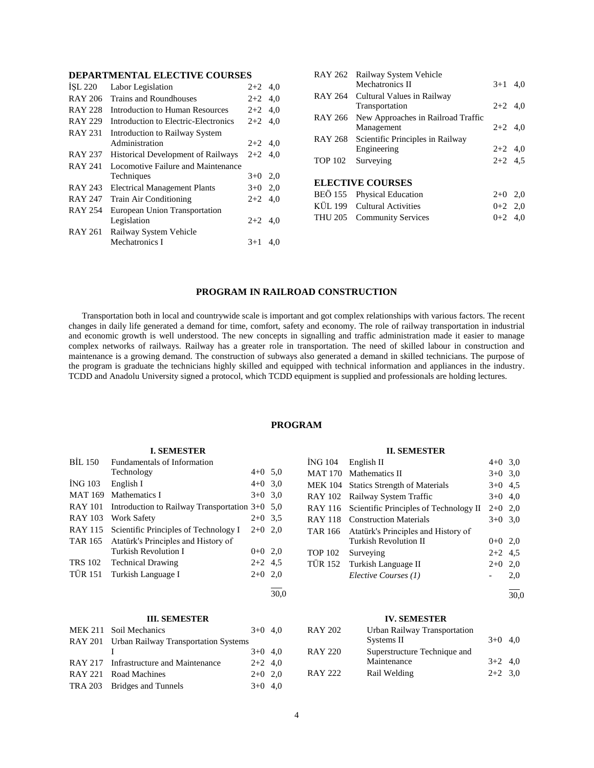## **DEPARTMENTAL ELECTIVE COURSES**

| ISL 220        | Labor Legislation                         | $2+2$     | 4.0 |
|----------------|-------------------------------------------|-----------|-----|
| <b>RAY 206</b> | Trains and Roundhouses                    | $2+2$ 4,0 |     |
| <b>RAY 228</b> | Introduction to Human Resources           | $2+2$ 4,0 |     |
| <b>RAY 229</b> | Introduction to Electric-Electronics      | $2+2$ 4.0 |     |
| <b>RAY 231</b> | Introduction to Railway System            |           |     |
|                | Administration                            | $2+2$ 4,0 |     |
| <b>RAY 237</b> | <b>Historical Development of Railways</b> | $2+2$ 4,0 |     |
| <b>RAY 241</b> | Locomotive Failure and Maintenance        |           |     |
|                | Techniques                                | $3+0$ 2,0 |     |
| <b>RAY 243</b> | <b>Electrical Management Plants</b>       | $3+0$ 2,0 |     |
| <b>RAY 247</b> | Train Air Conditioning                    | $2+2$     | 4,0 |
| <b>RAY 254</b> | European Union Transportation             |           |     |
|                | Legislation                               | $2+2$ 4.0 |     |
| <b>RAY 261</b> | Railway System Vehicle                    |           |     |
|                | Mechatronics I                            | $3+1$     | 4.0 |
|                |                                           |           |     |

|         | RAY 262 Railway System Vehicle<br>Mechatronics II | $3+1$ 4,0 |  |
|---------|---------------------------------------------------|-----------|--|
| RAY 264 | Cultural Values in Railway                        |           |  |
|         | Transportation                                    | $2+2$ 4.0 |  |
| RAY 266 | New Approaches in Railroad Traffic                |           |  |
|         | Management                                        | $2+2$ 4.0 |  |
| RAY 268 | Scientific Principles in Railway                  |           |  |
|         | Engineering                                       | $2+2$ 4,0 |  |
| TOP 102 | Surveying                                         | $2+2$ 4.5 |  |
|         | <b>ELECTIVE COURSES</b>                           |           |  |
|         | BEÖ 155 Physical Education                        | $2+0$ 2,0 |  |
|         | KÜL 199 Cultural Activities                       | $0+2$ 2,0 |  |
|         | THU 205 Community Services                        | $0+2$ 4.0 |  |
|         |                                                   |           |  |

#### **PROGRAM IN RAILROAD CONSTRUCTION**

 Transportation both in local and countrywide scale is important and got complex relationships with various factors. The recent changes in daily life generated a demand for time, comfort, safety and economy. The role of railway transportation in industrial and economic growth is well understood. The new concepts in signalling and traffic administration made it easier to manage complex networks of railways. Railway has a greater role in transportation. The need of skilled labour in construction and maintenance is a growing demand. The construction of subways also generated a demand in skilled technicians. The purpose of the program is graduate the technicians highly skilled and equipped with technical information and appliances in the industry. TCDD and Anadolu University signed a protocol, which TCDD equipment is supplied and professionals are holding lectures.

## **PROGRAM**

#### **I. SEMESTER**

| <b>BIL 150</b> | Fundamentals of Information                      |           |      |
|----------------|--------------------------------------------------|-----------|------|
|                | Technology                                       | $4+0$ 5.0 |      |
| ING 103        | English I                                        | $4+0$ 3.0 |      |
| <b>MAT 169</b> | Mathematics I                                    | $3+0$ 3.0 |      |
| <b>RAY 101</b> | Introduction to Railway Transportation $3+0$ 5,0 |           |      |
| <b>RAY 103</b> | Work Safety                                      | $2+0$ 3.5 |      |
| <b>RAY 115</b> | Scientific Principles of Technology I            | $2+0$ 2.0 |      |
| TAR 165        | Atatürk's Principles and History of              |           |      |
|                | Turkish Revolution I                             | $0+0$ 2.0 |      |
| <b>TRS 102</b> | <b>Technical Drawing</b>                         | $2+2$ 4.5 |      |
| <b>TÜR 151</b> | Turkish Language I                               | $2+0$ 2.0 |      |
|                |                                                  |           | 30.0 |

#### **III. SEMESTER**

| MEK 211 Soil Mechanics                       | $3+0$ 4.0 |  |
|----------------------------------------------|-----------|--|
| RAY 201 Urban Railway Transportation Systems |           |  |
|                                              | $3+0$ 4.0 |  |
| RAY 217 Infrastructure and Maintenance       | $2+2$ 4.0 |  |
| RAY 221 Road Machines                        | $2+0$ 2.0 |  |
| TRA 203 Bridges and Tunnels                  | $3+0$ 4.0 |  |

#### **II. SEMESTER**

| ING 104        | English II                             | $4+0$ 3,0 |     |
|----------------|----------------------------------------|-----------|-----|
|                | MAT 170 Mathematics II                 | $3+0$ 3,0 |     |
|                | MEK 104 Statics Strength of Materials  | $3+0$ 4.5 |     |
| <b>RAY 102</b> | Railway System Traffic                 | $3+0$ 4,0 |     |
| <b>RAY 116</b> | Scientific Principles of Technology II | $2+0$ 2,0 |     |
| <b>RAY 118</b> | <b>Construction Materials</b>          | $3+0$ 3.0 |     |
| <b>TAR 166</b> | Atatürk's Principles and History of    |           |     |
|                | Turkish Revolution II                  | $0+0$ 2.0 |     |
| <b>TOP 102</b> | Surveying                              | $2+2$ 4.5 |     |
|                | TÜR 152 Turkish Language II            | $2+0$     | 2,0 |
|                | Elective Courses (1)                   |           | 2,0 |
|                |                                        |           |     |

30,0

## **IV. SEMESTER**

| RAY 202 | Urban Railway Transportation |           |  |
|---------|------------------------------|-----------|--|
|         | Systems II                   | $3+0$ 4.0 |  |
| RAY 220 | Superstructure Technique and |           |  |
|         | Maintenance                  | $3+2$ 4.0 |  |
| RAY 222 | Rail Welding                 | $2+2$ 3.0 |  |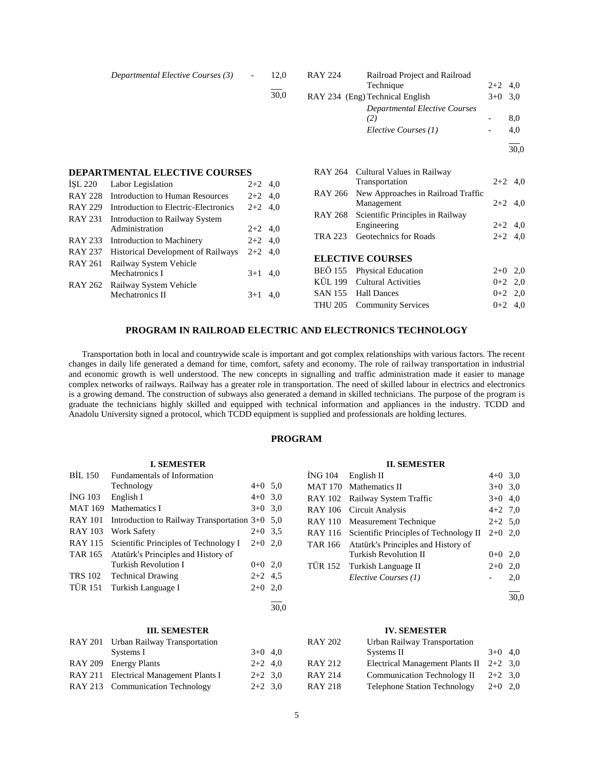|                           | Departmental Elective Courses (3)                            | $\overline{\phantom{0}}$ | 12,0 | <b>RAY 224</b> | Railroad Project and Railroad<br>Technique                   | $2+2$ 4,0                |            |
|---------------------------|--------------------------------------------------------------|--------------------------|------|----------------|--------------------------------------------------------------|--------------------------|------------|
|                           |                                                              |                          | 30,0 |                | RAY 234 (Eng) Technical English                              | $3+0$ 3.0                |            |
|                           |                                                              |                          |      |                | Departmental Elective Courses<br>(2)<br>Elective Courses (1) | $\overline{\phantom{a}}$ | 8,0<br>4,0 |
|                           |                                                              |                          |      |                |                                                              |                          | 30,0       |
|                           | <b>DEPARTMENTAL ELECTIVE COURSES</b>                         |                          |      | RAY 264        | Cultural Values in Railway                                   |                          |            |
| <b>ISL 220</b>            | Labor Legislation                                            | $2+2$ 4,0                |      |                | Transportation                                               |                          | $2+2$ 4.0  |
| <b>RAY 228</b>            | Introduction to Human Resources                              | $2+2$ 4,0                |      | RAY 266        | New Approaches in Railroad Traffic                           |                          |            |
| <b>RAY 229</b>            | Introduction to Electric-Electronics                         | $2+2$ 4,0                |      |                | Management                                                   | $2+2$                    | 4,0        |
| <b>RAY 231</b>            | Introduction to Railway System<br>Administration             | $2+2$ 4,0                |      | RAY 268        | Scientific Principles in Railway<br>Engineering              |                          | $2+2$ 4,0  |
| RAY 233                   | Introduction to Machinery                                    | $2+2$ 4,0                |      | TRA 223        | Geotechnics for Roads                                        |                          | $2+2$ 4,0  |
| <b>RAY 237</b><br>RAY 261 | Historical Development of Railways<br>Railway System Vehicle | $2+2$ 4,0                |      |                | <b>ELECTIVE COURSES</b>                                      |                          |            |

|  | ELECTIVE COURSES            |           |  |
|--|-----------------------------|-----------|--|
|  | BEÖ 155 Physical Education  | $2+0$ 2.0 |  |
|  | KÜL 199 Cultural Activities | $0+2$ 2.0 |  |
|  | SAN 155 Hall Dances         | $0+2$ 2.0 |  |
|  | THU 205 Community Services  | $0+2$ 4.0 |  |

#### **PROGRAM IN RAILROAD ELECTRIC AND ELECTRONICS TECHNOLOGY**

 Transportation both in local and countrywide scale is important and got complex relationships with various factors. The recent changes in daily life generated a demand for time, comfort, safety and economy. The role of railway transportation in industrial and economic growth is well understood. The new concepts in signalling and traffic administration made it easier to manage complex networks of railways. Railway has a greater role in transportation. The need of skilled labour in electrics and electronics is a growing demand. The construction of subways also generated a demand in skilled technicians. The purpose of the program is graduate the technicians highly skilled and equipped with technical information and appliances in the industry. TCDD and Anadolu University signed a protocol, which TCDD equipment is supplied and professionals are holding lectures.

## **PROGRAM**

## **I. SEMESTER**

Mechatronics I 3+1 4,0

Mechatronics II  $3+1$  4,0

RAY 262 Railway System Vehicle

| <b>BIL 150</b> | Fundamentals of Information                      |           |  |
|----------------|--------------------------------------------------|-----------|--|
|                | Technology                                       | $4+0$ 5.0 |  |
| <b>İNG 103</b> | English I                                        | $4+0$ 3,0 |  |
| <b>MAT 169</b> | Mathematics I                                    | $3+0$ 3.0 |  |
| <b>RAY 101</b> | Introduction to Railway Transportation $3+0$ 5,0 |           |  |
| <b>RAY 103</b> | <b>Work Safety</b>                               | $2+0$ 3.5 |  |
| RAY 115        | Scientific Principles of Technology I            | $2+0$ 2,0 |  |
| TAR 165        | Atatürk's Principles and History of              |           |  |
|                | Turkish Revolution I                             | $0+0$ 2,0 |  |
| <b>TRS 102</b> | <b>Technical Drawing</b>                         | $2+2$ 4.5 |  |
| <b>TÜR 151</b> | Turkish Language I                               | $2+0$ 2,0 |  |
|                |                                                  |           |  |

# $\frac{1}{30.0}$

## **III. SEMESTER**

| RAY 201 Urban Railway Transportation   |           |  |
|----------------------------------------|-----------|--|
| Systems I                              | $3+0$ 4.0 |  |
| RAY 209 Energy Plants                  | $2+2$ 4,0 |  |
| RAY 211 Electrical Management Plants I | $2+2$ 3.0 |  |
| RAY 213 Communication Technology       | $2+2$ 3.0 |  |
|                                        |           |  |

#### **II. SEMESTER**

| ING 104 English II                             | $4+0$ 3.0 |     |
|------------------------------------------------|-----------|-----|
| MAT 170 Mathematics II                         | $3+0$ 3,0 |     |
| RAY 102 Railway System Traffic                 | $3+0$ 4,0 |     |
| RAY 106 Circuit Analysis                       | $4+2$ 7,0 |     |
| RAY 110 Measurement Technique                  | $2+2$ 5,0 |     |
| RAY 116 Scientific Principles of Technology II | $2+0$ 2.0 |     |
| TAR 166 Atatürk's Principles and History of    |           |     |
| <b>Turkish Revolution II</b>                   | $0+0$ 2,0 |     |
| TÜR 152 Turkish Language II                    | $2+0$     | 2,0 |
| Elective Courses (1)                           |           | 2.0 |
|                                                |           |     |

30,0

#### **IV. SEMESTER**

| <b>RAY 202</b> | Urban Railway Transportation              |           |  |
|----------------|-------------------------------------------|-----------|--|
|                | Systems II                                | $3+0$ 4.0 |  |
| <b>RAY 212</b> | Electrical Management Plants II $2+2$ 3,0 |           |  |
| <b>RAY 214</b> | <b>Communication Technology II</b>        | $2+2$ 3.0 |  |
| <b>RAY 218</b> | <b>Telephone Station Technology</b>       | $2+0$ 2,0 |  |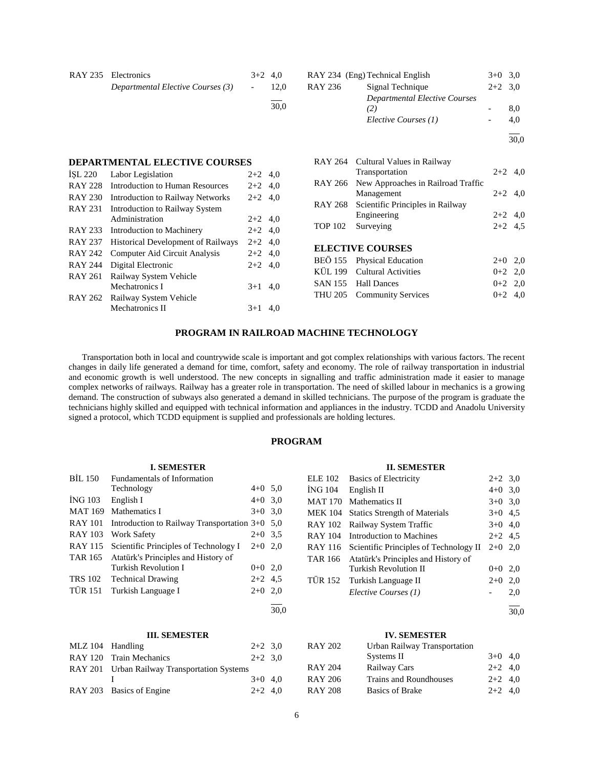| RAY 235 Electronics               | $3+2$ 4.0        |      |
|-----------------------------------|------------------|------|
| Departmental Elective Courses (3) | $\sim$ 100 $\mu$ | 12.0 |
|                                   |                  |      |

## **DEPARTMENTAL ELECTIVE COURSES**

| <b>ISL 220</b> | Labor Legislation                       | $2+2$ 4,0 |     |
|----------------|-----------------------------------------|-----------|-----|
| <b>RAY 228</b> | <b>Introduction to Human Resources</b>  | $2+2$ 4,0 |     |
| <b>RAY 230</b> | <b>Introduction to Railway Networks</b> | $2+2$ 4.0 |     |
| <b>RAY 231</b> | <b>Introduction to Railway System</b>   |           |     |
|                | Administration                          | $2+2$ 4,0 |     |
| <b>RAY 233</b> | Introduction to Machinery               | $2+2$ 4,0 |     |
| <b>RAY 237</b> | Historical Development of Railways      | $2+2$ 4,0 |     |
| <b>RAY 242</b> | Computer Aid Circuit Analysis           | $2+2$ 4,0 |     |
| <b>RAY 244</b> | Digital Electronic                      | $2+2$ 4,0 |     |
| <b>RAY 261</b> | Railway System Vehicle                  |           |     |
|                | Mechatronics I                          | $3+1$     | 4.0 |
| RAY 262        | Railway System Vehicle                  |           |     |
|                | Mechatronics II                         | $3+1$     | 4.0 |
|                |                                         |           |     |

| <b>RAY 236</b> | RAY 234 (Eng) Technical English<br>Signal Technique | $3+0$<br>$2+2$ 3.0 | 3.0  |
|----------------|-----------------------------------------------------|--------------------|------|
|                | Departmental Elective Courses                       |                    |      |
|                | (2)                                                 |                    | 8,0  |
|                | Elective Courses (1)                                |                    | 4.0  |
|                |                                                     |                    | 30.0 |
|                |                                                     |                    |      |

| RAY 264 Cultural Values in Railway         |           |  |
|--------------------------------------------|-----------|--|
| Transportation                             | $2+2$ 4.0 |  |
| RAY 266 New Approaches in Railroad Traffic |           |  |
| Management                                 | $2+2$ 4,0 |  |
| RAY 268 Scientific Principles in Railway   |           |  |
| Engineering                                | $2+2$ 4.0 |  |
| TOP 102 Surveying                          | $2+2$ 4.5 |  |
|                                            |           |  |

## **ELECTIVE COURSES**

| BEÖ 155 Physical Education  | $2+0$ 2.0 |  |
|-----------------------------|-----------|--|
| KÜL 199 Cultural Activities | $0+2$ 2.0 |  |
| SAN 155 Hall Dances         | $0+2$ 2.0 |  |
| THU 205 Community Services  | $0+2$ 4.0 |  |
|                             |           |  |

## **PROGRAM IN RAILROAD MACHINE TECHNOLOGY**

 Transportation both in local and countrywide scale is important and got complex relationships with various factors. The recent changes in daily life generated a demand for time, comfort, safety and economy. The role of railway transportation in industrial and economic growth is well understood. The new concepts in signalling and traffic administration made it easier to manage complex networks of railways. Railway has a greater role in transportation. The need of skilled labour in mechanics is a growing demand. The construction of subways also generated a demand in skilled technicians. The purpose of the program is graduate the technicians highly skilled and equipped with technical information and appliances in the industry. TCDD and Anadolu University signed a protocol, which TCDD equipment is supplied and professionals are holding lectures.

## **PROGRAM**

## **II. SEMESTER**

| <b>ELE 102</b> | <b>Basics of Electricity</b>           | $2+2$ 3,0 |     |
|----------------|----------------------------------------|-----------|-----|
| ING 104        | English II                             | $4+0$ 3,0 |     |
| <b>MAT 170</b> | Mathematics II                         | $3+0$ 3.0 |     |
| <b>MEK 104</b> | <b>Statics Strength of Materials</b>   | $3+0$ 4.5 |     |
| <b>RAY 102</b> | Railway System Traffic                 | $3+0$ 4.0 |     |
| <b>RAY 104</b> | Introduction to Machines               | $2+2$ 4.5 |     |
| RAY 116        | Scientific Principles of Technology II | $2+0$ 2.0 |     |
| TAR 166        | Atatürk's Principles and History of    |           |     |
|                | Turkish Revolution II                  | $0+0$ 2.0 |     |
| <b>TÜR 152</b> | Turkish Language II                    | $2+0$     | 2,0 |
|                | Elective Courses (1)                   |           | 2,0 |
|                |                                        |           |     |

 $\frac{1}{30.0}$ 

# **IV. SEMESTER**

| <b>RAY 202</b> | Urban Railway Transportation  |           |  |
|----------------|-------------------------------|-----------|--|
|                | Systems II                    | $3+0$ 4,0 |  |
| <b>RAY 204</b> | Railway Cars                  | $2+2$ 4.0 |  |
| <b>RAY 206</b> | <b>Trains and Roundhouses</b> | $2+2$ 4.0 |  |
| <b>RAY 208</b> | <b>Basics of Brake</b>        | $2+2$ 4.0 |  |

# **I. SEMESTER**

| <b>BIL 150</b> | <b>Fundamentals of Information</b>               |           |     |
|----------------|--------------------------------------------------|-----------|-----|
|                | Technology                                       | $4+0$ 5.0 |     |
| <b>ING 103</b> | English I                                        | $4+0$ 3.0 |     |
| <b>MAT 169</b> | Mathematics I                                    | $3+0$     | 3.0 |
| <b>RAY 101</b> | Introduction to Railway Transportation $3+0$ 5,0 |           |     |
| <b>RAY 103</b> | Work Safety                                      | $2+0$ 3.5 |     |
| <b>RAY 115</b> | Scientific Principles of Technology I            | $2+0$ 2.0 |     |
| <b>TAR 165</b> | Atatürk's Principles and History of              |           |     |
|                | Turkish Revolution I                             | $0+0$ 2.0 |     |
| <b>TRS 102</b> | <b>Technical Drawing</b>                         | $2+2$ 4.5 |     |
| <b>TÜR 151</b> | Turkish Language I                               | $2+0$     | 2.0 |
|                |                                                  |           |     |

## **III. SEMESTER**

| MLZ 104 Handling |                                              | $2+2$ 3.0 |  |
|------------------|----------------------------------------------|-----------|--|
|                  | RAY 120 Train Mechanics                      | $2+2$ 3.0 |  |
|                  | RAY 201 Urban Railway Transportation Systems |           |  |
|                  |                                              | $3+0$ 4.0 |  |
|                  | RAY 203 Basics of Engine                     | $2+2$ 4,0 |  |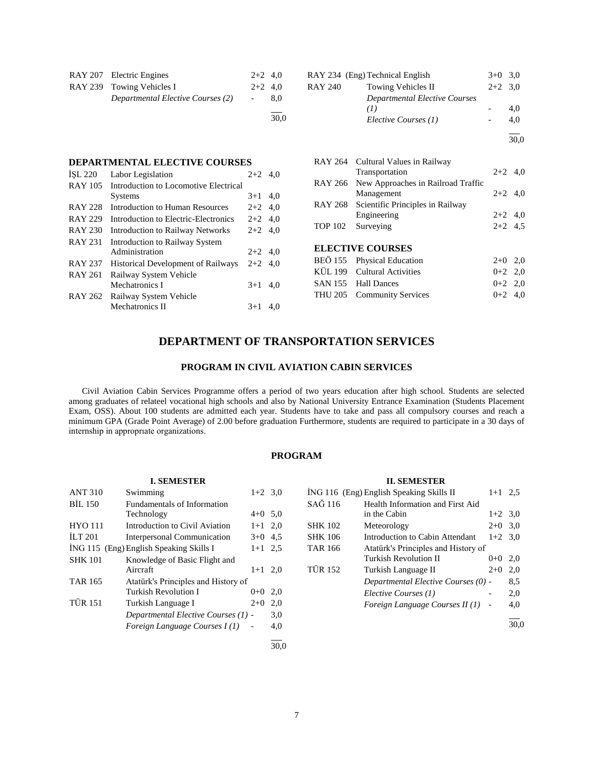| RAY 207 Electric Engines          | $2+2$ 4.0  |     |
|-----------------------------------|------------|-----|
| RAY 239 Towing Vehicles I         | $2+2$ 4.0  |     |
| Departmental Elective Courses (2) | $\sim$ $-$ | 8.0 |
|                                   |            |     |

 $\frac{1}{30,0}$ 

## **DEPARTMENTAL ELECTIVE COURSES**

| ISL 220        | Labor Legislation                         | $2+2$     | 4.0 |
|----------------|-------------------------------------------|-----------|-----|
| <b>RAY 105</b> | Introduction to Locomotive Electrical     |           |     |
|                | <b>Systems</b>                            | $3+1$     | 4,0 |
| <b>RAY 228</b> | Introduction to Human Resources           | $2+2$ 4,0 |     |
| <b>RAY 229</b> | Introduction to Electric-Electronics      | $2+2$ 4.0 |     |
| <b>RAY 230</b> | Introduction to Railway Networks          | $2+2$ 4.0 |     |
| <b>RAY 231</b> | Introduction to Railway System            |           |     |
|                | Administration                            | $2+2$ 4,0 |     |
| <b>RAY 237</b> | <b>Historical Development of Railways</b> | $2+2$ 4.0 |     |
| <b>RAY 261</b> | Railway System Vehicle                    |           |     |
|                | Mechatronics I                            | $3+1$     | 4.0 |
| RAY 262        | Railway System Vehicle                    |           |     |
|                | Mechatronics II                           | $3+1$     | 4.0 |

|         | RAY 234 (Eng) Technical English      | $3+0$ 3.0 |      |
|---------|--------------------------------------|-----------|------|
| RAY 240 | <b>Towing Vehicles II</b>            | $2+2$ 3.0 |      |
|         | <b>Departmental Elective Courses</b> |           |      |
|         | (I)                                  |           | 4.0  |
|         | Elective Courses (1)                 |           | 4.0  |
|         |                                      |           | 30,0 |

|                | RAY 264 Cultural Values in Railway<br>Transportation     | $2+2$ 4,0 |     |
|----------------|----------------------------------------------------------|-----------|-----|
|                | RAY 266 New Approaches in Railroad Traffic<br>Management | $2+2$ 4,0 |     |
|                | RAY 268 Scientific Principles in Railway                 |           |     |
|                | Engineering                                              | $2+2$ 4,0 |     |
| <b>TOP 102</b> | Surveying                                                | $2+2$ 4,5 |     |
|                | <b>ELECTIVE COURSES</b>                                  |           |     |
|                | BEÖ 155 Physical Education                               | $2+0$     | 2,0 |
|                | KÜL 199 Cultural Activities                              | $0+2$ 2.0 |     |

SAN 155 Hall Dances 0+2 2,0 THU 205 Community Services 0+2 4,0

# **DEPARTMENT OF TRANSPORTATION SERVICES**

## **PROGRAM IN CIVIL AVIATION CABIN SERVICES**

 Civil Aviation Cabin Services Programme offers a period of two years education after high school. Students are selected among graduates of relateel vocational high schools and also by National University Entrance Examination (Students Placement Exam, OSS). About 100 students are admitted each year. Students have to take and pass all compulsory courses and reach a minimum GPA (Grade Point Average) of 2.00 before graduation Furthermore, students are required to participate in a 30 days of internship in approprıate organizations.

## **PROGRAM**

|                | <b>I. SEMESTER</b>                      |                          |      |                | <b>II. SEMESTER</b>                      |                          |      |
|----------------|-----------------------------------------|--------------------------|------|----------------|------------------------------------------|--------------------------|------|
| <b>ANT 310</b> | Swimming                                | $1+2$ 3,0                |      |                | ING 116 (Eng) English Speaking Skills II | $1+1$ 2.5                |      |
| BIL 150        | Fundamentals of Information             |                          |      | SAĞ 116        | Health Information and First Aid         |                          |      |
|                | Technology                              | $4+0$ 5.0                |      |                | in the Cabin                             | $1+2$ 3,0                |      |
| <b>HYO 111</b> | Introduction to Civil Aviation          | $1+1$ 2.0                |      | <b>SHK 102</b> | Meteorology                              | $2+0$ 3,0                |      |
| ILT $201$      | Interpersonal Communication             | $3+0$ 4.5                |      | <b>SHK 106</b> | Introduction to Cabin Attendant          | $1+2$ 3.0                |      |
|                | İNG 115 (Eng) English Speaking Skills I | $1+1$ 2.5                |      | <b>TAR 166</b> | Atatürk's Principles and History of      |                          |      |
| <b>SHK 101</b> | Knowledge of Basic Flight and           |                          |      |                | Turkish Revolution II                    | $0+0$ 2,0                |      |
|                | Aircraft                                | $1+1$ 2.0                |      | <b>TÜR 152</b> | Turkish Language II                      | $2+0$ 2,0                |      |
| <b>TAR 165</b> | Atatürk's Principles and History of     |                          |      |                | Departmental Elective Courses (0) -      |                          | 8,5  |
|                | Turkish Revolution I                    | $0+0$ 2,0                |      |                | Elective Courses (1)                     | $\overline{\phantom{a}}$ | 2,0  |
| <b>TÜR 151</b> | Turkish Language I                      | $2+0$                    | 2.0  |                | <i>Foreign Language Courses II (1)</i>   |                          | 4,0  |
|                | Departmental Elective Courses (1) -     |                          | 3,0  |                |                                          |                          |      |
|                | Foreign Language Courses $I(1)$         | $\overline{\phantom{a}}$ | 4,0  |                |                                          |                          | 30,0 |
|                |                                         |                          | 30.0 |                |                                          |                          |      |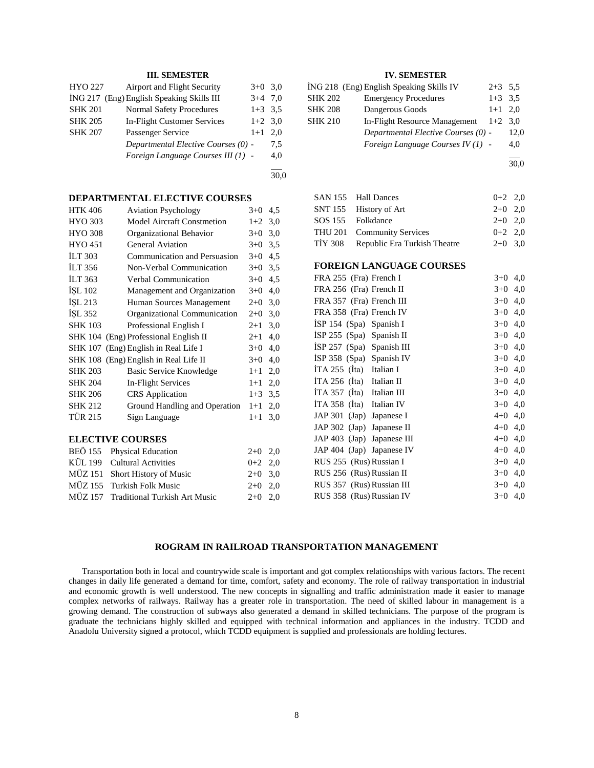## **III. SEMESTER**

| HYO 227        | Airport and Flight Security               | $3+0$ 3.0 |     |
|----------------|-------------------------------------------|-----------|-----|
|                | ING 217 (Eng) English Speaking Skills III | $3+4$ 7,0 |     |
| <b>SHK 201</b> | <b>Normal Safety Procedures</b>           | $1+3$ 3.5 |     |
| <b>SHK 205</b> | <b>In-Flight Customer Services</b>        | $1+2$ 3.0 |     |
| <b>SHK 207</b> | Passenger Service                         | $1+1$     | 2.0 |
|                | Departmental Elective Courses (0) -       |           | 7.5 |
|                | Foreign Language Courses III (1) -        |           | 4,0 |
|                |                                           |           |     |

 $\frac{1}{30.0}$ 

## **DEPARTMENTAL ELECTIVE COURSES**

| <b>HTK 406</b> | <b>Aviation Psychology</b>            | $3+0$   | 4,5 |
|----------------|---------------------------------------|---------|-----|
| <b>HYO 303</b> | <b>Model Aircraft Constmetion</b>     | $1+2$   | 3,0 |
| <b>HYO 308</b> | Organizational Behavior               | $3+0$   | 3,0 |
| <b>HYO 451</b> | <b>General Aviation</b>               | $3+0$   | 3,5 |
| <b>ILT 303</b> | Communication and Persuasion          | $3+0$   | 4,5 |
| <b>ILT 356</b> | Non-Verbal Communication              | $3+0$   | 3,5 |
| ILT 363        | Verbal Communication                  | $3+0$   | 4,5 |
| ISL 102        | Management and Organization           | $3+0$   | 4,0 |
| ISL 213        | Human Sources Management              | $2+0$   | 3,0 |
| İŞL 352        | Organizational Communication          | $2+0$   | 3,0 |
| <b>SHK 103</b> | Professional English I                | $2 + 1$ | 3,0 |
|                | SHK 104 (Eng) Professional English II | $2+1$   | 4,0 |
|                | SHK 107 (Eng) English in Real Life I  | $3+0$   | 4,0 |
|                | SHK 108 (Eng) English in Real Life II | $3+0$   | 4,0 |
| <b>SHK 203</b> | Basic Service Knowledge               | $1+1$   | 2,0 |
| <b>SHK 204</b> | In-Flight Services                    | $1+1$   | 2,0 |
| <b>SHK 206</b> | <b>CRS</b> Application                | $1+3$   | 3,5 |
| <b>SHK 212</b> | Ground Handling and Operation         | $1+1$   | 2,0 |
| <b>TÜR 215</b> | Sign Language                         | $1+1$   | 3,0 |

## **ELECTIVE COURSES**

| BEÖ 155 Physical Education            | $2+0$ 2,0 |  |
|---------------------------------------|-----------|--|
| KÜL 199 Cultural Activities           | $0+2$ 2,0 |  |
| MÜZ 151 Short History of Music        | $2+0$ 3.0 |  |
| MÜZ 155 Turkish Folk Music            | $2+0$ 2,0 |  |
| MÜZ 157 Traditional Turkish Art Music | $2+0$ 2.0 |  |
|                                       |           |  |

## **IV. SEMESTER**

|                | ING 218 (Eng) English Speaking Skills IV | $2+3$ 5.5 |      |
|----------------|------------------------------------------|-----------|------|
| <b>SHK 202</b> | <b>Emergency Procedures</b>              | $1+3$ 3.5 |      |
| <b>SHK 208</b> | Dangerous Goods                          | $1+1$ 2,0 |      |
| <b>SHK 210</b> | In-Flight Resource Management            | $1+2$ 3.0 |      |
|                | Departmental Elective Courses (0) -      |           | 12.0 |
|                | Foreign Language Courses $IV(1)$ -       |           | 4,0  |
|                |                                          |           |      |

30,0

| SAN 155 Hall Dances                  | $0+2$ 2,0 |  |
|--------------------------------------|-----------|--|
| SNT 155 History of Art               | $2+0$ 2,0 |  |
| SOS 155 Folkdance                    | $2+0$ 2.0 |  |
| THU 201 Community Services           | $0+2$ 2,0 |  |
| TİY 308 Republic Era Turkish Theatre | $2+0$ 3.0 |  |

## **FOREIGN LANGUAGE COURSES**

| FRA 255 (Fra) French I      | $3+0$     | 4,0 |
|-----------------------------|-----------|-----|
| FRA 256 (Fra) French II     | $3+0$     | 4,0 |
| FRA 357 (Fra) French III    | $3+0$     | 4,0 |
| FRA 358 (Fra) French IV     | $3+0$ 4,0 |     |
| ISP 154 $(Spa)$ Spanish I   | $3+0$     | 4,0 |
| $ISP 255$ (Spa) Spanish II  | $3+0$ 4,0 |     |
| $ISP 257$ (Spa) Spanish III | $3+0$ 4,0 |     |
| ISP 358 (Spa) Spanish IV    | $3+0$ 4,0 |     |
| ITA 255 $(Ita)$ Italian I   | $3+0$ 4,0 |     |
| ITA 256 $(Ita)$ Italian II  | $3+0$ 4,0 |     |
| ITA 357 (Ita) Italian III   | $3+0$ 4,0 |     |
| ITA 358 $(Ita)$ Italian IV  | $3+0$ 4,0 |     |
| JAP 301 (Jap) Japanese I    | $4+0$ 4,0 |     |
| JAP 302 (Jap) Japanese II   | $4+0$ 4,0 |     |
| JAP 403 (Jap) Japanese III  | $4+0$ 4,0 |     |
| JAP 404 (Jap) Japanese IV   | $4+0$ 4,0 |     |
| RUS 255 (Rus) Russian I     | $3+0$ 4,0 |     |
| RUS 256 (Rus) Russian II    | $3+0$     | 4,0 |
| RUS 357 (Rus) Russian III   | $3+0$ 4,0 |     |
| RUS 358 (Rus) Russian IV    | $3+0$     | 4,0 |

## **ROGRAM IN RAILROAD TRANSPORTATION MANAGEMENT**

 Transportation both in local and countrywide scale is important and got complex relationships with various factors. The recent changes in daily life generated a demand for time, comfort, safety and economy. The role of railway transportation in industrial and economic growth is well understood. The new concepts in signalling and traffic administration made it easier to manage complex networks of railways. Railway has a greater role in transportation. The need of skilled labour in management is a growing demand. The construction of subways also generated a demand in skilled technicians. The purpose of the program is graduate the technicians highly skilled and equipped with technical information and appliances in the industry. TCDD and Anadolu University signed a protocol, which TCDD equipment is supplied and professionals are holding lectures.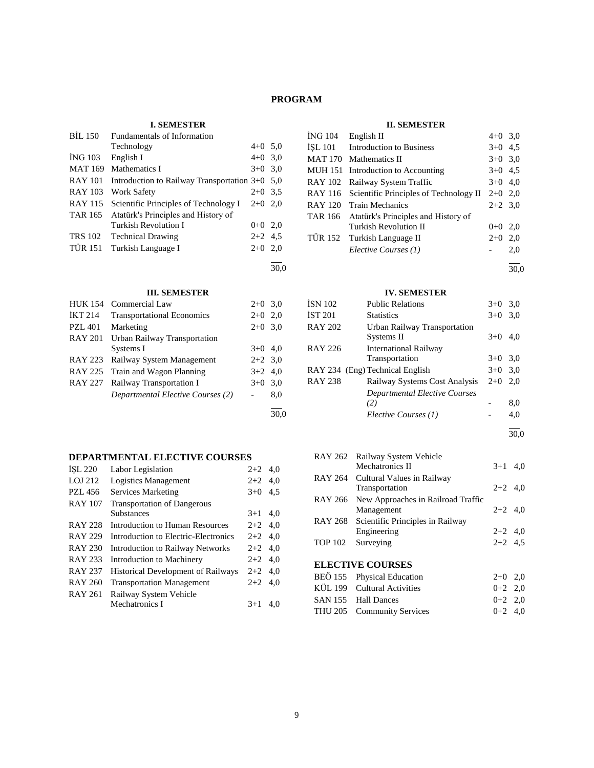# **PROGRAM**

# **I. SEMESTER**

| <b>BIL 150</b> | Fundamentals of Information                |           |      |
|----------------|--------------------------------------------|-----------|------|
|                | Technology                                 | $4+0$ 5,0 |      |
| <b>ING 103</b> | English I                                  | $4+0$ 3.0 |      |
| <b>MAT 169</b> | Mathematics I                              | $3+0$ 3.0 |      |
| <b>RAY 101</b> | Introduction to Railway Transportation 3+0 |           | 5,0  |
| <b>RAY 103</b> | Work Safety                                | $2+0$ 3.5 |      |
| RAY 115        | Scientific Principles of Technology I      | $2+0$ 2.0 |      |
| <b>TAR 165</b> | Atatürk's Principles and History of        |           |      |
|                | <b>Turkish Revolution I</b>                | $0+0$ 2,0 |      |
| <b>TRS 102</b> | <b>Technical Drawing</b>                   | $2+2$ 4.5 |      |
| <b>TÜR 151</b> | Turkish Language I                         | $2+0$     | 2,0  |
|                |                                            |           |      |
|                |                                            |           | 30.0 |

# **III. SEMESTER**

|                | нь орлер нам                      |           |     |
|----------------|-----------------------------------|-----------|-----|
| <b>HUK 154</b> | Commercial Law                    | $2+0$ 3.0 |     |
| <b>IKT 214</b> | <b>Transportational Economics</b> | $2+0$     | 2,0 |
| <b>PZL 401</b> | Marketing                         | $2+0$ 3,0 |     |
| <b>RAY 201</b> | Urban Railway Transportation      |           |     |
|                | Systems I                         | $3+0$ 4,0 |     |
|                | RAY 223 Railway System Management | $2+2$ 3,0 |     |
|                | RAY 225 Train and Wagon Planning  | $3+2$ 4.0 |     |
| RAY 227        | Railway Transportation I          | $3+0$     | 3,0 |
|                | Departmental Elective Courses (2) |           | 8,0 |
|                |                                   |           |     |

## **DEPARTMENTAL ELECTIVE COURSES**

| ISL 220        | Labor Legislation                         | $2+2$     | 4,0 |
|----------------|-------------------------------------------|-----------|-----|
| LOJ 212        | Logistics Management                      | $2+2$     | 4.0 |
| <b>PZL 456</b> | Services Marketing                        | $3+0$     | 4,5 |
| <b>RAY 107</b> | <b>Transportation of Dangerous</b>        |           |     |
|                | <b>Substances</b>                         | $3+1$     | 4.0 |
| <b>RAY 228</b> | Introduction to Human Resources           | $2+2$ 4.0 |     |
| <b>RAY 229</b> | Introduction to Electric-Electronics      | $2+2$ 4.0 |     |
| <b>RAY 230</b> | <b>Introduction to Railway Networks</b>   | $2+2$ 4.0 |     |
| <b>RAY 233</b> | Introduction to Machinery                 | $2+2$ 4,0 |     |
| <b>RAY 237</b> | <b>Historical Development of Railways</b> | $2+2$ 4.0 |     |
| <b>RAY 260</b> | <b>Transportation Management</b>          | $2+2$ 4,0 |     |
| <b>RAY 261</b> | Railway System Vehicle                    |           |     |
|                | Mechatronics I                            | $3+1$     | 4.0 |
|                |                                           |           |     |

# **II. SEMESTER**

| <b>ING 104</b> | English II                             | $4+0$ 3,0 |      |
|----------------|----------------------------------------|-----------|------|
| <b>ISL 101</b> | <b>Introduction to Business</b>        | $3+0$ 4.5 |      |
| <b>MAT 170</b> | Mathematics II                         | $3+0$ 3.0 |      |
| <b>MUH 151</b> | Introduction to Accounting             | $3+0$ 4.5 |      |
| <b>RAY 102</b> | Railway System Traffic                 | $3+0$ 4.0 |      |
| <b>RAY 116</b> | Scientific Principles of Technology II | $2+0$ 2.0 |      |
| <b>RAY 120</b> | Train Mechanics                        | $2+2$ 3.0 |      |
| <b>TAR 166</b> | Atatürk's Principles and History of    |           |      |
|                | Turkish Revolution II                  | $0 + 0$   | 2,0  |
| <b>TÜR 152</b> | Turkish Language II                    | $2+0$     | 2,0  |
|                | Elective Courses (1)                   |           | 2,0  |
|                |                                        |           | 30.0 |

## **IV. SEMESTER**

| ÍSN 102 | <b>Public Relations</b>              | $3+0$ | 3,0 |
|---------|--------------------------------------|-------|-----|
| İST 201 | <b>Statistics</b>                    | $3+0$ | 3,0 |
| RAY 202 | Urban Railway Transportation         |       |     |
|         | Systems II                           | $3+0$ | 4,0 |
| RAY 226 | <b>International Railway</b>         |       |     |
|         | Transportation                       | $3+0$ | 3,0 |
|         | RAY 234 (Eng) Technical English      | $3+0$ | 3,0 |
| RAY 238 | Railway Systems Cost Analysis        | $2+0$ | 2,0 |
|         | <b>Departmental Elective Courses</b> |       |     |
|         | (2)                                  |       | 8,0 |
|         | Elective Courses (1)                 |       | 4,0 |
|         |                                      |       |     |

30,0

|                | RAY 262 Railway System Vehicle           |           |  |
|----------------|------------------------------------------|-----------|--|
|                | Mechatronics II                          | $3+1$ 4.0 |  |
|                | RAY 264 Cultural Values in Railway       |           |  |
|                | Transportation                           | $2+2$ 4,0 |  |
| RAY 266        | New Approaches in Railroad Traffic       |           |  |
|                | Management                               | $2+2$ 4,0 |  |
|                | RAY 268 Scientific Principles in Railway |           |  |
|                | Engineering                              | $2+2$ 4,0 |  |
| <b>TOP 102</b> | Surveying                                | $2+2$ 4.5 |  |
|                |                                          |           |  |
|                | <b>ELECTIVE COURSES</b>                  |           |  |
|                | BEÖ 155 Physical Education               | $2+0$ 2,0 |  |
|                | KÜL 199 Cultural Activities              | $0+2$ 2.0 |  |
|                | SAN 155 Hall Dances                      | $0+2$ 2.0 |  |

THU 205 Community Services 0+2 4,0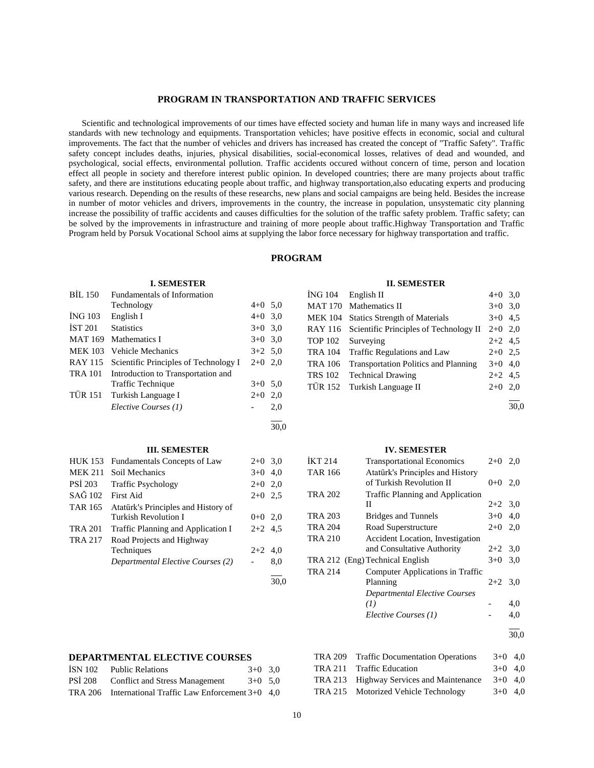#### **PROGRAM IN TRANSPORTATION AND TRAFFIC SERVICES**

 Scientific and technological improvements of our times have effected society and human life in many ways and increased life standards with new technology and equipments. Transportation vehicles; have positive effects in economic, social and cultural improvements. The fact that the number of vehicles and drivers has increased has created the concept of "Traffic Safety". Traffic safety concept includes deaths, injuries, physical disabilities, social-economical losses, relatives of dead and wounded, and psychological, social effects, environmental pollution. Traffic accidents occured without concern of time, person and location effect all people in society and therefore interest public opinion. In developed countries; there are many projects about traffic safety, and there are institutions educating people about traffic, and highway transportation,also educating experts and producing various research. Depending on the results of these researchs, new plans and social campaigns are being held. Besides the increase in number of motor vehicles and drivers, improvements in the country, the increase in population, unsystematic city planning increase the possibility of traffic accidents and causes difficulties for the solution of the traffic safety problem. Traffic safety; can be solved by the improvements in infrastructure and training of more people about traffic.Highway Transportation and Traffic Program held by Porsuk Vocational School aims at supplying the labor force necessary for highway transportation and traffic.

## **PROGRAM**

#### **I. SEMESTER**

| <b>BIL 150</b> | Fundamentals of Information                   |           |     |
|----------------|-----------------------------------------------|-----------|-----|
|                | Technology                                    | $4+0$ 5.0 |     |
| ING 103        | English I                                     | $4+0$ 3,0 |     |
| IST 201        | <b>Statistics</b>                             | $3+0$ 3,0 |     |
|                | MAT 169 Mathematics I                         | $3+0$ 3,0 |     |
| <b>MEK 103</b> | <b>Vehicle Mechanics</b>                      | $3+2$ 5,0 |     |
|                | RAY 115 Scientific Principles of Technology I | $2+0$ 2,0 |     |
|                | TRA 101 Introduction to Transportation and    |           |     |
|                | Traffic Technique                             | $3+0$ 5.0 |     |
|                | TÜR 151 Turkish Language I                    | $2+0$ 2,0 |     |
|                | Elective Courses (1)                          |           | 2,0 |
|                |                                               |           |     |

30,0

| <b>III. SEMESTER</b>                 |          |  |
|--------------------------------------|----------|--|
| HHK 153 Fundamentals Concents of Law | $2+0.30$ |  |

|                | TIOIX 199 - Fundamentais Concepts of Law | $2 + 0$ , $0 + 2$ |     |
|----------------|------------------------------------------|-------------------|-----|
|                | MEK 211 Soil Mechanics                   | $3+0$ 4.0         |     |
| PSI 203        | <b>Traffic Psychology</b>                | $2+0$ 2,0         |     |
| SAĞ 102        | First Aid                                | $2+0$ 2.5         |     |
| TAR 165        | Atatürk's Principles and History of      |                   |     |
|                | <b>Turkish Revolution I</b>              | $0+0$ 2,0         |     |
| <b>TRA 201</b> | Traffic Planning and Application I       | $2+2$ 4.5         |     |
| <b>TRA 217</b> | Road Projects and Highway                |                   |     |
|                | Techniques                               | $2+2$ 4,0         |     |
|                | Departmental Elective Courses (2)        |                   | 8,0 |
|                |                                          |                   |     |

#### **II. SEMESTER**

| ÍNG 104 | English II                                     | $4+0$ 3,0 |  |
|---------|------------------------------------------------|-----------|--|
|         | MAT 170 Mathematics II                         | $3+0$ 3.0 |  |
|         | MEK 104 Statics Strength of Materials          | $3+0$ 4.5 |  |
|         | RAY 116 Scientific Principles of Technology II | $2+0$ 2,0 |  |
|         | TOP 102 Surveying                              | $2+2$ 4.5 |  |
|         | TRA 104 Traffic Regulations and Law            | $2+0$ 2.5 |  |
| TRA 106 | <b>Transportation Politics and Planning</b>    | $3+0$ 4,0 |  |
| TRS 102 | <b>Technical Drawing</b>                       | $2+2$ 4.5 |  |
|         | TÜR 152 Turkish Language II                    | $2+0$ 2,0 |  |
|         |                                                |           |  |

 $\frac{1}{30,0}$ 

#### **IV. SEMESTER**

| <b>IKT 214</b> | <b>Transportational Economics</b>                            | $2+0$     | 2,0 |
|----------------|--------------------------------------------------------------|-----------|-----|
| <b>TAR 166</b> | Atatürk's Principles and History<br>of Turkish Revolution II | $0 + 0$   | 2,0 |
| <b>TRA 202</b> | <b>Traffic Planning and Application</b>                      |           |     |
|                | П                                                            | $2+2$ 3.0 |     |
| <b>TRA 203</b> | <b>Bridges and Tunnels</b>                                   | $3+0$ 4,0 |     |
| <b>TRA 204</b> | Road Superstructure                                          | $2+0$ 2,0 |     |
| <b>TRA 210</b> | Accident Location, Investigation                             |           |     |
|                | and Consultative Authority                                   | $2+2$ 3,0 |     |
|                | TRA 212 (Eng) Technical English                              | $3+0$ 3,0 |     |
| <b>TRA 214</b> | Computer Applications in Traffic                             |           |     |
|                | Planning                                                     | $2+2$ 3.0 |     |
|                | <b>Departmental Elective Courses</b>                         |           |     |
|                | (I)                                                          |           | 4,0 |
|                | Elective Courses (1)                                         |           | 4,0 |
|                |                                                              |           |     |

30,0

## **DEPARTMENTAL ELECTIVE COURSES**

| ISN 102 | <b>Public Relations</b><br>$3+0$ 3.0                    |  |
|---------|---------------------------------------------------------|--|
|         | PSİ 208 Conflict and Stress Management<br>$3+0$ 5.0     |  |
|         | TRA 206 International Traffic Law Enforcement $3+0$ 4.0 |  |

| TRA 209 Traffic Documentation Operations | $3+0$ 4.0 |  |
|------------------------------------------|-----------|--|
| TRA 211 Traffic Education                | $3+0$ 4.0 |  |
| TRA 213 Highway Services and Maintenance | $3+0$ 4.0 |  |
| TRA 215 Motorized Vehicle Technology     | $3+0$ 4.0 |  |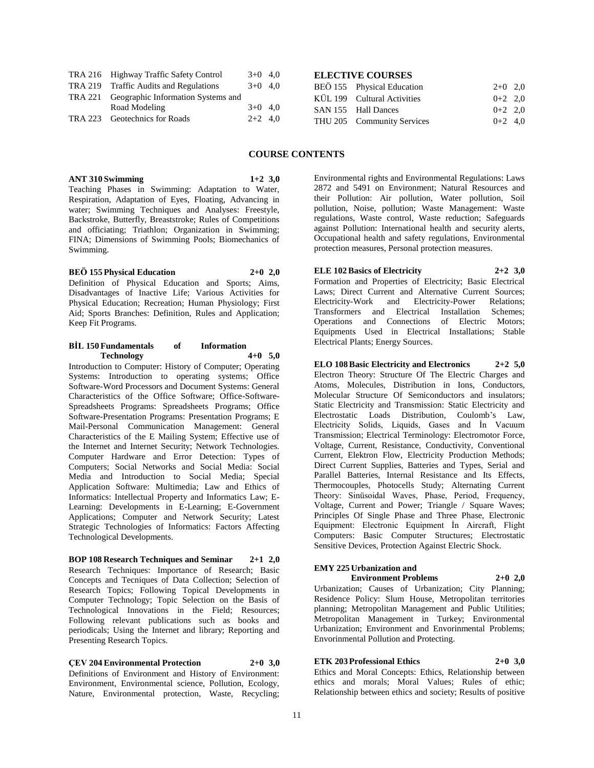| TRA 216 Highway Traffic Safety Control     | $3+0$ 4.0 |  |
|--------------------------------------------|-----------|--|
| TRA 219 Traffic Audits and Regulations     | $3+0$ 4.0 |  |
| TRA 221 Geographic Information Systems and |           |  |
| Road Modeling                              | $3+0$ 4.0 |  |
| TRA 223 Geotechnics for Roads              | $2+2$ 4.0 |  |

## **ELECTIVE COURSES**

| BEÖ 155 Physical Education  | $2+0$ 2,0 |  |
|-----------------------------|-----------|--|
| KÜL 199 Cultural Activities | $0+2$ 2.0 |  |
| SAN 155 Hall Dances         | $0+2$ 2.0 |  |
| THU 205 Community Services  | $0+2$ 4.0 |  |

## **COURSE CONTENTS**

## Teaching Phases in Swimming: Adaptation to Water, Respiration, Adaptation of Eyes, Floating, Advancing in water; Swimming Techniques and Analyses: Freestyle, Backstroke, Butterfly, Breaststroke; Rules of Competitions and officiating; Triathlon; Organization in Swimming;

FINA; Dimensions of Swimming Pools; Biomechanics of

**ANT 310 Swimming 1+2 3,0**

**BEÖ 155 Physical Education 2+0 2,0** Definition of Physical Education and Sports; Aims,

Swimming.

Disadvantages of Inactive Life; Various Activities for Physical Education; Recreation; Human Physiology; First Aid; Sports Branches: Definition, Rules and Application; Keep Fit Programs.

#### **BİL 150 Fundamentals of Information Technology 4+0 5,0**

Introduction to Computer: History of Computer; Operating Systems: Introduction to operating systems; Office Software-Word Processors and Document Systems: General Characteristics of the Office Software; Office-Software-Spreadsheets Programs: Spreadsheets Programs; Office Software-Presentation Programs: Presentation Programs; E Mail-Personal Communication Management: General Characteristics of the E Mailing System; Effective use of the Internet and Internet Security; Network Technologies. Computer Hardware and Error Detection: Types of Computers; Social Networks and Social Media: Social Media and Introduction to Social Media; Special Application Software: Multimedia; Law and Ethics of Informatics: Intellectual Property and Informatics Law; E-Learning: Developments in E-Learning; E-Government Applications; Computer and Network Security; Latest Strategic Technologies of Informatics: Factors Affecting Technological Developments.

#### **BOP 108 Research Techniques and Seminar 2+1 2,0**

Research Techniques: Importance of Research; Basic Concepts and Tecniques of Data Collection; Selection of Research Topics; Following Topical Developments in Computer Technology; Topic Selection on the Basis of Technological Innovations in the Field; Resources; Following relevant publications such as books and periodicals; Using the Internet and library; Reporting and Presenting Research Topics.

# **ÇEV 204 Environmental Protection 2+0 3,0**

Definitions of Environment and History of Environment: Environment, Environmental science, Pollution, Ecology, Nature, Environmental protection, Waste, Recycling;

Environmental rights and Environmental Regulations: Laws 2872 and 5491 on Environment; Natural Resources and their Pollution: Air pollution, Water pollution, Soil pollution, Noise, pollution; Waste Management: Waste regulations, Waste control, Waste reduction; Safeguards against Pollution: International health and security alerts, Occupational health and safety regulations, Environmental protection measures, Personal protection measures.

**ELE 102 Basics of Electricity 2+2 3,0** Formation and Properties of Electricity; Basic Electrical Laws; Direct Current and Alternative Current Sources;<br>Electricity-Work and Electricity-Power Relations; Electricity-Work and Electricity-Power Transformers and Electrical Installation Schemes; Operations and Connections of Electric Motors; Equipments Used in Electrical Installations; Stable Electrical Plants; Energy Sources.

**ELO 108 Basic Electricity and Electronics 2+2 5,0** Electron Theory: Structure Of The Electric Charges and Atoms, Molecules, Distribution in Ions, Conductors, Molecular Structure Of Semiconductors and insulators; Static Electricity and Transmission: Static Electricity and Electrostatic Loads Distribution, Coulomb's Law, Electricity Solids, Liquids, Gases and İn Vacuum Transmission; Electrical Terminology: Electromotor Force, Voltage, Current, Resistance, Conductivity, Conventional Current, Elektron Flow, Electricity Production Methods; Direct Current Supplies, Batteries and Types, Serial and Parallel Batteries, Internal Resistance and Its Effects, Thermocouples, Photocells Study; Alternating Current Theory: Sinüsoidal Waves, Phase, Period, Frequency, Voltage, Current and Power; Triangle / Square Waves; Principles Of Single Phase and Three Phase, Electronic Equipment: Electronic Equipment İn Aircraft, Flight Computers: Basic Computer Structures; Electrostatic Sensitive Devices, Protection Against Electric Shock.

#### **EMY 225 Urbanization and**

**Environment Problems 2+0 2,0**

Urbanization; Causes of Urbanization; City Planning; Residence Policy: Slum House, Metropolitan territories planning; Metropolitan Management and Public Utilities; Metropolitan Management in Turkey; Environmental Urbanization; Environment and Envorinmental Problems; Envorinmental Pollution and Protecting.

## **ETK 203 Professional Ethics 2+0 3,0**

Ethics and Moral Concepts: Ethics, Relationship between ethics and morals; Moral Values; Rules of ethic; Relationship between ethics and society; Results of positive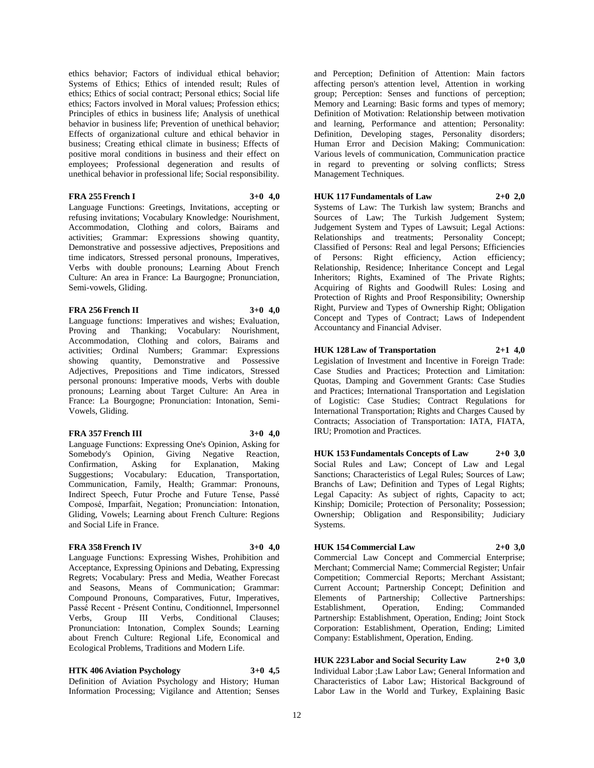ethics behavior; Factors of individual ethical behavior; Systems of Ethics; Ethics of intended result; Rules of ethics; Ethics of social contract; Personal ethics; Social life ethics; Factors involved in Moral values; Profession ethics; Principles of ethics in business life; Analysis of unethical behavior in business life; Prevention of unethical behavior; Effects of organizational culture and ethical behavior in business; Creating ethical climate in business; Effects of positive moral conditions in business and their effect on employees; Professional degeneration and results of unethical behavior in professional life; Social responsibility.

#### **FRA 255 French I 3+0 4,0**

Language Functions: Greetings, Invitations, accepting or refusing invitations; Vocabulary Knowledge: Nourishment, Accommodation, Clothing and colors, Bairams and activities; Grammar: Expressions showing quantity, Demonstrative and possessive adjectives, Prepositions and time indicators, Stressed personal pronouns, Imperatives, Verbs with double pronouns; Learning About French Culture: An area in France: La Baurgogne; Pronunciation, Semi-vowels, Gliding.

## **FRA 256 French II 3+0 4,0**

Language functions: Imperatives and wishes; Evaluation, Proving and Thanking; Vocabulary: Nourishment, Accommodation, Clothing and colors, Bairams and activities; Ordinal Numbers; Grammar: Expressions showing quantity, Demonstrative and Possessive Adjectives, Prepositions and Time indicators, Stressed personal pronouns: Imperative moods, Verbs with double pronouns; Learning about Target Culture: An Area in France: La Bourgogne; Pronunciation: Intonation, Semi-Vowels, Gliding.

#### **FRA 357 French III 3+0 4,0**

Language Functions: Expressing One's Opinion, Asking for Somebody's Opinion, Giving Negative Reaction,<br>Confirmation, Asking for Explanation, Making Confirmation, Asking for Explanation, Making Suggestions; Vocabulary: Education, Transportation, Communication, Family, Health; Grammar: Pronouns, Indirect Speech, Futur Proche and Future Tense, Passé Composé, Imparfait, Negation; Pronunciation: Intonation, Gliding, Vowels; Learning about French Culture: Regions and Social Life in France.

#### **FRA 358 French IV 3+0 4,0**

Language Functions: Expressing Wishes, Prohibition and Acceptance, Expressing Opinions and Debating, Expressing Regrets; Vocabulary: Press and Media, Weather Forecast and Seasons, Means of Communication; Grammar: Compound Pronouns, Comparatives, Futur, Imperatives, Passé Recent - Présent Continu, Conditionnel, Impersonnel<br>Verbs, Group III Verbs, Conditional Clauses; Verbs, Group III Verbs, Conditional Clauses; Pronunciation: Intonation, Complex Sounds; Learning about French Culture: Regional Life, Economical and Ecological Problems, Traditions and Modern Life.

# **HTK 406 Aviation Psychology 3+0 4,5**

Definition of Aviation Psychology and History; Human Information Processing; Vigilance and Attention; Senses

and Perception; Definition of Attention: Main factors affecting person's attention level, Attention in working group; Perception: Senses and functions of perception; Memory and Learning: Basic forms and types of memory; Definition of Motivation: Relationship between motivation and learning, Performance and attention; Personality: Definition, Developing stages, Personality disorders; Human Error and Decision Making; Communication: Various levels of communication, Communication practice in regard to preventing or solving conflicts; Stress Management Techniques.

# **HUK 117 Fundamentals of Law 2+0 2,0**

Systems of Law: The Turkish law system; Branchs and Sources of Law; The Turkish Judgement System; Judgement System and Types of Lawsuit; Legal Actions: Relationships and treatments; Personality Concept; Classified of Persons: Real and legal Persons; Efficiencies of Persons: Right efficiency, Action efficiency; Relationship, Residence; Inheritance Concept and Legal Inheritors; Rights, Examined of The Private Rights; Acquiring of Rights and Goodwill Rules: Losing and Protection of Rights and Proof Responsibility; Ownership Right, Purview and Types of Ownership Right; Obligation Concept and Types of Contract; Laws of Independent Accountancy and Financial Adviser.

#### **HUK 128 Law of Transportation 2+1 4,0**

Legislation of Investment and Incentive in Foreign Trade: Case Studies and Practices; Protection and Limitation: Quotas, Damping and Government Grants: Case Studies and Practices; International Transportation and Legislation of Logistic: Case Studies; Contract Regulations for International Transportation; Rights and Charges Caused by Contracts; Association of Transportation: IATA, FIATA, IRU; Promotion and Practices.

**HUK 153 Fundamentals Concepts of Law 2+0 3,0** Social Rules and Law; Concept of Law and Legal Sanctions; Characteristics of Legal Rules; Sources of Law; Branchs of Law; Definition and Types of Legal Rights; Legal Capacity: As subject of rights, Capacity to act; Kinship; Domicile; Protection of Personality; Possession; Ownership; Obligation and Responsibility; Judiciary Systems.

#### **HUK 154 Commercial Law 2+0 3,0**

Commercial Law Concept and Commercial Enterprise; Merchant; Commercial Name; Commercial Register; Unfair Competition; Commercial Reports; Merchant Assistant; Current Account; Partnership Concept; Definition and Elements of Partnership; Collective Partnerships:<br>Establishment, Operation, Ending; Commanded Establishment, Operation, Ending; Commanded Partnership: Establishment, Operation, Ending; Joint Stock Corporation: Establishment, Operation, Ending; Limited Company: Establishment, Operation, Ending.

# **HUK 223 Labor and Social Security Law 2+0 3,0**

Individual Labor ;Law Labor Law; General Information and Characteristics of Labor Law; Historical Background of Labor Law in the World and Turkey, Explaining Basic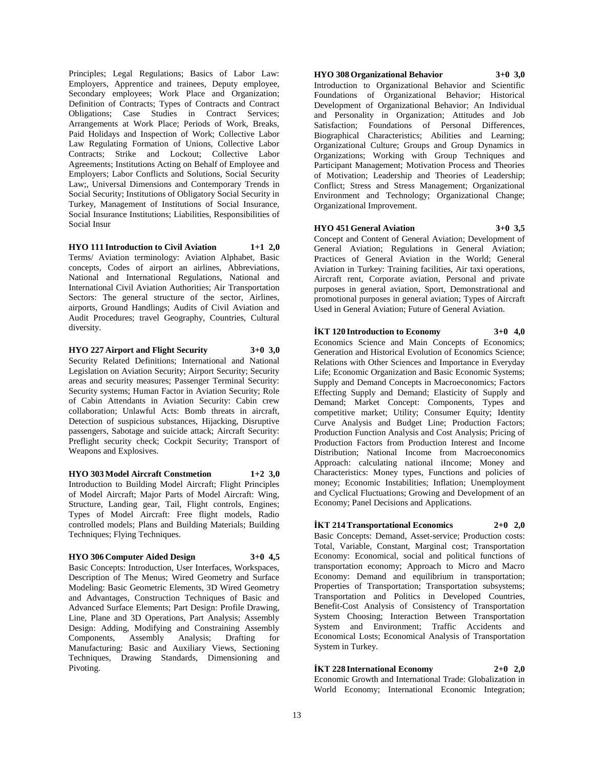Principles; Legal Regulations; Basics of Labor Law: Employers, Apprentice and trainees, Deputy employee, Secondary employees; Work Place and Organization; Definition of Contracts; Types of Contracts and Contract Obligations; Case Studies in Contract Services; Arrangements at Work Place; Periods of Work, Breaks, Paid Holidays and Inspection of Work; Collective Labor Law Regulating Formation of Unions, Collective Labor Contracts; Strike and Lockout; Collective Labor Agreements; Institutions Acting on Behalf of Employee and Employers; Labor Conflicts and Solutions, Social Security Law;, Universal Dimensions and Contemporary Trends in Social Security; Institutions of Obligatory Social Security in Turkey, Management of Institutions of Social Insurance, Social Insurance Institutions; Liabilities, Responsibilities of Social Insur

**HYO 111 Introduction to Civil Aviation 1+1 2,0** Terms/ Aviation terminology: Aviation Alphabet, Basic concepts, Codes of airport an airlines, Abbreviations, National and International Regulations, National and International Civil Aviation Authorities; Air Transportation Sectors: The general structure of the sector, Airlines, airports, Ground Handlings; Audits of Civil Aviation and Audit Procedures; travel Geography, Countries, Cultural diversity.

**HYO 227 Airport and Flight Security 3+0 3,0** Security Related Definitions; International and National Legislation on Aviation Security; Airport Security; Security areas and security measures; Passenger Terminal Security: Security systems; Human Factor in Aviation Security; Role of Cabin Attendants in Aviation Security: Cabin crew collaboration; Unlawful Acts: Bomb threats in aircraft, Detection of suspicious substances, Hijacking, Disruptive passengers, Sabotage and suicide attack; Aircraft Security: Preflight security check; Cockpit Security; Transport of Weapons and Explosives.

#### **HYO 303 Model Aircraft Constmetion 1+2 3,0** Introduction to Building Model Aircraft; Flight Principles of Model Aircraft; Major Parts of Model Aircraft: Wing, Structure, Landing gear, Tail, Flight controls, Engines; Types of Model Aircraft: Free flight models, Radio controlled models; Plans and Building Materials; Building Techniques; Flying Techniques.

#### **HYO 306 Computer Aided Design 3+0 4,5**

Basic Concepts: Introduction, User Interfaces, Workspaces, Description of The Menus; Wired Geometry and Surface Modeling: Basic Geometric Elements, 3D Wired Geometry and Advantages, Construction Techniques of Basic and Advanced Surface Elements; Part Design: Profile Drawing, Line, Plane and 3D Operations, Part Analysis; Assembly Design: Adding, Modifying and Constraining Assembly Components, Assembly Analysis; Drafting for Manufacturing: Basic and Auxiliary Views, Sectioning Techniques, Drawing Standards, Dimensioning and Pivoting.

## **HYO 308 Organizational Behavior 3+0 3,0**

Introduction to Organizational Behavior and Scientific Foundations of Organizational Behavior; Historical Development of Organizational Behavior; An Individual and Personality in Organization; Attitudes and Job Satisfaction; Foundations of Personal Differences, Biographical Characteristics; Abilities and Learning; Organizational Culture; Groups and Group Dynamics in Organizations; Working with Group Techniques and Participant Management; Motivation Process and Theories of Motivation; Leadership and Theories of Leadership; Conflict; Stress and Stress Management; Organizational Environment and Technology; Organizational Change; Organizational Improvement.

#### **HYO 451 General Aviation 3+0 3,5**

Concept and Content of General Aviation; Development of General Aviation; Regulations in General Aviation; Practices of General Aviation in the World; General Aviation in Turkey: Training facilities, Air taxi operations, Aircraft rent, Corporate aviation, Personal and private purposes in general aviation, Sport, Demonstrational and promotional purposes in general aviation; Types of Aircraft Used in General Aviation; Future of General Aviation.

## **İKT 120 Introduction to Economy 3+0 4,0**

Economics Science and Main Concepts of Economics; Generation and Historical Evolution of Economics Science; Relations with Other Sciences and Importance in Everyday Life; Economic Organization and Basic Economic Systems; Supply and Demand Concepts in Macroeconomics; Factors Effecting Supply and Demand; Elasticity of Supply and Demand; Market Concept: Components, Types and competitive market; Utility; Consumer Equity; Identity Curve Analysis and Budget Line; Production Factors; Production Function Analysis and Cost Analysis; Pricing of Production Factors from Production Interest and Income Distribution; National Income from Macroeconomics Approach: calculating national iIncome; Money and Characteristics: Money types, Functions and policies of money; Economic Instabilities; Inflation; Unemployment and Cyclical Fluctuations; Growing and Development of an Economy; Panel Decisions and Applications.

#### **İKT 214 Transportational Economics 2+0 2,0**

Basic Concepts: Demand, Asset-service; Production costs: Total, Variable, Constant, Marginal cost; Transportation Economy: Economical, social and political functions of transportation economy; Approach to Micro and Macro Economy: Demand and equilibrium in transportation; Properties of Transportation; Transportation subsystems; Transportation and Politics in Developed Countries, Benefit-Cost Analysis of Consistency of Transportation System Choosing; Interaction Between Transportation System and Environment; Traffic Accidents and Economical Losts; Economical Analysis of Transportation System in Turkey.

**İKT 228 International Economy 2+0 2,0** Economic Growth and International Trade: Globalization in World Economy; International Economic Integration;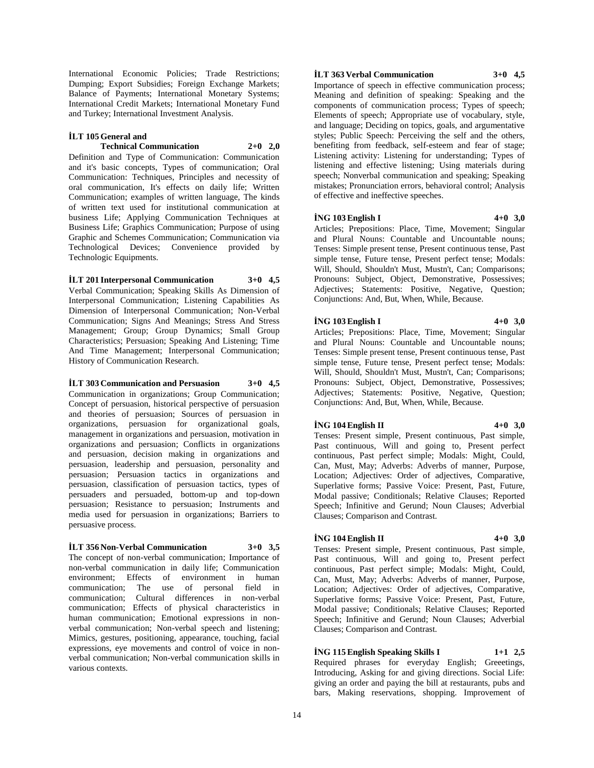International Economic Policies; Trade Restrictions; Dumping; Export Subsidies; Foreign Exchange Markets; Balance of Payments; International Monetary Systems; International Credit Markets; International Monetary Fund and Turkey; International Investment Analysis.

## **İLT 105 General and**

#### **Technical Communication 2+0 2,0**

Definition and Type of Communication: Communication and it's basic concepts, Types of communication; Oral Communication: Techniques, Principles and necessity of oral communication, It's effects on daily life; Written Communication; examples of written language, The kinds of written text used for institutional communication at business Life; Applying Communication Techniques at Business Life; Graphics Communication; Purpose of using Graphic and Schemes Communication; Communication via Technological Devices; Convenience provided by Technologic Equipments.

## **İLT 201 Interpersonal Communication 3+0 4,5**

Verbal Communication; Speaking Skills As Dimension of Interpersonal Communication; Listening Capabilities As Dimension of Interpersonal Communication; Non-Verbal Communication; Signs And Meanings; Stress And Stress Management; Group; Group Dynamics; Small Group Characteristics; Persuasion; Speaking And Listening; Time And Time Management; Interpersonal Communication; History of Communication Research.

#### **İLT 303 Communication and Persuasion 3+0 4,5**

Communication in organizations; Group Communication; Concept of persuasion, historical perspective of persuasion and theories of persuasion; Sources of persuasion in organizations, persuasion for organizational goals, management in organizations and persuasion, motivation in organizations and persuasion; Conflicts in organizations and persuasion, decision making in organizations and persuasion, leadership and persuasion, personality and persuasion; Persuasion tactics in organizations and persuasion, classification of persuasion tactics, types of persuaders and persuaded, bottom-up and top-down persuasion; Resistance to persuasion; Instruments and media used for persuasion in organizations; Barriers to persuasive process.

## **İLT 356 Non-Verbal Communication 3+0 3,5**

The concept of non-verbal communication; Importance of non-verbal communication in daily life; Communication environment; Effects of environment in human communication; The use of personal field in communication; Cultural differences in non-verbal communication; Effects of physical characteristics in human communication; Emotional expressions in nonverbal communication; Non-verbal speech and listening; Mimics, gestures, positioning, appearance, touching, facial expressions, eye movements and control of voice in nonverbal communication; Non-verbal communication skills in various contexts.

#### **İLT 363 Verbal Communication 3+0 4,5**

Importance of speech in effective communication process; Meaning and definition of speaking: Speaking and the components of communication process; Types of speech; Elements of speech; Appropriate use of vocabulary, style, and language; Deciding on topics, goals, and argumentative styles; Public Speech: Perceiving the self and the others, benefiting from feedback, self-esteem and fear of stage; Listening activity: Listening for understanding; Types of listening and effective listening; Using materials during speech; Nonverbal communication and speaking; Speaking mistakes; Pronunciation errors, behavioral control; Analysis of effective and ineffective speeches.

#### **İNG 103 English I 4+0 3,0**

Articles; Prepositions: Place, Time, Movement; Singular and Plural Nouns: Countable and Uncountable nouns; Tenses: Simple present tense, Present continuous tense, Past simple tense, Future tense, Present perfect tense; Modals: Will, Should, Shouldn't Must, Mustn't, Can; Comparisons; Pronouns: Subject, Object, Demonstrative, Possessives; Adjectives; Statements: Positive, Negative, Question; Conjunctions: And, But, When, While, Because.

#### **İNG 103 English I 4+0 3,0**

Articles; Prepositions: Place, Time, Movement; Singular and Plural Nouns: Countable and Uncountable nouns; Tenses: Simple present tense, Present continuous tense, Past simple tense, Future tense, Present perfect tense; Modals: Will, Should, Shouldn't Must, Mustn't, Can; Comparisons; Pronouns: Subject, Object, Demonstrative, Possessives; Adjectives; Statements: Positive, Negative, Question; Conjunctions: And, But, When, While, Because.

#### **İNG 104 English II 4+0 3,0**

Tenses: Present simple, Present continuous, Past simple, Past continuous, Will and going to, Present perfect continuous, Past perfect simple; Modals: Might, Could, Can, Must, May; Adverbs: Adverbs of manner, Purpose, Location; Adjectives: Order of adjectives, Comparative, Superlative forms; Passive Voice: Present, Past, Future, Modal passive; Conditionals; Relative Clauses; Reported Speech; Infinitive and Gerund; Noun Clauses; Adverbial Clauses; Comparison and Contrast.

## **İNG 104 English II 4+0 3,0**

Tenses: Present simple, Present continuous, Past simple, Past continuous, Will and going to, Present perfect continuous, Past perfect simple; Modals: Might, Could, Can, Must, May; Adverbs: Adverbs of manner, Purpose, Location; Adjectives: Order of adjectives, Comparative, Superlative forms; Passive Voice: Present, Past, Future, Modal passive; Conditionals; Relative Clauses; Reported Speech; Infinitive and Gerund; Noun Clauses; Adverbial Clauses; Comparison and Contrast.

**İNG 115 English Speaking Skills I 1+1 2,5** Required phrases for everyday English; Greeetings, Introducing, Asking for and giving directions. Social Life: giving an order and paying the bill at restaurants, pubs and bars, Making reservations, shopping. Improvement of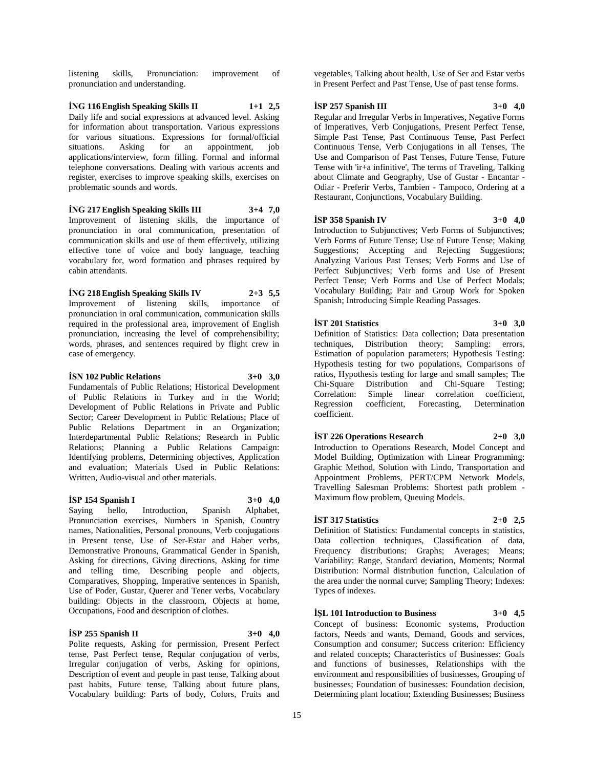listening skills, Pronunciation: improvement of pronunciation and understanding.

**İNG 116 English Speaking Skills II 1+1 2,5** Daily life and social expressions at advanced level. Asking for information about transportation. Various expressions for various situations. Expressions for formal/official situations. Asking for an appointment, job situations. Asking for an appointment, job applications/interview, form filling. Formal and informal telephone conversations. Dealing with various accents and register, exercises to improve speaking skills, exercises on problematic sounds and words.

#### **İNG 217 English Speaking Skills III 3+4 7,0**

Improvement of listening skills, the importance of pronunciation in oral communication, presentation of communication skills and use of them effectively, utilizing effective tone of voice and body language, teaching vocabulary for, word formation and phrases required by cabin attendants.

## **İNG 218 English Speaking Skills IV 2+3 5,5**

Improvement of listening skills, importance of pronunciation in oral communication, communication skills required in the professional area, improvement of English pronunciation, increasing the level of comprehensibility; words, phrases, and sentences required by flight crew in case of emergency.

#### **İSN 102 Public Relations 3+0 3,0**

Fundamentals of Public Relations; Historical Development of Public Relations in Turkey and in the World; Development of Public Relations in Private and Public Sector; Career Development in Public Relations; Place of Public Relations Department in an Organization; Interdepartmental Public Relations; Research in Public Relations; Planning a Public Relations Campaign: Identifying problems, Determining objectives, Application and evaluation; Materials Used in Public Relations: Written, Audio-visual and other materials.

#### **İSP 154 Spanish I 3+0 4,0**

Saying hello, Introduction, Spanish Alphabet, Pronunciation exercises, Numbers in Spanish, Country names, Nationalities, Personal pronouns, Verb conjugations in Present tense, Use of Ser-Estar and Haber verbs, Demonstrative Pronouns, Grammatical Gender in Spanish, Asking for directions, Giving directions, Asking for time and telling time, Describing people and objects, Comparatives, Shopping, Imperative sentences in Spanish, Use of Poder, Gustar, Querer and Tener verbs, Vocabulary building: Objects in the classroom, Objects at home, Occupations, Food and description of clothes.

## **İSP 255 Spanish II 3+0 4,0**

Polite requests, Asking for permission, Present Perfect tense, Past Perfect tense, Reqular conjugation of verbs, Irregular conjugation of verbs, Asking for opinions, Description of event and people in past tense, Talking about past habits, Future tense, Talking about future plans, Vocabulary building: Parts of body, Colors, Fruits and

vegetables, Talking about health, Use of Ser and Estar verbs in Present Perfect and Past Tense, Use of past tense forms.

## **İSP 257 Spanish III 3+0 4,0**

Regular and Irregular Verbs in Imperatives, Negative Forms of Imperatives, Verb Conjugations, Present Perfect Tense, Simple Past Tense, Past Continuous Tense, Past Perfect Continuous Tense, Verb Conjugations in all Tenses, The Use and Comparison of Past Tenses, Future Tense, Future Tense with 'ir+a infinitive', The terms of Traveling, Talking about Climate and Geography, Use of Gustar - Encantar - Odiar - Preferir Verbs, Tambien - Tampoco, Ordering at a Restaurant, Conjunctions, Vocabulary Building.

### **İSP 358 Spanish IV 3+0 4,0**

Introduction to Subjunctives; Verb Forms of Subjunctives; Verb Forms of Future Tense; Use of Future Tense; Making Suggestions; Accepting and Rejecting Suggestions; Analyzing Various Past Tenses; Verb Forms and Use of Perfect Subjunctives; Verb forms and Use of Present Perfect Tense; Verb Forms and Use of Perfect Modals; Vocabulary Building; Pair and Group Work for Spoken Spanish; Introducing Simple Reading Passages.

#### **İST 201 Statistics 3+0 3,0**

Definition of Statistics: Data collection; Data presentation techniques, Distribution theory; Sampling: errors, Estimation of population parameters; Hypothesis Testing: Hypothesis testing for two populations, Comparisons of ratios, Hypothesis testing for large and small samples; The Chi-Square Distribution and Chi-Square Testing; Correlation: Simple linear correlation coefficient, Regression coefficient, Forecasting, Determination coefficient.

#### **İST 226 Operations Research 2+0 3,0**

Introduction to Operations Research, Model Concept and Model Building, Optimization with Linear Programming: Graphic Method, Solution with Lindo, Transportation and Appointment Problems, PERT/CPM Network Models, Travelling Salesman Problems: Shortest path problem - Maximum flow problem, Queuing Models.

Types of indexes.

**İST 317 Statistics 2+0 2,5** Definition of Statistics: Fundamental concepts in statistics, Data collection techniques, Classification of data, Frequency distributions; Graphs; Averages; Means; Variability: Range, Standard deviation, Moments; Normal Distribution: Normal distribution function, Calculation of the area under the normal curve; Sampling Theory; Indexes:

## **İŞL 101 Introduction to Business 3+0 4,5**

Concept of business: Economic systems, Production factors, Needs and wants, Demand, Goods and services, Consumption and consumer; Success criterion: Efficiency and related concepts; Characteristics of Businesses: Goals and functions of businesses, Relationships with the environment and responsibilities of businesses, Grouping of businesses; Foundation of businesses: Foundation decision, Determining plant location; Extending Businesses; Business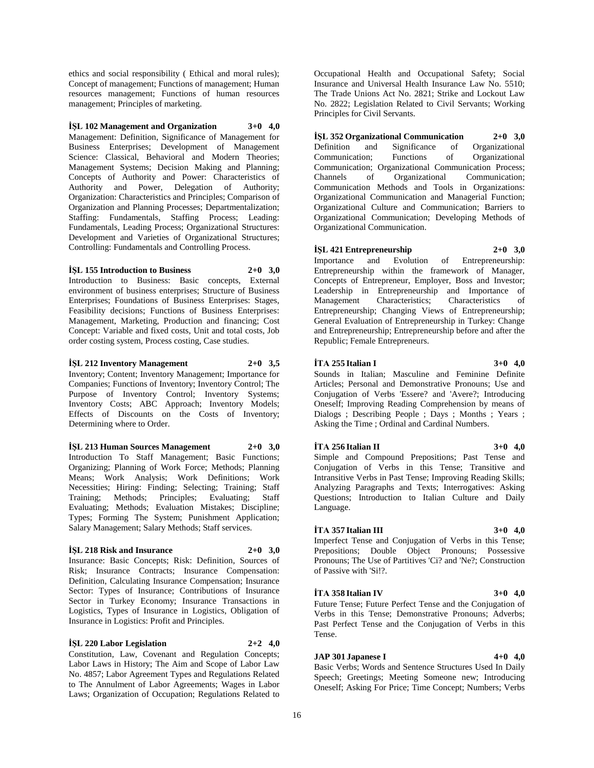ethics and social responsibility ( Ethical and moral rules); Concept of management; Functions of management; Human resources management; Functions of human resources management; Principles of marketing.

**İŞL 102 Management and Organization 3+0 4,0** Management: Definition, Significance of Management for Business Enterprises; Development of Management Science: Classical, Behavioral and Modern Theories; Management Systems; Decision Making and Planning; Concepts of Authority and Power: Characteristics of Authority and Power, Delegation of Authority; Organization: Characteristics and Principles; Comparison of Organization and Planning Processes; Departmentalization; Staffing: Fundamentals, Staffing Process; Leading: Fundamentals, Leading Process; Organizational Structures: Development and Varieties of Organizational Structures; Controlling: Fundamentals and Controlling Process.

## **İŞL 155 Introduction to Business 2+0 3,0**

Introduction to Business: Basic concepts, External environment of business enterprises; Structure of Business Enterprises; Foundations of Business Enterprises: Stages, Feasibility decisions; Functions of Business Enterprises: Management, Marketing, Production and financing; Cost Concept: Variable and fixed costs, Unit and total costs, Job order costing system, Process costing, Case studies.

**İŞL 212 Inventory Management 2+0 3,5** Inventory; Content; Inventory Management; Importance for Companies; Functions of Inventory; Inventory Control; The Purpose of Inventory Control; Inventory Systems; Inventory Costs; ABC Approach; Inventory Models; Effects of Discounts on the Costs of Inventory; Determining where to Order.

#### **İŞL 213 Human Sources Management 2+0 3,0**

Introduction To Staff Management; Basic Functions; Organizing; Planning of Work Force; Methods; Planning Means; Work Analysis; Work Definitions; Work Necessities; Hiring: Finding; Selecting; Training; Staff Training; Methods; Principles; Evaluating; Staff Evaluating; Methods; Evaluation Mistakes; Discipline; Types; Forming The System; Punishment Application; Salary Management; Salary Methods; Staff services.

#### **İŞL 218 Risk and Insurance 2+0 3,0**

Insurance: Basic Concepts; Risk: Definition, Sources of Risk; Insurance Contracts; Insurance Compensation: Definition, Calculating Insurance Compensation; Insurance Sector: Types of Insurance; Contributions of Insurance Sector in Turkey Economy; Insurance Transactions in Logistics, Types of Insurance in Logistics, Obligation of Insurance in Logistics: Profit and Principles.

#### **İŞL 220 Labor Legislation 2+2 4,0**

Constitution, Law, Covenant and Regulation Concepts; Labor Laws in History; The Aim and Scope of Labor Law No. 4857; Labor Agreement Types and Regulations Related to The Annulment of Labor Agreements; Wages in Labor Laws; Organization of Occupation; Regulations Related to

Occupational Health and Occupational Safety; Social Insurance and Universal Health Insurance Law No. 5510; The Trade Unions Act No. 2821; Strike and Lockout Law No. 2822; Legislation Related to Civil Servants; Working Principles for Civil Servants.

**İŞL 352 Organizational Communication 2+0 3,0** Definition and Significance of Organizational Communication; Functions of Organizational Communication; Organizational Communication Process; Channels of Organizational Communication; Communication Methods and Tools in Organizations: Organizational Communication and Managerial Function; Organizational Culture and Communication; Barriers to Organizational Communication; Developing Methods of Organizational Communication.

# **İŞL 421 Entrepreneurship 2+0 3,0**

Importance and Evolution of Entrepreneurship: Entrepreneurship within the framework of Manager, Concepts of Entrepreneur, Employer, Boss and Investor; Leadership in Entrepreneurship and Importance of Management Characteristics; Characteristics of Entrepreneurship; Changing Views of Entrepreneurship; General Evaluation of Entrepreneurship in Turkey: Change and Entrepreneurship; Entrepreneurship before and after the Republic; Female Entrepreneurs.

## **İTA 255 Italian I 3+0 4,0**

Sounds in Italian; Masculine and Feminine Definite Articles; Personal and Demonstrative Pronouns; Use and Conjugation of Verbs 'Essere? and 'Avere?; Introducing Oneself; Improving Reading Comprehension by means of Dialogs ; Describing People ; Days ; Months ; Years ; Asking the Time ; Ordinal and Cardinal Numbers.

## **İTA 256 Italian II 3+0 4,0**

Simple and Compound Prepositions; Past Tense and Conjugation of Verbs in this Tense; Transitive and Intransitive Verbs in Past Tense; Improving Reading Skills; Analyzing Paragraphs and Texts; Interrogatives: Asking Questions; Introduction to Italian Culture and Daily Language.

#### **İTA 357 Italian III 3+0 4,0**

Imperfect Tense and Conjugation of Verbs in this Tense; Prepositions; Double Object Pronouns; Possessive Pronouns; The Use of Partitives 'Ci? and 'Ne?; Construction of Passive with 'Si!?.

## **İTA 358 Italian IV 3+0 4,0**

Future Tense; Future Perfect Tense and the Conjugation of Verbs in this Tense; Demonstrative Pronouns; Adverbs; Past Perfect Tense and the Conjugation of Verbs in this Tense.

## **JAP 301 Japanese I 4+0 4,0**

Basic Verbs; Words and Sentence Structures Used In Daily Speech; Greetings; Meeting Someone new; Introducing Oneself; Asking For Price; Time Concept; Numbers; Verbs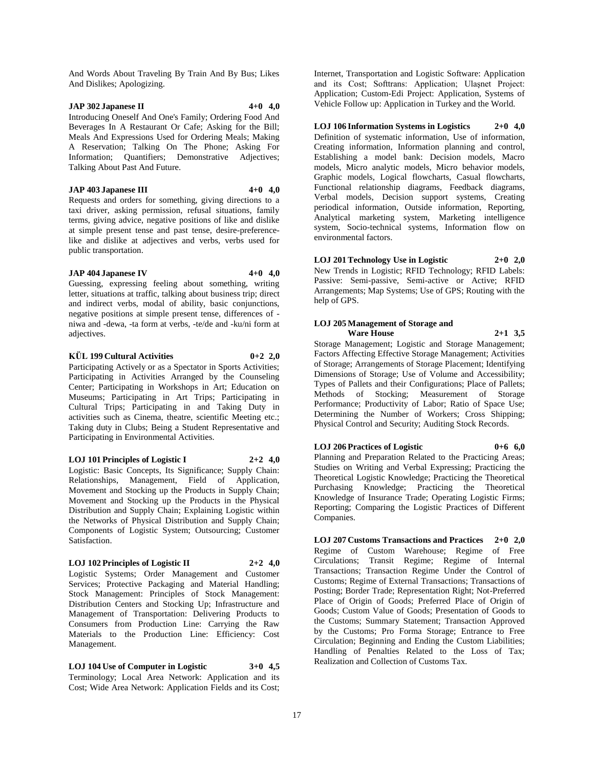And Words About Traveling By Train And By Bus; Likes And Dislikes; Apologizing.

## **JAP 302 Japanese II 4+0 4,0**

Introducing Oneself And One's Family; Ordering Food And Beverages In A Restaurant Or Cafe; Asking for the Bill; Meals And Expressions Used for Ordering Meals; Making A Reservation; Talking On The Phone; Asking For Information; Quantifiers; Demonstrative Adjectives; Talking About Past And Future.

## **JAP 403 Japanese III 4+0 4,0**

Requests and orders for something, giving directions to a taxi driver, asking permission, refusal situations, family terms, giving advice, negative positions of like and dislike at simple present tense and past tense, desire-preferencelike and dislike at adjectives and verbs, verbs used for public transportation.

#### **JAP 404 Japanese IV 4+0 4,0**

Guessing, expressing feeling about something, writing letter, situations at traffic, talking about business trip; direct and indirect verbs, modal of ability, basic conjunctions, negative positions at simple present tense, differences of niwa and -dewa, -ta form at verbs, -te/de and -ku/ni form at adjectives.

## **KÜL 199 Cultural Activities 0+2 2,0**

Participating Actively or as a Spectator in Sports Activities; Participating in Activities Arranged by the Counseling Center; Participating in Workshops in Art; Education on Museums; Participating in Art Trips; Participating in Cultural Trips; Participating in and Taking Duty in activities such as Cinema, theatre, scientific Meeting etc.; Taking duty in Clubs; Being a Student Representative and Participating in Environmental Activities.

**LOJ 101 Principles of Logistic I 2+2 4,0** Logistic: Basic Concepts, Its Significance; Supply Chain: Relationships, Management, Field of Application, Movement and Stocking up the Products in Supply Chain; Movement and Stocking up the Products in the Physical Distribution and Supply Chain; Explaining Logistic within the Networks of Physical Distribution and Supply Chain; Components of Logistic System; Outsourcing; Customer Satisfaction.

#### **LOJ 102 Principles of Logistic II 2+2 4,0**

Logistic Systems; Order Management and Customer Services; Protective Packaging and Material Handling; Stock Management: Principles of Stock Management: Distribution Centers and Stocking Up; Infrastructure and Management of Transportation: Delivering Products to Consumers from Production Line: Carrying the Raw Materials to the Production Line: Efficiency: Cost Management.

**LOJ 104 Use of Computer in Logistic 3+0 4,5** Terminology; Local Area Network: Application and its Cost; Wide Area Network: Application Fields and its Cost;

Internet, Transportation and Logistic Software: Application and its Cost; Softtrans: Application; Ulaşnet Project: Application; Custom-Edi Project: Application, Systems of Vehicle Follow up: Application in Turkey and the World.

**LOJ 106 Information Systems in Logistics 2+0 4,0** Definition of systematic information, Use of information, Creating information, Information planning and control, Establishing a model bank: Decision models, Macro models, Micro analytic models, Micro behavior models, Graphic models, Logical flowcharts, Casual flowcharts, Functional relationship diagrams, Feedback diagrams, Verbal models, Decision support systems, Creating periodical information, Outside information, Reporting, Analytical marketing system, Marketing intelligence system, Socio-technical systems, Information flow on environmental factors.

**LOJ 201 Technology Use in Logistic 2+0 2,0** New Trends in Logistic; RFID Technology; RFID Labels: Passive: Semi-passive, Semi-active or Active; RFID Arrangements; Map Systems; Use of GPS; Routing with the help of GPS.

#### **LOJ 205 Management of Storage and Ware House 2+1 3,5**

Storage Management; Logistic and Storage Management; Factors Affecting Effective Storage Management; Activities of Storage; Arrangements of Storage Placement; Identifying Dimensions of Storage; Use of Volume and Accessibility; Types of Pallets and their Configurations; Place of Pallets; Methods of Stocking; Measurement of Storage Performance; Productivity of Labor; Ratio of Space Use; Determining the Number of Workers; Cross Shipping; Physical Control and Security; Auditing Stock Records.

## **LOJ 206 Practices of Logistic 0+6 6,0**

Planning and Preparation Related to the Practicing Areas; Studies on Writing and Verbal Expressing; Practicing the Theoretical Logistic Knowledge; Practicing the Theoretical Purchasing Knowledge; Practicing the Theoretical Knowledge of Insurance Trade; Operating Logistic Firms; Reporting; Comparing the Logistic Practices of Different Companies.

**LOJ 207 Customs Transactions and Practices 2+0 2,0** Regime of Custom Warehouse; Regime of Free Circulations; Transit Regime; Regime of Internal Transactions; Transaction Regime Under the Control of Customs; Regime of External Transactions; Transactions of Posting; Border Trade; Representation Right; Not-Preferred Place of Origin of Goods; Preferred Place of Origin of Goods; Custom Value of Goods; Presentation of Goods to the Customs; Summary Statement; Transaction Approved by the Customs; Pro Forma Storage; Entrance to Free Circulation; Beginning and Ending the Custom Liabilities; Handling of Penalties Related to the Loss of Tax; Realization and Collection of Customs Tax.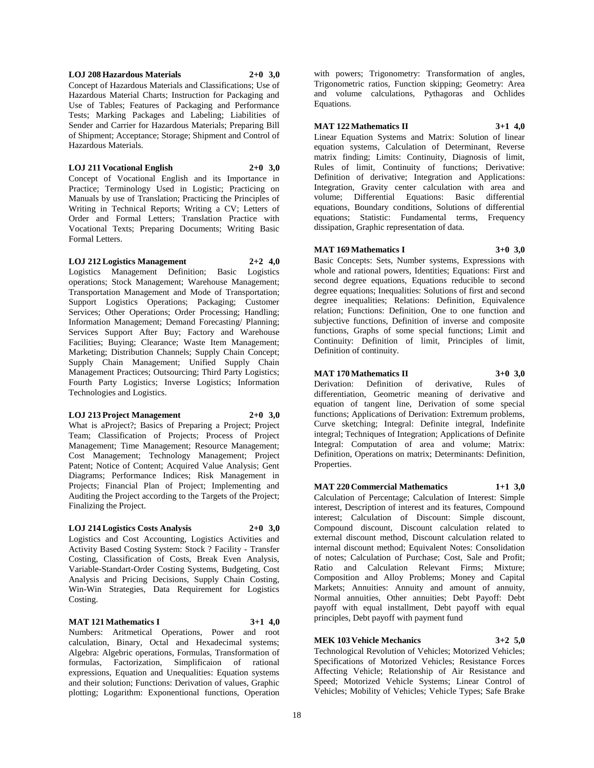#### **LOJ 208 Hazardous Materials 2+0 3,0**

Concept of Hazardous Materials and Classifications; Use of Hazardous Material Charts; Instruction for Packaging and Use of Tables; Features of Packaging and Performance Tests; Marking Packages and Labeling; Liabilities of Sender and Carrier for Hazardous Materials; Preparing Bill of Shipment; Acceptance; Storage; Shipment and Control of Hazardous Materials.

#### **LOJ 211 Vocational English 2+0 3,0**

Concept of Vocational English and its Importance in Practice; Terminology Used in Logistic; Practicing on Manuals by use of Translation; Practicing the Principles of Writing in Technical Reports; Writing a CV; Letters of Order and Formal Letters; Translation Practice with Vocational Texts; Preparing Documents; Writing Basic Formal Letters.

## **LOJ 212 Logistics Management 2+2 4,0**

Logistics Management Definition; Basic Logistics operations; Stock Management; Warehouse Management; Transportation Management and Mode of Transportation; Support Logistics Operations; Packaging; Customer Services; Other Operations; Order Processing; Handling; Information Management; Demand Forecasting/ Planning; Services Support After Buy; Factory and Warehouse Facilities; Buying; Clearance; Waste Item Management; Marketing; Distribution Channels; Supply Chain Concept; Supply Chain Management; Unified Supply Chain Management Practices; Outsourcing; Third Party Logistics; Fourth Party Logistics; Inverse Logistics; Information Technologies and Logistics.

#### **LOJ 213 Project Management 2+0 3,0**

What is aProject?; Basics of Preparing a Project; Project Team; Classification of Projects; Process of Project Management; Time Management; Resource Management; Cost Management; Technology Management; Project Patent; Notice of Content; Acquired Value Analysis; Gent Diagrams; Performance Indices; Risk Management in Projects; Financial Plan of Project; Implementing and Auditing the Project according to the Targets of the Project; Finalizing the Project.

# **LOJ 214 Logistics Costs Analysis 2+0 3,0**

Logistics and Cost Accounting, Logistics Activities and Activity Based Costing System: Stock ? Facility - Transfer Costing, Classification of Costs, Break Even Analysis, Variable-Standart-Order Costing Systems, Budgeting, Cost Analysis and Pricing Decisions, Supply Chain Costing, Win-Win Strategies, Data Requirement for Logistics Costing.

#### **MAT 121 Mathematics I 3+1 4,0**

Numbers: Aritmetical Operations, Power and root calculation, Binary, Octal and Hexadecimal systems; Algebra: Algebric operations, Formulas, Transformation of formulas, Factorization, Simplificaion of rational expressions, Equation and Unequalities: Equation systems and their solution; Functions: Derivation of values, Graphic plotting; Logarithm: Exponentional functions, Operation

with powers; Trigonometry: Transformation of angles, Trigonometric ratios, Function skipping; Geometry: Area and volume calculations, Pythagoras and Ochlides Equations.

## **MAT 122 Mathematics II 3+1 4,0**

Linear Equation Systems and Matrix: Solution of linear equation systems, Calculation of Determinant, Reverse matrix finding; Limits: Continuity, Diagnosis of limit, Rules of limit, Continuity of functions; Derivative: Definition of derivative; Integration and Applications: Integration, Gravity center calculation with area and volume; Differential Equations: Basic differential equations, Boundary conditions, Solutions of differential equations; Statistic: Fundamental terms, Frequency dissipation, Graphic representation of data.

#### **MAT 169 Mathematics I 3+0 3,0**

Basic Concepts: Sets, Number systems, Expressions with whole and rational powers, Identities; Equations: First and second degree equations, Equations reducible to second degree equations; Inequalities: Solutions of first and second degree inequalities; Relations: Definition, Equivalence relation; Functions: Definition, One to one function and subjective functions, Definition of inverse and composite functions, Graphs of some special functions; Limit and Continuity: Definition of limit, Principles of limit, Definition of continuity.

#### **MAT 170 Mathematics II 3+0 3,0**

Derivation: Definition of derivative, Rules of differentiation, Geometric meaning of derivative and equation of tangent line, Derivation of some special functions; Applications of Derivation: Extremum problems, Curve sketching; Integral: Definite integral, Indefinite integral; Techniques of Integration; Applications of Definite Integral: Computation of area and volume; Matrix: Definition, Operations on matrix; Determinants: Definition, Properties.

**MAT 220 Commercial Mathematics 1+1 3,0** Calculation of Percentage; Calculation of Interest: Simple interest, Description of interest and its features, Compound interest; Calculation of Discount: Simple discount, Compound discount, Discount calculation related to external discount method, Discount calculation related to internal discount method; Equivalent Notes: Consolidation of notes; Calculation of Purchase; Cost, Sale and Profit; Ratio and Calculation Relevant Firms; Mixture; Composition and Alloy Problems; Money and Capital Markets; Annuities: Annuity and amount of annuity, Normal annuities, Other annuities; Debt Payoff: Debt payoff with equal installment, Debt payoff with equal principles, Debt payoff with payment fund

## **MEK 103 Vehicle Mechanics 3+2 5,0**

Technological Revolution of Vehicles; Motorized Vehicles; Specifications of Motorized Vehicles; Resistance Forces Affecting Vehicle; Relationship of Air Resistance and Speed; Motorized Vehicle Systems; Linear Control of Vehicles; Mobility of Vehicles; Vehicle Types; Safe Brake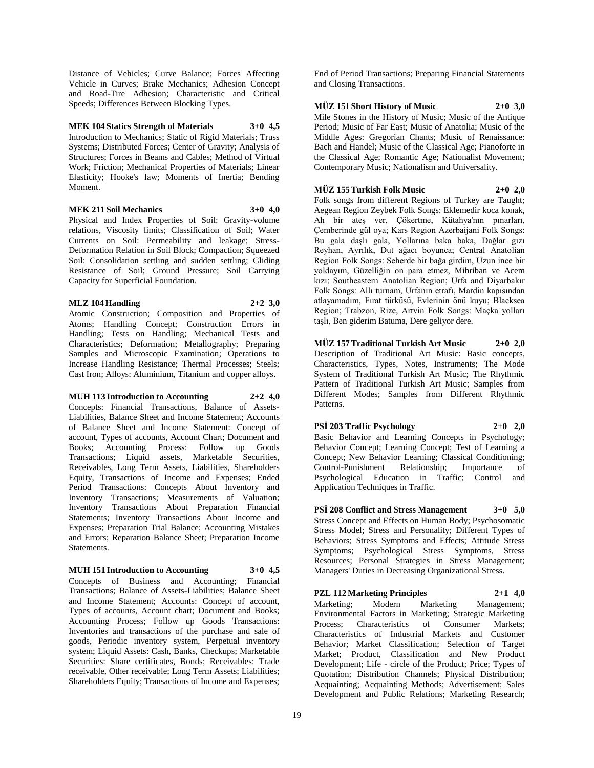Distance of Vehicles; Curve Balance; Forces Affecting Vehicle in Curves; Brake Mechanics; Adhesion Concept and Road-Tire Adhesion; Characteristic and Critical Speeds; Differences Between Blocking Types.

**MEK 104 Statics Strength of Materials 3+0 4,5** Introduction to Mechanics; Static of Rigid Materials; Truss Systems; Distributed Forces; Center of Gravity; Analysis of Structures; Forces in Beams and Cables; Method of Virtual Work; Friction; Mechanical Properties of Materials; Linear Elasticity; Hooke's law; Moments of Inertia; Bending Moment.

## **MEK 211 Soil Mechanics 3+0 4,0**

Physical and Index Properties of Soil: Gravity-volume relations, Viscosity limits; Classification of Soil; Water Currents on Soil: Permeability and leakage; Stress-Deformation Relation in Soil Block; Compaction; Squeezed Soil: Consolidation settling and sudden settling; Gliding Resistance of Soil; Ground Pressure; Soil Carrying Capacity for Superficial Foundation.

## **MLZ 104 Handling 2+2 3,0**

Atomic Construction; Composition and Properties of Atoms; Handling Concept; Construction Errors in Handling; Tests on Handling; Mechanical Tests and Characteristics; Deformation; Metallography; Preparing Samples and Microscopic Examination; Operations to Increase Handling Resistance; Thermal Processes; Steels; Cast Iron; Alloys: Aluminium, Titanium and copper alloys.

#### **MUH 113 Introduction to Accounting 2+2 4,0**

Concepts: Financial Transactions, Balance of Assets-Liabilities, Balance Sheet and Income Statement; Accounts of Balance Sheet and Income Statement: Concept of account, Types of accounts, Account Chart; Document and Books; Accounting Process: Follow up Goods Transactions; Liquid assets, Marketable Securities, Receivables, Long Term Assets, Liabilities, Shareholders Equity, Transactions of Income and Expenses; Ended Period Transactions: Concepts About Inventory and Inventory Transactions; Measurements of Valuation; Inventory Transactions About Preparation Financial Statements; Inventory Transactions About Income and Expenses; Preparation Trial Balance; Accounting Mistakes and Errors; Reparation Balance Sheet; Preparation Income Statements.

#### **MUH 151 Introduction to Accounting 3+0 4,5**

Concepts of Business and Accounting; Financial Transactions; Balance of Assets-Liabilities; Balance Sheet and Income Statement; Accounts: Concept of account, Types of accounts, Account chart; Document and Books; Accounting Process; Follow up Goods Transactions: Inventories and transactions of the purchase and sale of goods, Periodic inventory system, Perpetual inventory system; Liquid Assets: Cash, Banks, Checkups; Marketable Securities: Share certificates, Bonds; Receivables: Trade receivable, Other receivable; Long Term Assets; Liabilities; Shareholders Equity; Transactions of Income and Expenses;

End of Period Transactions; Preparing Financial Statements and Closing Transactions.

## **MÜZ 151 Short History of Music 2+0 3,0**

Mile Stones in the History of Music; Music of the Antique Period; Music of Far East; Music of Anatolia; Music of the Middle Ages: Gregorian Chants; Music of Renaissance: Bach and Handel; Music of the Classical Age; Pianoforte in the Classical Age; Romantic Age; Nationalist Movement; Contemporary Music; Nationalism and Universality.

## **MÜZ 155 Turkish Folk Music 2+0 2,0**

Folk songs from different Regions of Turkey are Taught; Aegean Region Zeybek Folk Songs: Eklemedir koca konak, Ah bir ateş ver, Çökertme, Kütahya'nın pınarları, Çemberinde gül oya; Kars Region Azerbaijani Folk Songs: Bu gala daşlı gala, Yollarına baka baka, Dağlar gızı Reyhan, Ayrılık, Dut ağacı boyunca; Central Anatolian Region Folk Songs: Seherde bir bağa girdim, Uzun ince bir yoldayım, Güzelliğin on para etmez, Mihriban ve Acem kızı; Southeastern Anatolian Region; Urfa and Diyarbakır Folk Songs: Allı turnam, Urfanın etrafı, Mardin kapısından atlayamadım, Fırat türküsü, Evlerinin önü kuyu; Blacksea Region; Trabzon, Rize, Artvin Folk Songs: Maçka yolları taşlı, Ben giderim Batuma, Dere geliyor dere.

# **MÜZ 157 Traditional Turkish Art Music 2+0 2,0** Description of Traditional Art Music: Basic concepts, Characteristics, Types, Notes, Instruments; The Mode

System of Traditional Turkish Art Music; The Rhythmic Pattern of Traditional Turkish Art Music; Samples from Different Modes; Samples from Different Rhythmic Patterns.

# **PSİ 203 Traffic Psychology 2+0 2,0**

Basic Behavior and Learning Concepts in Psychology; Behavior Concept; Learning Concept; Test of Learning a Concept; New Behavior Learning; Classical Conditioning; Control-Punishment Relationship; Importance of Psychological Education in Traffic; Control and Application Techniques in Traffic.

**PSİ 208 Conflict and Stress Management 3+0 5,0** Stress Concept and Effects on Human Body; Psychosomatic Stress Model; Stress and Personality; Different Types of Behaviors; Stress Symptoms and Effects; Attitude Stress Symptoms; Psychological Stress Symptoms, Stress Resources; Personal Strategies in Stress Management; Managers' Duties in Decreasing Organizational Stress.

**PZL 112 Marketing Principles 2+1 4,0** Marketing; Modern Marketing Management; Environmental Factors in Marketing; Strategic Marketing Process; Characteristics of Consumer Markets; Characteristics of Industrial Markets and Customer Behavior; Market Classification; Selection of Target Market; Product, Classification and New Product Development; Life - circle of the Product; Price; Types of Quotation; Distribution Channels; Physical Distribution; Acquainting; Acquainting Methods; Advertisement; Sales Development and Public Relations; Marketing Research;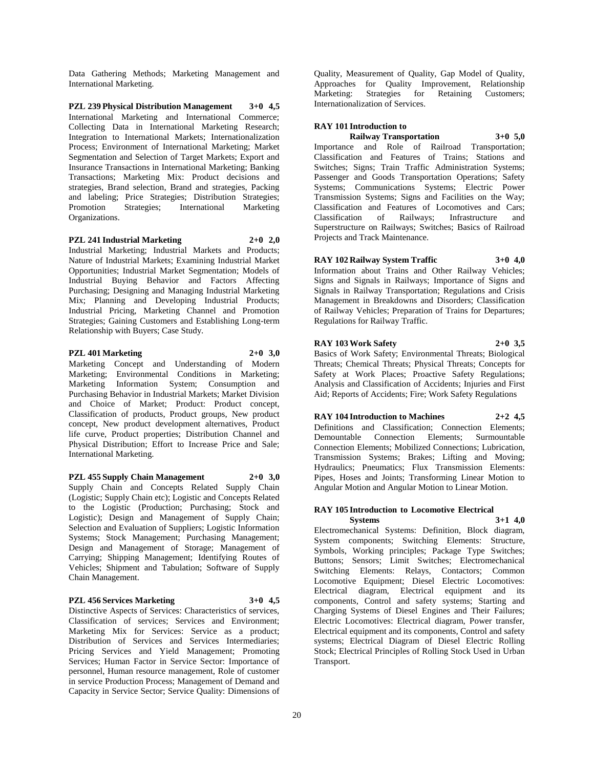Data Gathering Methods; Marketing Management and International Marketing.

**PZL 239 Physical Distribution Management 3+0 4,5** International Marketing and International Commerce; Collecting Data in International Marketing Research; Integration to International Markets; Internationalization Process; Environment of International Marketing; Market Segmentation and Selection of Target Markets; Export and Insurance Transactions in International Marketing; Banking Transactions; Marketing Mix: Product decisions and strategies, Brand selection, Brand and strategies, Packing and labeling; Price Strategies; Distribution Strategies; Promotion Strategies; International Marketing Organizations.

**PZL 241 Industrial Marketing 2+0 2,0** Industrial Marketing; Industrial Markets and Products; Nature of Industrial Markets; Examining Industrial Market Opportunities; Industrial Market Segmentation; Models of Industrial Buying Behavior and Factors Affecting Purchasing; Designing and Managing Industrial Marketing Mix; Planning and Developing Industrial Products; Industrial Pricing, Marketing Channel and Promotion Strategies; Gaining Customers and Establishing Long-term Relationship with Buyers; Case Study.

#### **PZL 401 Marketing 2+0 3,0**

Marketing Concept and Understanding of Modern Marketing; Environmental Conditions in Marketing; Marketing Information System; Consumption and Purchasing Behavior in Industrial Markets; Market Division and Choice of Market; Product: Product concept, Classification of products, Product groups, New product concept, New product development alternatives, Product life curve, Product properties; Distribution Channel and Physical Distribution; Effort to Increase Price and Sale; International Marketing.

**PZL 455 Supply Chain Management 2+0 3,0** Supply Chain and Concepts Related Supply Chain (Logistic; Supply Chain etc); Logistic and Concepts Related to the Logistic (Production; Purchasing; Stock and Logistic); Design and Management of Supply Chain; Selection and Evaluation of Suppliers; Logistic Information Systems; Stock Management; Purchasing Management; Design and Management of Storage; Management of Carrying; Shipping Management; Identifying Routes of Vehicles; Shipment and Tabulation; Software of Supply Chain Management.

#### **PZL 456 Services Marketing 3+0 4,5**

Distinctive Aspects of Services: Characteristics of services, Classification of services; Services and Environment; Marketing Mix for Services: Service as a product; Distribution of Services and Services Intermediaries; Pricing Services and Yield Management; Promoting Services; Human Factor in Service Sector: Importance of personnel, Human resource management, Role of customer in service Production Process; Management of Demand and Capacity in Service Sector; Service Quality: Dimensions of

Quality, Measurement of Quality, Gap Model of Quality, Approaches for Quality Improvement, Relationship<br>Marketing: Strategies for Retaining Customers; Strategies for Retaining Customers; Internationalization of Services.

#### **RAY 101 Introduction to**

**Railway Transportation 3+0 5,0** Importance and Role of Railroad Transportation; Classification and Features of Trains; Stations and Switches: Signs: Train Traffic Administration Systems: Passenger and Goods Transportation Operations; Safety Systems; Communications Systems; Electric Power Transmission Systems; Signs and Facilities on the Way; Classification and Features of Locomotives and Cars; Classification of Railways; Infrastructure and Superstructure on Railways; Switches; Basics of Railroad Projects and Track Maintenance.

**RAY 102 Railway System Traffic 3+0 4,0** Information about Trains and Other Railway Vehicles; Signs and Signals in Railways; Importance of Signs and Signals in Railway Transportation; Regulations and Crisis Management in Breakdowns and Disorders; Classification of Railway Vehicles; Preparation of Trains for Departures; Regulations for Railway Traffic.

#### **RAY 103 Work Safety 2+0 3,5**

Basics of Work Safety; Environmental Threats; Biological Threats; Chemical Threats; Physical Threats; Concepts for Safety at Work Places; Proactive Safety Regulations; Analysis and Classification of Accidents; Injuries and First Aid; Reports of Accidents; Fire; Work Safety Regulations

**RAY 104 Introduction to Machines 2+2 4,5** Definitions and Classification; Connection Elements; Demountable Connection Elements; Surmountable Connection Elements; Mobilized Connections; Lubrication, Transmission Systems; Brakes; Lifting and Moving; Hydraulics; Pneumatics; Flux Transmission Elements: Pipes, Hoses and Joints; Transforming Linear Motion to Angular Motion and Angular Motion to Linear Motion.

#### **RAY 105 Introduction to Locomotive Electrical Systems 3+1 4,0**

Electromechanical Systems: Definition, Block diagram, System components; Switching Elements: Structure, Symbols, Working principles; Package Type Switches; Buttons; Sensors; Limit Switches; Electromechanical Switching Elements: Relays, Contactors; Common Locomotive Equipment; Diesel Electric Locomotives: Electrical diagram, Electrical equipment and its components, Control and safety systems; Starting and Charging Systems of Diesel Engines and Their Failures; Electric Locomotives: Electrical diagram, Power transfer, Electrical equipment and its components, Control and safety systems; Electrical Diagram of Diesel Electric Rolling Stock; Electrical Principles of Rolling Stock Used in Urban Transport.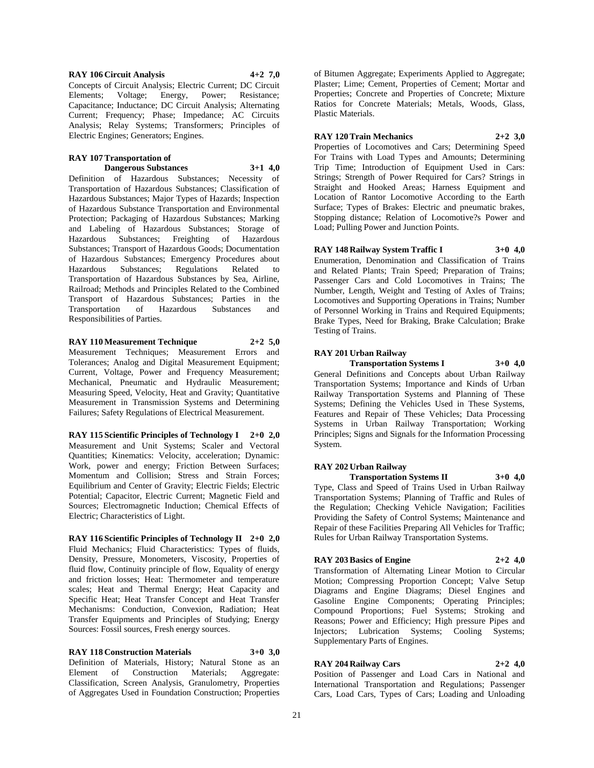**RAY 106 Circuit Analysis 4+2 7,0** Concepts of Circuit Analysis; Electric Current; DC Circuit Elements; Voltage; Energy, Power; Resistance; Capacitance; Inductance; DC Circuit Analysis; Alternating Current; Frequency; Phase; Impedance; AC Circuits Analysis; Relay Systems; Transformers; Principles of Electric Engines; Generators; Engines.

## **RAY 107 Transportation of Dangerous Substances 3+1 4,0**

Definition of Hazardous Substances; Necessity of Transportation of Hazardous Substances; Classification of Hazardous Substances; Major Types of Hazards; Inspection of Hazardous Substance Transportation and Environmental Protection; Packaging of Hazardous Substances; Marking and Labeling of Hazardous Substances; Storage of Hazardous Substances; Freighting of Hazardous Substances; Transport of Hazardous Goods; Documentation of Hazardous Substances; Emergency Procedures about Hazardous Substances; Regulations Related to Transportation of Hazardous Substances by Sea, Airline, Railroad; Methods and Principles Related to the Combined Transport of Hazardous Substances; Parties in the Transportation of Hazardous Substances and Responsibilities of Parties.

## **RAY 110 Measurement Technique 2+2 5,0**

Measurement Techniques; Measurement Errors and Tolerances; Analog and Digital Measurement Equipment; Current, Voltage, Power and Frequency Measurement; Mechanical, Pneumatic and Hydraulic Measurement; Measuring Speed, Velocity, Heat and Gravity; Quantitative Measurement in Transmission Systems and Determining Failures; Safety Regulations of Electrical Measurement.

**RAY 115 Scientific Principles of Technology I 2+0 2,0** Measurement and Unit Systems; Scaler and Vectoral Quantities; Kinematics: Velocity, acceleration; Dynamic: Work, power and energy; Friction Between Surfaces; Momentum and Collision; Stress and Strain Forces; Equilibrium and Center of Gravity; Electric Fields; Electric Potential; Capacitor, Electric Current; Magnetic Field and Sources; Electromagnetic Induction; Chemical Effects of Electric; Characteristics of Light.

**RAY 116 Scientific Principles of Technology II 2+0 2,0** Fluid Mechanics; Fluid Characteristics: Types of fluids, Density, Pressure, Monometers, Viscosity, Properties of fluid flow, Continuity principle of flow, Equality of energy and friction losses; Heat: Thermometer and temperature scales; Heat and Thermal Energy; Heat Capacity and Specific Heat; Heat Transfer Concept and Heat Transfer Mechanisms: Conduction, Convexion, Radiation; Heat Transfer Equipments and Principles of Studying; Energy Sources: Fossil sources, Fresh energy sources.

**RAY 118 Construction Materials 3+0 3,0** Definition of Materials, History; Natural Stone as an Element of Construction Materials; Aggregate: Classification, Screen Analysis, Granulometry, Properties of Aggregates Used in Foundation Construction; Properties

of Bitumen Aggregate; Experiments Applied to Aggregate; Plaster; Lime; Cement, Properties of Cement; Mortar and Properties; Concrete and Properties of Concrete; Mixture Ratios for Concrete Materials; Metals, Woods, Glass, Plastic Materials.

## **RAY 120 Train Mechanics 2+2 3,0**

Properties of Locomotives and Cars; Determining Speed For Trains with Load Types and Amounts; Determining Trip Time; Introduction of Equipment Used in Cars: Strings; Strength of Power Required for Cars? Strings in Straight and Hooked Areas; Harness Equipment and Location of Rantor Locomotive According to the Earth Surface; Types of Brakes: Electric and pneumatic brakes, Stopping distance; Relation of Locomotive?s Power and Load; Pulling Power and Junction Points.

## **RAY 148 Railway System Traffic I 3+0 4,0**

Enumeration, Denomination and Classification of Trains and Related Plants; Train Speed; Preparation of Trains; Passenger Cars and Cold Locomotives in Trains; The Number, Length, Weight and Testing of Axles of Trains; Locomotives and Supporting Operations in Trains; Number of Personnel Working in Trains and Required Equipments; Brake Types, Need for Braking, Brake Calculation; Brake Testing of Trains.

## **RAY 201 Urban Railway**

**Transportation Systems I 3+0 4,0** General Definitions and Concepts about Urban Railway Transportation Systems; Importance and Kinds of Urban Railway Transportation Systems and Planning of These Systems; Defining the Vehicles Used in These Systems, Features and Repair of These Vehicles; Data Processing Systems in Urban Railway Transportation; Working Principles; Signs and Signals for the Information Processing System.

## **RAY 202 Urban Railway**

**Transportation Systems II 3+0 4,0** Type, Class and Speed of Trains Used in Urban Railway Transportation Systems; Planning of Traffic and Rules of the Regulation; Checking Vehicle Navigation; Facilities Providing the Safety of Control Systems; Maintenance and Repair of these Facilities Preparing All Vehicles for Traffic; Rules for Urban Railway Transportation Systems.

## **RAY 203 Basics of Engine 2+2 4,0**

Transformation of Alternating Linear Motion to Circular Motion; Compressing Proportion Concept; Valve Setup Diagrams and Engine Diagrams; Diesel Engines and Gasoline Engine Components; Operating Principles; Compound Proportions; Fuel Systems; Stroking and Reasons; Power and Efficiency; High pressure Pipes and Injectors; Lubrication Systems; Cooling Systems; Supplementary Parts of Engines.

## **RAY 204 Railway Cars 2+2 4,0**

Position of Passenger and Load Cars in National and International Transportation and Regulations; Passenger Cars, Load Cars, Types of Cars; Loading and Unloading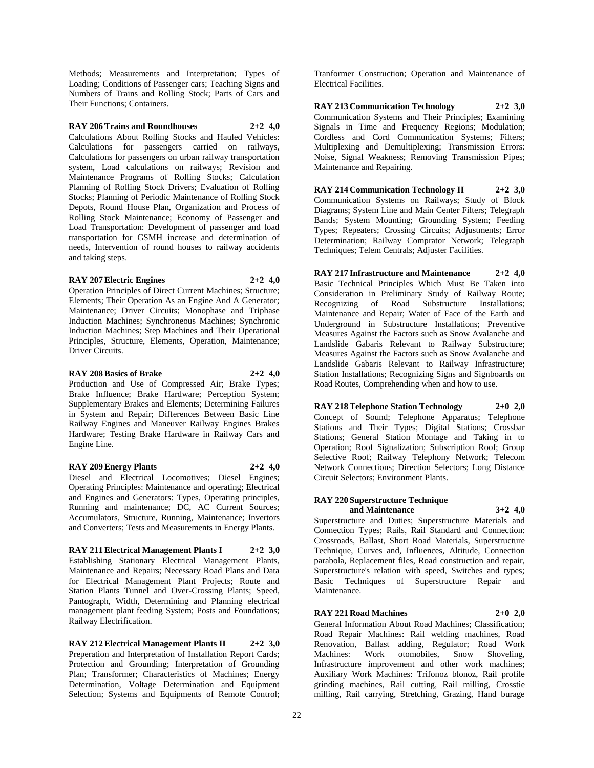Methods; Measurements and Interpretation; Types of Loading; Conditions of Passenger cars; Teaching Signs and Numbers of Trains and Rolling Stock; Parts of Cars and Their Functions; Containers.

**RAY 206 Trains and Roundhouses 2+2 4,0** Calculations About Rolling Stocks and Hauled Vehicles: Calculations for passengers carried on railways, Calculations for passengers on urban railway transportation system, Load calculations on railways; Revision and Maintenance Programs of Rolling Stocks; Calculation Planning of Rolling Stock Drivers; Evaluation of Rolling Stocks; Planning of Periodic Maintenance of Rolling Stock Depots, Round House Plan, Organization and Process of Rolling Stock Maintenance; Economy of Passenger and Load Transportation: Development of passenger and load transportation for GSMH increase and determination of needs, Intervention of round houses to railway accidents and taking steps.

## **RAY 207 Electric Engines 2+2 4,0**

Operation Principles of Direct Current Machines; Structure; Elements; Their Operation As an Engine And A Generator; Maintenance; Driver Circuits; Monophase and Triphase Induction Machines; Synchroneous Machines; Synchronic Induction Machines; Step Machines and Their Operational Principles, Structure, Elements, Operation, Maintenance; Driver Circuits.

## **RAY 208 Basics of Brake 2+2 4,0**

Production and Use of Compressed Air; Brake Types; Brake Influence; Brake Hardware; Perception System; Supplementary Brakes and Elements; Determining Failures in System and Repair; Differences Between Basic Line Railway Engines and Maneuver Railway Engines Brakes Hardware; Testing Brake Hardware in Railway Cars and Engine Line.

#### **RAY 209 Energy Plants 2+2 4,0**

Diesel and Electrical Locomotives; Diesel Engines; Operating Principles: Maintenance and operating; Electrical and Engines and Generators: Types, Operating principles, Running and maintenance; DC, AC Current Sources; Accumulators, Structure, Running, Maintenance; Invertors and Converters; Tests and Measurements in Energy Plants.

**RAY 211 Electrical Management Plants I 2+2 3,0** Establishing Stationary Electrical Management Plants, Maintenance and Repairs; Necessary Road Plans and Data for Electrical Management Plant Projects; Route and Station Plants Tunnel and Over-Crossing Plants; Speed, Pantograph, Width, Determining and Planning electrical management plant feeding System; Posts and Foundations; Railway Electrification.

**RAY 212 Electrical Management Plants II 2+2 3,0** Preperation and Interpretation of Installation Report Cards; Protection and Grounding; Interpretation of Grounding Plan; Transformer; Characteristics of Machines; Energy Determination, Voltage Determination and Equipment Selection; Systems and Equipments of Remote Control;

Tranformer Construction; Operation and Maintenance of Electrical Facilities.

**RAY 213 Communication Technology 2+2 3,0** Communication Systems and Their Principles; Examining Signals in Time and Frequency Regions; Modulation; Cordless and Cord Communication Systems; Filters; Multiplexing and Demultiplexing; Transmission Errors: Noise, Signal Weakness; Removing Transmission Pipes; Maintenance and Repairing.

**RAY 214 Communication Technology II 2+2 3,0** Communication Systems on Railways; Study of Block Diagrams; System Line and Main Center Filters; Telegraph Bands; System Mounting; Grounding System; Feeding Types; Repeaters; Crossing Circuits; Adjustments; Error Determination; Railway Comprator Network; Telegraph Techniques; Telem Centrals; Adjuster Facilities.

**RAY 217 Infrastructure and Maintenance 2+2 4,0** Basic Technical Principles Which Must Be Taken into Consideration in Preliminary Study of Railway Route; Recognizing of Road Substructure Installations; Maintenance and Repair; Water of Face of the Earth and Underground in Substructure Installations; Preventive Measures Against the Factors such as Snow Avalanche and Landslide Gabaris Relevant to Railway Substructure; Measures Against the Factors such as Snow Avalanche and Landslide Gabaris Relevant to Railway Infrastructure; Station Installations; Recognizing Signs and Signboards on Road Routes, Comprehending when and how to use.

**RAY 218 Telephone Station Technology 2+0 2,0** Concept of Sound; Telephone Apparatus; Telephone Stations and Their Types; Digital Stations; Crossbar Stations; General Station Montage and Taking in to Operation; Roof Signalization; Subscription Roof; Group Selective Roof; Railway Telephony Network; Telecom Network Connections; Direction Selectors; Long Distance Circuit Selectors; Environment Plants.

# **RAY 220 Superstructure Technique**

**and Maintenance 3+2 4,0** Superstructure and Duties; Superstructure Materials and Connection Types; Rails, Rail Standard and Connection: Crossroads, Ballast, Short Road Materials, Superstructure Technique, Curves and, Influences, Altitude, Connection parabola, Replacement files, Road construction and repair, Superstructure's relation with speed, Switches and types; Basic Techniques of Superstructure Repair and Maintenance.

#### **RAY 221 Road Machines 2+0 2,0**

General Information About Road Machines; Classification; Road Repair Machines: Rail welding machines, Road Renovation, Ballast adding, Regulator; Road Work Machines: Work otomobiles, Snow Shoveling, Infrastructure improvement and other work machines; Auxiliary Work Machines: Trifonoz blonoz, Rail profile grinding machines, Rail cutting, Rail milling, Crosstie milling, Rail carrying, Stretching, Grazing, Hand burage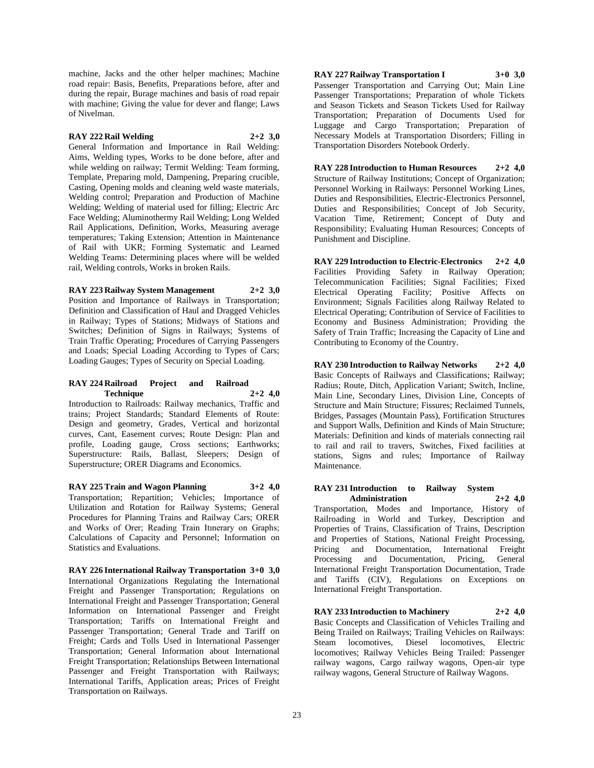machine, Jacks and the other helper machines; Machine road repair: Basis, Benefits, Preparations before, after and during the repair, Burage machines and basis of road repair with machine; Giving the value for dever and flange; Laws of Nivelman.

## **RAY 222 Rail Welding 2+2 3,0**

General Information and Importance in Rail Welding: Aims, Welding types, Works to be done before, after and while welding on railway: Termit Welding: Team forming, Template, Preparing mold, Dampening, Preparing crucible, Casting, Opening molds and cleaning weld waste materials, Welding control; Preparation and Production of Machine Welding; Welding of material used for filling; Electric Arc Face Welding; Aluminothermy Rail Welding; Long Welded Rail Applications, Definition, Works, Measuring average temperatures; Taking Extension; Attention in Maintenance of Rail with UKR; Forming Systematic and Learned Welding Teams: Determining places where will be welded rail, Welding controls, Works in broken Rails.

**RAY 223 Railway System Management 2+2 3,0** Position and Importance of Railways in Transportation; Definition and Classification of Haul and Dragged Vehicles in Railway; Types of Stations; Midways of Stations and Switches; Definition of Signs in Railways; Systems of Train Traffic Operating; Procedures of Carrying Passengers and Loads; Special Loading According to Types of Cars; Loading Gauges; Types of Security on Special Loading.

#### **RAY 224 Railroad Project and Railroad Technique 2+2 4,0**

Introduction to Railroads: Railway mechanics, Traffic and trains; Project Standards; Standard Elements of Route: Design and geometry, Grades, Vertical and horizontal curves, Cant, Easement curves; Route Design: Plan and profile, Loading gauge, Cross sections; Earthworks; Superstructure: Rails, Ballast, Sleepers; Design of Superstructure; ORER Diagrams and Economics.

**RAY 225 Train and Wagon Planning 3+2 4,0** Transportation; Repartition; Vehicles; Importance of Utilization and Rotation for Railway Systems; General Procedures for Planning Trains and Railway Cars; ORER and Works of Orer; Reading Train Itınerary on Graphs; Calculations of Capacity and Personnel; Information on Statistics and Evaluations.

**RAY 226 International Railway Transportation 3+0 3,0** International Organizations Regulating the International Freight and Passenger Transportation; Regulations on International Freight and Passenger Transportation; General Information on International Passenger and Freight Transportation; Tariffs on International Freight and Passenger Transportation; General Trade and Tariff on Freight; Cards and Tolls Used in International Passenger Transportation; General Information about International Freight Transportation; Relationships Between International Passenger and Freight Transportation with Railways; International Tariffs, Application areas; Prices of Freight Transportation on Railways.

**RAY 227 Railway Transportation I 3+0 3,0** Passenger Transportation and Carrying Out; Main Line Passenger Transportations; Preparation of whole Tickets and Season Tickets and Season Tickets Used for Railway Transportation; Preparation of Documents Used for Luggage and Cargo Transportation; Preparation of Necessary Models at Transportation Disorders; Filling in Transportation Disorders Notebook Orderly.

**RAY 228 Introduction to Human Resources 2+2 4,0** Structure of Railway Institutions; Concept of Organization; Personnel Working in Railways: Personnel Working Lines, Duties and Responsibilities, Electric-Electronics Personnel, Duties and Responsibilities; Concept of Job Security, Vacation Time, Retirement; Concept of Duty and Responsibility; Evaluating Human Resources; Concepts of Punishment and Discipline.

**RAY 229 Introduction to Electric-Electronics 2+2 4,0** Facilities Providing Safety in Railway Operation; Telecommunication Facilities; Signal Facilities; Fixed Electrical Operating Facility; Positive Affects on Environment; Signals Facilities along Railway Related to Electrical Operating; Contribution of Service of Facilities to Economy and Business Administration; Providing the Safety of Train Traffic; Increasing the Capacity of Line and Contributing to Economy of the Country.

**RAY 230 Introduction to Railway Networks 2+2 4,0** Basic Concepts of Railways and Classifications; Railway; Radius; Route, Ditch, Application Variant; Switch, Incline, Main Line, Secondary Lines, Division Line, Concepts of Structure and Main Structure; Fissures; Reclaimed Tunnels, Bridges, Passages (Mountain Pass), Fortification Structures and Support Walls, Definition and Kinds of Main Structure; Materials: Definition and kinds of materials connecting rail to rail and rail to travers, Switches, Fixed facilities at stations, Signs and rules; Importance of Railway Maintenance.

#### **RAY 231 Introduction to Railway System Administration 2+2 4,0**

Transportation, Modes and Importance, History of Railroading in World and Turkey, Description and Properties of Trains, Classification of Trains, Description and Properties of Stations, National Freight Processing, Pricing and Documentation, International Freight<br>Processing and Documentation, Pricing, General Processing and Documentation, International Freight Transportation Documentation, Trade and Tariffs (CIV), Regulations on Exceptions on International Freight Transportation.

**RAY 233 Introduction to Machinery 2+2 4,0** Basic Concepts and Classification of Vehicles Trailing and Being Trailed on Railways; Trailing Vehicles on Railways: Steam locomotives, Diesel locomotives, Electric locomotives; Railway Vehicles Being Trailed: Passenger railway wagons, Cargo railway wagons, Open-air type railway wagons, General Structure of Railway Wagons.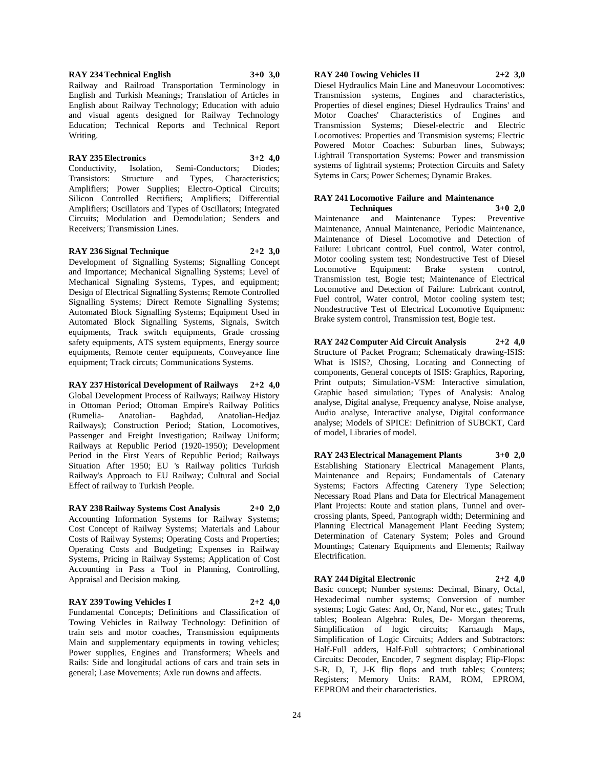**RAY 234 Technical English 3+0 3,0**

Railway and Railroad Transportation Terminology in English and Turkish Meanings; Translation of Articles in English about Railway Technology; Education with aduio and visual agents designed for Railway Technology Education; Technical Reports and Technical Report Writing.

#### **RAY 235 Electronics 3+2 4,0**

Conductivity, Isolation, Semi-Conductors; Diodes; Transistors: Structure and Types, Characteristics; Amplifiers; Power Supplies; Electro-Optical Circuits; Silicon Controlled Rectifiers; Amplifiers; Differential Amplifiers; Oscillators and Types of Oscillators; Integrated Circuits; Modulation and Demodulation; Senders and Receivers; Transmission Lines.

#### **RAY 236 Signal Technique 2+2 3,0**

Development of Signalling Systems; Signalling Concept and Importance; Mechanical Signalling Systems; Level of Mechanical Signaling Systems, Types, and equipment; Design of Electrical Signalling Systems; Remote Controlled Signalling Systems; Direct Remote Signalling Systems; Automated Block Signalling Systems; Equipment Used in Automated Block Signalling Systems, Signals, Switch equipments, Track switch equipments, Grade crossing safety equipments, ATS system equipments, Energy source equipments, Remote center equipments, Conveyance line equipment; Track circuts; Communications Systems.

**RAY 237 Historical Development of Railways 2+2 4,0** Global Development Process of Railways; Railway History in Ottoman Period; Ottoman Empire's Railway Politics (Rumelia- Anatolian- Baghdad, Anatolian-Hedjaz Railways); Construction Period; Station, Locomotives, Passenger and Freight Investigation; Railway Uniform; Railways at Republic Period (1920-1950); Development Period in the First Years of Republic Period; Railways Situation After 1950; EU 's Railway politics Turkish Railway's Approach to EU Railway; Cultural and Social Effect of railway to Turkish People.

**RAY 238 Railway Systems Cost Analysis 2+0 2,0** Accounting Information Systems for Railway Systems; Cost Concept of Railway Systems; Materials and Labour Costs of Railway Systems; Operating Costs and Properties; Operating Costs and Budgeting; Expenses in Railway Systems, Pricing in Railway Systems; Application of Cost Accounting in Pass a Tool in Planning, Controlling, Appraisal and Decision making.

## **RAY 239 Towing Vehicles I 2+2 4,0**

Fundamental Concepts; Definitions and Classification of Towing Vehicles in Railway Technology: Definition of train sets and motor coaches, Transmission equipments Main and supplementary equipments in towing vehicles; Power supplies, Engines and Transformers; Wheels and Rails: Side and longitudal actions of cars and train sets in general; Lase Movements; Axle run downs and affects.

## **RAY 240 Towing Vehicles II 2+2 3,0**

Diesel Hydraulics Main Line and Maneuvour Locomotives: Transmission systems, Engines and characteristics, Properties of diesel engines; Diesel Hydraulics Trains' and Motor Coaches' Characteristics of Engines and Transmission Systems; Diesel-electric and Electric Locomotives: Properties and Transmision systems; Electric Powered Motor Coaches: Suburban lines, Subways; Lightrail Transportation Systems: Power and transmission systems of lightrail systems; Protection Circuits and Safety Sytems in Cars; Power Schemes; Dynamic Brakes.

#### **RAY 241 Locomotive Failure and Maintenance Techniques 3+0 2,0**

Maintenance and Maintenance Types: Preventive Maintenance, Annual Maintenance, Periodic Maintenance, Maintenance of Diesel Locomotive and Detection of Failure: Lubricant control, Fuel control, Water control, Motor cooling system test; Nondestructive Test of Diesel Locomotive Equipment: Brake system control, Transmission test, Bogie test; Maintenance of Electrical Locomotive and Detection of Failure: Lubricant control, Fuel control, Water control, Motor cooling system test; Nondestructive Test of Electrical Locomotive Equipment: Brake system control, Transmission test, Bogie test.

**RAY 242 Computer Aid Circuit Analysis 2+2 4,0** Structure of Packet Program; Schematicaly drawing-ISIS: What is ISIS?, Chosing, Locating and Connecting of components, General concepts of ISIS: Graphics, Raporing, Print outputs; Simulation-VSM: Interactive simulation, Graphic based simulation; Types of Analysis: Analog analyse, Digital analyse, Frequency analyse, Noise analyse, Audio analyse, Interactive analyse, Digital conformance analyse; Models of SPICE: Definitrion of SUBCKT, Card of model, Libraries of model.

**RAY 243 Electrical Management Plants 3+0 2,0** Establishing Stationary Electrical Management Plants, Maintenance and Repairs; Fundamentals of Catenary Systems; Factors Affecting Catenery Type Selection; Necessary Road Plans and Data for Electrical Management Plant Projects: Route and station plans, Tunnel and overcrossing plants, Speed, Pantograph width; Determining and Planning Electrical Management Plant Feeding System; Determination of Catenary System; Poles and Ground Mountings; Catenary Equipments and Elements; Railway Electrification.

#### **RAY 244 Digital Electronic 2+2 4,0**

Basic concept; Number systems: Decimal, Binary, Octal, Hexadecimal number systems; Conversion of number systems; Logic Gates: And, Or, Nand, Nor etc., gates; Truth tables; Boolean Algebra: Rules, De- Morgan theorems, Simplification of logic circuits; Karnaugh Maps, Simplification of Logic Circuits; Adders and Subtractors: Half-Full adders, Half-Full subtractors; Combinational Circuits: Decoder, Encoder, 7 segment display; Flip-Flops: S-R, D, T, J-K flip flops and truth tables; Counters; Registers; Memory Units: RAM, ROM, EPROM, EEPROM and their characteristics.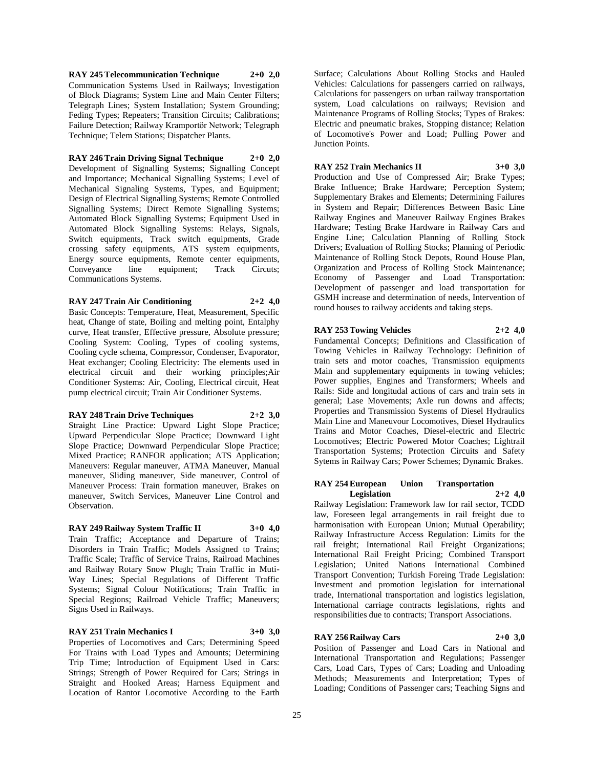**RAY 245 Telecommunication Technique 2+0 2,0** Communication Systems Used in Railways; Investigation of Block Diagrams; System Line and Main Center Filters; Telegraph Lines; System Installation; System Grounding; Feding Types; Repeaters; Transition Circuits; Calibrations; Failure Detection; Railway Kramportör Network; Telegraph Technique; Telem Stations; Dispatcher Plants.

## **RAY 246 Train Driving Signal Technique 2+0 2,0**

Development of Signalling Systems; Signalling Concept and Importance; Mechanical Signalling Systems; Level of Mechanical Signaling Systems, Types, and Equipment; Design of Electrical Signalling Systems; Remote Controlled Signalling Systems; Direct Remote Signalling Systems; Automated Block Signalling Systems; Equipment Used in Automated Block Signalling Systems: Relays, Signals, Switch equipments, Track switch equipments, Grade crossing safety equipments, ATS system equipments, Energy source equipments, Remote center equipments, Conveyance line equipment: Track Circuts: Communications Systems.

## **RAY 247 Train Air Conditioning 2+2 4,0**

Basic Concepts: Temperature, Heat, Measurement, Specific heat, Change of state, Boiling and melting point, Entalphy curve, Heat transfer, Effective pressure, Absolute pressure; Cooling System: Cooling, Types of cooling systems, Cooling cycle schema, Compressor, Condenser, Evaporator, Heat exchanger; Cooling Electricity: The elements used in electrical circuit and their working principles;Air Conditioner Systems: Air, Cooling, Electrical circuit, Heat pump electrical circuit; Train Air Conditioner Systems.

## **RAY 248 Train Drive Techniques 2+2 3,0**

Straight Line Practice: Upward Light Slope Practice; Upward Perpendicular Slope Practice; Downward Light Slope Practice; Downward Perpendicular Slope Practice; Mixed Practice; RANFOR application; ATS Application; Maneuvers: Regular maneuver, ATMA Maneuver, Manual maneuver, Sliding maneuver, Side maneuver, Control of Maneuver Process: Train formation maneuver, Brakes on maneuver, Switch Services, Maneuver Line Control and Observation.

## **RAY 249 Railway System Traffic II 3+0 4,0**

Train Traffic; Acceptance and Departure of Trains; Disorders in Train Traffic; Models Assigned to Trains; Traffic Scale; Traffic of Service Trains, Railroad Machines and Railway Rotary Snow Plugh; Train Traffic in Muti-Way Lines; Special Regulations of Different Traffic Systems; Signal Colour Notifications; Train Traffic in Special Regions; Railroad Vehicle Traffic; Maneuvers; Signs Used in Railways.

#### **RAY 251 Train Mechanics I 3+0 3,0**

Properties of Locomotives and Cars; Determining Speed For Trains with Load Types and Amounts; Determining Trip Time; Introduction of Equipment Used in Cars: Strings; Strength of Power Required for Cars; Strings in Straight and Hooked Areas; Harness Equipment and Location of Rantor Locomotive According to the Earth

Surface; Calculations About Rolling Stocks and Hauled Vehicles: Calculations for passengers carried on railways, Calculations for passengers on urban railway transportation system, Load calculations on railways; Revision and Maintenance Programs of Rolling Stocks; Types of Brakes: Electric and pneumatic brakes, Stopping distance; Relation of Locomotive's Power and Load; Pulling Power and Junction Points.

## **RAY 252 Train Mechanics II 3+0 3,0**

Production and Use of Compressed Air; Brake Types; Brake Influence; Brake Hardware; Perception System; Supplementary Brakes and Elements; Determining Failures in System and Repair; Differences Between Basic Line Railway Engines and Maneuver Railway Engines Brakes Hardware; Testing Brake Hardware in Railway Cars and Engine Line; Calculation Planning of Rolling Stock Drivers; Evaluation of Rolling Stocks; Planning of Periodic Maintenance of Rolling Stock Depots, Round House Plan, Organization and Process of Rolling Stock Maintenance; Economy of Passenger and Load Transportation: Development of passenger and load transportation for GSMH increase and determination of needs, Intervention of round houses to railway accidents and taking steps.

## **RAY 253 Towing Vehicles 2+2 4,0**

Fundamental Concepts; Definitions and Classification of Towing Vehicles in Railway Technology: Definition of train sets and motor coaches, Transmission equipments Main and supplementary equipments in towing vehicles; Power supplies, Engines and Transformers; Wheels and Rails: Side and longitudal actions of cars and train sets in general; Lase Movements; Axle run downs and affects; Properties and Transmission Systems of Diesel Hydraulics Main Line and Maneuvour Locomotives, Diesel Hydraulics Trains and Motor Coaches, Diesel-electric and Electric Locomotives; Electric Powered Motor Coaches; Lightrail Transportation Systems; Protection Circuits and Safety Sytems in Railway Cars; Power Schemes; Dynamic Brakes.

## **RAY 254 European Union Transportation Legislation 2+2 4,0**

Railway Legislation: Framework law for rail sector, TCDD law, Foreseen legal arrangements in rail freight due to harmonisation with European Union; Mutual Operability; Railway Infrastructure Access Regulation: Limits for the rail freight; International Rail Freight Organizations; International Rail Freight Pricing; Combined Transport Legislation; United Nations International Combined Transport Convention; Turkish Foreing Trade Legislation: Investment and promotion legislation for international trade, International transportation and logistics legislation, International carriage contracts legislations, rights and responsibilities due to contracts; Transport Associations.

## **RAY 256 Railway Cars 2+0 3,0**

Position of Passenger and Load Cars in National and International Transportation and Regulations; Passenger Cars, Load Cars, Types of Cars; Loading and Unloading Methods; Measurements and Interpretation; Types of Loading; Conditions of Passenger cars; Teaching Signs and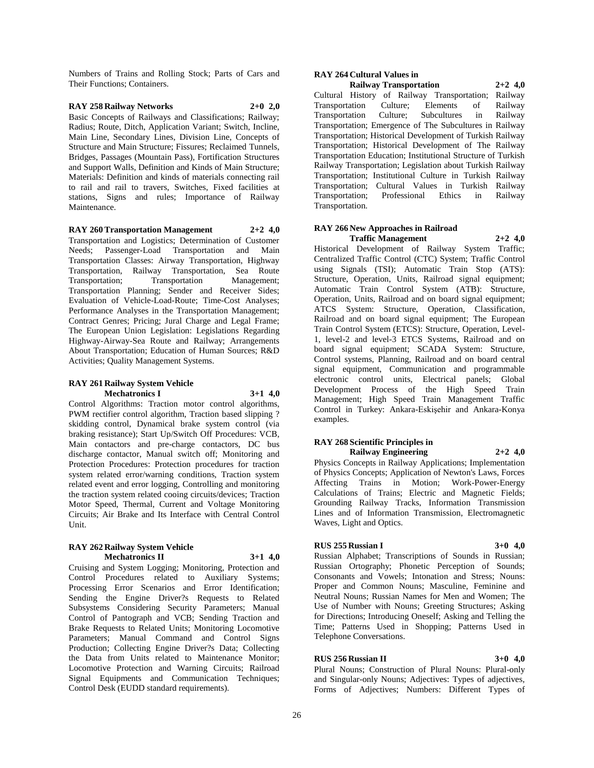Numbers of Trains and Rolling Stock; Parts of Cars and Their Functions; Containers.

## **RAY 258 Railway Networks 2+0 2,0**

Basic Concepts of Railways and Classifications; Railway; Radius; Route, Ditch, Application Variant; Switch, Incline, Main Line, Secondary Lines, Division Line, Concepts of Structure and Main Structure; Fissures; Reclaimed Tunnels, Bridges, Passages (Mountain Pass), Fortification Structures and Support Walls, Definition and Kinds of Main Structure; Materials: Definition and kinds of materials connecting rail to rail and rail to travers, Switches, Fixed facilities at stations, Signs and rules; Importance of Railway Maintenance.

## **RAY 260 Transportation Management 2+2 4,0**

Transportation and Logistics; Determination of Customer Needs; Passenger-Load Transportation and Main Transportation Classes: Airway Transportation, Highway Transportation, Railway Transportation, Sea Route Transportation; Transportation Management; Transportation Planning; Sender and Receiver Sides; Evaluation of Vehicle-Load-Route; Time-Cost Analyses; Performance Analyses in the Transportation Management; Contract Genres; Pricing; Jural Charge and Legal Frame; The European Union Legislation: Legislations Regarding Highway-Airway-Sea Route and Railway; Arrangements About Transportation; Education of Human Sources; R&D Activities; Quality Management Systems.

#### **RAY 261 Railway System Vehicle Mechatronics I 3+1 4,0**

Control Algorithms: Traction motor control algorithms, PWM rectifier control algorithm, Traction based slipping ? skidding control, Dynamical brake system control (via braking resistance); Start Up/Switch Off Procedures: VCB, Main contactors and pre-charge contactors, DC bus discharge contactor, Manual switch off; Monitoring and Protection Procedures: Protection procedures for traction system related error/warning conditions, Traction system related event and error logging, Controlling and monitoring the traction system related cooing circuits/devices; Traction Motor Speed, Thermal, Current and Voltage Monitoring Circuits; Air Brake and Its Interface with Central Control Unit.

#### **RAY 262 Railway System Vehicle Mechatronics II 3+1 4,0**

Cruising and System Logging; Monitoring, Protection and Control Procedures related to Auxiliary Systems; Processing Error Scenarios and Error Identification; Sending the Engine Driver?s Requests to Related Subsystems Considering Security Parameters; Manual Control of Pantograph and VCB; Sending Traction and Brake Requests to Related Units; Monitoring Locomotive Parameters; Manual Command and Control Signs Production; Collecting Engine Driver?s Data; Collecting the Data from Units related to Maintenance Monitor; Locomotive Protection and Warning Circuits; Railroad Signal Equipments and Communication Techniques; Control Desk (EUDD standard requirements).

# **RAY 264 Cultural Values in**

**Railway Transportation 2+2 4,0** Cultural History of Railway Transportation; Railway Transportation Culture; Elements of Railway Transportation Culture; Subcultures in Railway Transportation; Emergence of The Subcultures in Railway Transportation; Historical Development of Turkish Railway Transportation; Historical Development of The Railway Transportation Education; Institutional Structure of Turkish Railway Transportation; Legislation about Turkish Railway Transportation; Institutional Culture in Turkish Railway Transportation; Cultural Values in Turkish Railway Transportation; Professional Ethics in Railway Transportation.

# **RAY 266 New Approaches in Railroad**

**Traffic Management 2+2 4,0** Historical Development of Railway System Traffic; Centralized Traffic Control (CTC) System; Traffic Control using Signals (TSI); Automatic Train Stop (ATS): Structure, Operation, Units, Railroad signal equipment; Automatic Train Control System (ATB): Structure, Operation, Units, Railroad and on board signal equipment; ATCS System: Structure, Operation, Classification, Railroad and on board signal equipment; The European Train Control System (ETCS): Structure, Operation, Level-1, level-2 and level-3 ETCS Systems, Railroad and on board signal equipment; SCADA System: Structure, Control systems, Planning, Railroad and on board central signal equipment, Communication and programmable electronic control units, Electrical panels; Global Development Process of the High Speed Train Management; High Speed Train Management Traffic Control in Turkey: Ankara-Eskişehir and Ankara-Konya examples.

#### **RAY 268 Scientific Principles in Railway Engineering 2+2 4,0**

Physics Concepts in Railway Applications; Implementation of Physics Concepts; Application of Newton's Laws, Forces Affecting Trains in Motion; Work-Power-Energy Calculations of Trains; Electric and Magnetic Fields; Grounding Railway Tracks, Information Transmission Lines and of Information Transmission, Electromagnetic Waves, Light and Optics.

#### **RUS 255 Russian I 3+0 4,0**

Russian Alphabet; Transcriptions of Sounds in Russian; Russian Ortography; Phonetic Perception of Sounds; Consonants and Vowels; Intonation and Stress; Nouns: Proper and Common Nouns; Masculine, Feminine and Neutral Nouns; Russian Names for Men and Women; The Use of Number with Nouns; Greeting Structures; Asking for Directions; Introducing Oneself; Asking and Telling the Time; Patterns Used in Shopping; Patterns Used in Telephone Conversations.

## **RUS 256 Russian II 3+0 4,0**

Plural Nouns; Construction of Plural Nouns: Plural-only and Singular-only Nouns; Adjectives: Types of adjectives, Forms of Adjectives; Numbers: Different Types of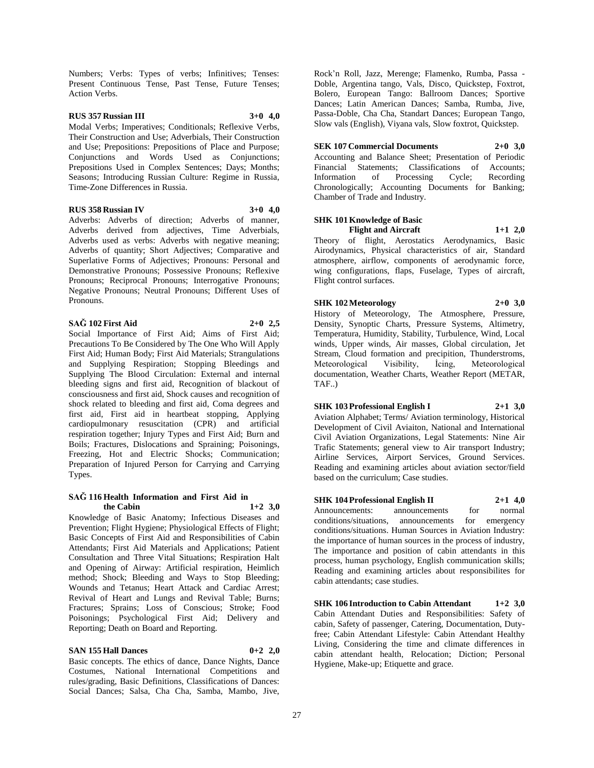Numbers; Verbs: Types of verbs; Infinitives; Tenses: Present Continuous Tense, Past Tense, Future Tenses; Action Verbs.

## **RUS 357 Russian III 3+0 4,0**

Modal Verbs; Imperatives; Conditionals; Reflexive Verbs, Their Construction and Use; Adverbials, Their Construction and Use; Prepositions: Prepositions of Place and Purpose; Conjunctions and Words Used as Conjunctions; Prepositions Used in Complex Sentences; Days; Months; Seasons; Introducing Russian Culture: Regime in Russia, Time-Zone Differences in Russia.

#### **RUS 358 Russian IV 3+0 4,0**

Adverbs: Adverbs of direction; Adverbs of manner, Adverbs derived from adjectives, Time Adverbials, Adverbs used as verbs: Adverbs with negative meaning; Adverbs of quantity; Short Adjectives; Comparative and Superlative Forms of Adjectives; Pronouns: Personal and Demonstrative Pronouns; Possessive Pronouns; Reflexive Pronouns; Reciprocal Pronouns; Interrogative Pronouns; Negative Pronouns; Neutral Pronouns; Different Uses of Pronouns.

#### **SAĞ 102 First Aid 2+0 2,5**

Social Importance of First Aid; Aims of First Aid; Precautions To Be Considered by The One Who Will Apply First Aid; Human Body; First Aid Materials; Strangulations and Supplying Respiration; Stopping Bleedings and Supplying The Blood Circulation: External and internal bleeding signs and first aid, Recognition of blackout of consciousness and first aid, Shock causes and recognition of shock related to bleeding and first aid, Coma degrees and first aid, First aid in heartbeat stopping, Applying cardiopulmonary resuscitation (CPR) and artificial respiration together; Injury Types and First Aid; Burn and Boils; Fractures, Dislocations and Spraining; Poisonings, Freezing, Hot and Electric Shocks; Communication; Preparation of Injured Person for Carrying and Carrying Types.

#### **SAĞ 116 Health Information and First Aid in the Cabin 1+2 3,0**

Knowledge of Basic Anatomy; Infectious Diseases and Prevention; Flight Hygiene; Physiological Effects of Flight; Basic Concepts of First Aid and Responsibilities of Cabin Attendants; First Aid Materials and Applications; Patient Consultation and Three Vital Situations; Respiration Halt and Opening of Airway: Artificial respiration, Heimlich method; Shock; Bleeding and Ways to Stop Bleeding; Wounds and Tetanus; Heart Attack and Cardiac Arrest; Revival of Heart and Lungs and Revival Table; Burns; Fractures; Sprains; Loss of Conscious; Stroke; Food Poisonings; Psychological First Aid; Delivery and Reporting; Death on Board and Reporting.

#### **SAN 155 Hall Dances 0+2 2,0**

Basic concepts. The ethics of dance, Dance Nights, Dance Costumes, National International Competitions and rules/grading, Basic Definitions, Classifications of Dances: Social Dances; Salsa, Cha Cha, Samba, Mambo, Jive,

Rock'n Roll, Jazz, Merenge; Flamenko, Rumba, Passa - Doble, Argentina tango, Vals, Disco, Quickstep, Foxtrot, Bolero, European Tango: Ballroom Dances; Sportive Dances; Latin American Dances; Samba, Rumba, Jive, Passa-Doble, Cha Cha, Standart Dances; European Tango, Slow vals (English), Viyana vals, Slow foxtrot, Quickstep.

## **SEK 107 Commercial Documents 2+0 3,0**

Accounting and Balance Sheet; Presentation of Periodic Financial Statements; Classifications of Accounts; Information of Processing Cycle; Recording Chronologically; Accounting Documents for Banking; Chamber of Trade and Industry.

## **SHK 101 Knowledge of Basic Flight and Aircraft 1+1 2,0**

Theory of flight, Aerostatics Aerodynamics, Basic Airodynamics, Physical characteristics of air, Standard atmosphere, airflow, components of aerodynamic force, wing configurations, flaps, Fuselage, Types of aircraft, Flight control surfaces.

**SHK 102 Meteorology 2+0 3,0** History of Meteorology, The Atmosphere, Pressure, Density, Synoptic Charts, Pressure Systems, Altimetry, Temperatura, Humidity, Stability, Turbulence, Wind, Local winds, Upper winds, Air masses, Global circulation, Jet Stream, Cloud formation and precipition, Thunderstroms, Meteorological Visibility, İcing, Meteorological documentation, Weather Charts, Weather Report (METAR, TAF..)

## **SHK 103 Professional English I 2+1 3,0**

Aviation Alphabet; Terms/ Aviation terminology, Historical Development of Civil Aviaiton, National and International Civil Aviation Organizations, Legal Statements: Nine Air Trafic Statements; general view to Air transport Industry; Airline Services, Airport Services, Ground Services. Reading and examining articles about aviation sector/field based on the curriculum; Case studies.

## **SHK 104 Professional English II 2+1 4,0**

Announcements: announcements for normal conditions/situations, announcements for emergency conditions/situations. Human Sources in Aviation Industry: the importance of human sources in the process of industry, The importance and position of cabin attendants in this process, human psychology, English communication skills; Reading and examining articles about responsibilites for cabin attendants; case studies.

**SHK 106 Introduction to Cabin Attendant 1+2 3,0** Cabin Attendant Duties and Responsibilities: Safety of cabin, Safety of passenger, Catering, Documentation, Dutyfree; Cabin Attendant Lifestyle: Cabin Attendant Healthy Living, Considering the time and climate differences in cabin attendant health, Relocation; Diction; Personal Hygiene, Make-up; Etiquette and grace.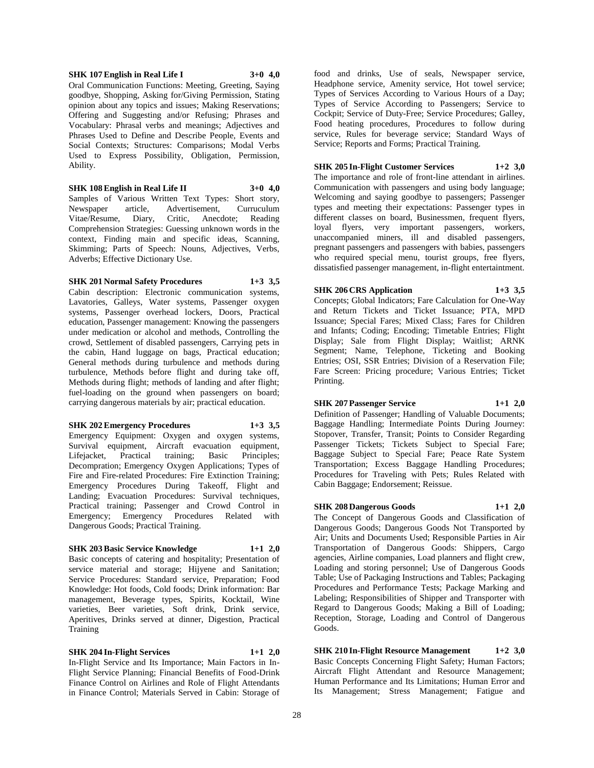#### **SHK 107 English in Real Life I 3+0 4,0**

Oral Communication Functions: Meeting, Greeting, Saying goodbye, Shopping, Asking for/Giving Permission, Stating opinion about any topics and issues; Making Reservations; Offering and Suggesting and/or Refusing; Phrases and Vocabulary: Phrasal verbs and meanings; Adjectives and Phrases Used to Define and Describe People, Events and Social Contexts; Structures: Comparisons; Modal Verbs Used to Express Possibility, Obligation, Permission, Ability.

**SHK 108 English in Real Life II 3+0 4,0**

Samples of Various Written Text Types: Short story, Newspaper article, Advertisement, Curruculum Vitae/Resume, Diary, Critic, Anecdote; Reading Comprehension Strategies: Guessing unknown words in the context, Finding main and specific ideas, Scanning, Skimming; Parts of Speech: Nouns, Adjectives, Verbs, Adverbs; Effective Dictionary Use.

## **SHK 201 Normal Safety Procedures 1+3 3,5**

Cabin description: Electronic communication systems, Lavatories, Galleys, Water systems, Passenger oxygen systems, Passenger overhead lockers, Doors, Practical education, Passenger management: Knowing the passengers under medication or alcohol and methods, Controlling the crowd, Settlement of disabled passengers, Carrying pets in the cabin, Hand luggage on bags, Practical education; General methods during turbulence and methods during turbulence, Methods before flight and during take off, Methods during flight; methods of landing and after flight; fuel-loading on the ground when passengers on board; carrying dangerous materials by air; practical education.

#### **SHK 202 Emergency Procedures 1+3 3,5**

Emergency Equipment: Oxygen and oxygen systems, Survival equipment, Aircraft evacuation equipment, Lifejacket, Practical training; Basic Principles; Decompration; Emergency Oxygen Applications; Types of Fire and Fire-related Procedures: Fire Extinction Training; Emergency Procedures During Takeoff, Flight and Landing; Evacuation Procedures: Survival techniques, Practical training; Passenger and Crowd Control in Emergency; Emergency Procedures Related with Dangerous Goods; Practical Training.

## **SHK 203 Basic Service Knowledge 1+1 2,0**

Basic concepts of catering and hospitality; Presentation of service material and storage; Hijyene and Sanitation; Service Procedures: Standard service, Preparation; Food Knowledge: Hot foods, Cold foods; Drink information: Bar management, Beverage types, Spirits, Kocktail, Wine varieties, Beer varieties, Soft drink, Drink service, Aperitives, Drinks served at dinner, Digestion, Practical Training

#### **SHK 204 In-Flight Services 1+1 2,0**

In-Flight Service and Its Importance; Main Factors in In-Flight Service Planning; Financial Benefits of Food-Drink Finance Control on Airlines and Role of Flight Attendants in Finance Control; Materials Served in Cabin: Storage of

food and drinks, Use of seals, Newspaper service, Headphone service, Amenity service, Hot towel service; Types of Services According to Various Hours of a Day; Types of Service According to Passengers; Service to Cockpit; Service of Duty-Free; Service Procedures; Galley, Food heating procedures, Procedures to follow during service, Rules for beverage service; Standard Ways of Service; Reports and Forms; Practical Training.

## **SHK 205 In-Flight Customer Services 1+2 3,0**

The importance and role of front-line attendant in airlines. Communication with passengers and using body language; Welcoming and saying goodbye to passengers; Passenger types and meeting their expectations: Passenger types in different classes on board, Businessmen, frequent flyers, loyal flyers, very important passengers, workers, unaccompanied miners, ill and disabled passengers, pregnant passengers and passengers with babies, passengers who required special menu, tourist groups, free flyers, dissatisfied passenger management, in-flight entertaintment.

**SHK 206 CRS Application 1+3 3,5** Concepts; Global Indicators; Fare Calculation for One-Way and Return Tickets and Ticket Issuance; PTA, MPD Issuance; Special Fares; Mixed Class; Fares for Children and Infants; Coding; Encoding; Timetable Entries; Flight Display; Sale from Flight Display; Waitlist; ARNK Segment; Name, Telephone, Ticketing and Booking Entries; OSI, SSR Entries; Division of a Reservation File; Fare Screen: Pricing procedure; Various Entries; Ticket Printing.

#### **SHK 207 Passenger Service 1+1 2,0**

Definition of Passenger; Handling of Valuable Documents; Baggage Handling; Intermediate Points During Journey: Stopover, Transfer, Transit; Points to Consider Regarding Passenger Tickets; Tickets Subject to Special Fare; Baggage Subject to Special Fare; Peace Rate System Transportation; Excess Baggage Handling Procedures; Procedures for Traveling with Pets; Rules Related with Cabin Baggage; Endorsement; Reissue.

## **SHK 208 Dangerous Goods 1+1 2,0**

The Concept of Dangerous Goods and Classification of Dangerous Goods; Dangerous Goods Not Transported by Air; Units and Documents Used; Responsible Parties in Air Transportation of Dangerous Goods: Shippers, Cargo agencies, Airline companies, Load planners and flight crew, Loading and storing personnel; Use of Dangerous Goods Table; Use of Packaging Instructions and Tables; Packaging Procedures and Performance Tests; Package Marking and Labeling; Responsibilities of Shipper and Transporter with Regard to Dangerous Goods; Making a Bill of Loading; Reception, Storage, Loading and Control of Dangerous Goods.

**SHK 210 In-Flight Resource Management 1+2 3,0** Basic Concepts Concerning Flight Safety; Human Factors; Aircraft Flight Attendant and Resource Management; Human Performance and Its Limitations; Human Error and Its Management; Stress Management; Fatigue and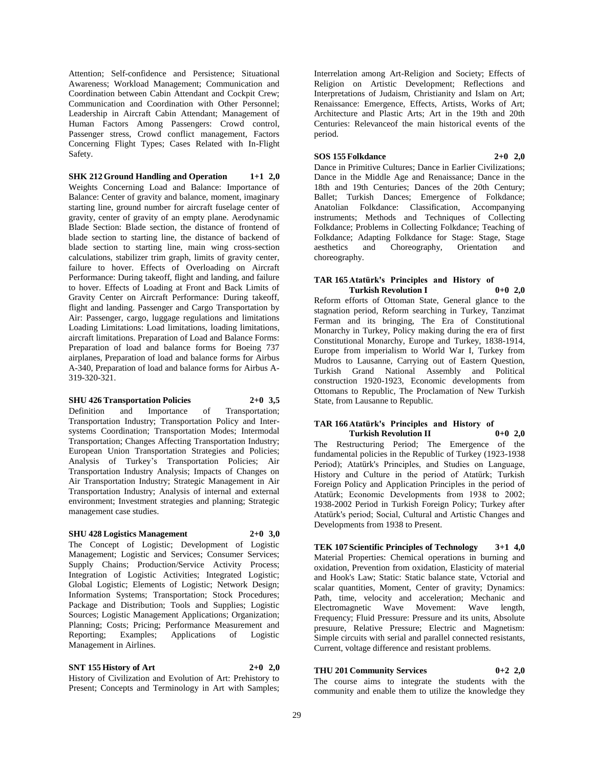Attention; Self-confidence and Persistence; Situational Awareness; Workload Management; Communication and Coordination between Cabin Attendant and Cockpit Crew; Communication and Coordination with Other Personnel; Leadership in Aircraft Cabin Attendant; Management of Human Factors Among Passengers: Crowd control, Passenger stress, Crowd conflict management, Factors Concerning Flight Types; Cases Related with In-Flight Safety.

**SHK 212 Ground Handling and Operation 1+1 2,0** Weights Concerning Load and Balance: Importance of Balance: Center of gravity and balance, moment, imaginary starting line, ground number for aircraft fuselage center of gravity, center of gravity of an empty plane. Aerodynamic Blade Section: Blade section, the distance of frontend of blade section to starting line, the distance of backend of blade section to starting line, main wing cross-section calculations, stabilizer trim graph, limits of gravity center, failure to hover. Effects of Overloading on Aircraft Performance: During takeoff, flight and landing, and failure to hover. Effects of Loading at Front and Back Limits of Gravity Center on Aircraft Performance: During takeoff, flight and landing. Passenger and Cargo Transportation by Air: Passenger, cargo, luggage regulations and limitations Loading Limitations: Load limitations, loading limitations, aircraft limitations. Preparation of Load and Balance Forms: Preparation of load and balance forms for Boeing 737 airplanes, Preparation of load and balance forms for Airbus A-340, Preparation of load and balance forms for Airbus A-319-320-321.

## **SHU 426 Transportation Policies 2+0 3,5**

Definition and Importance of Transportation; Transportation Industry; Transportation Policy and Intersystems Coordination; Transportation Modes; Intermodal Transportation; Changes Affecting Transportation Industry; European Union Transportation Strategies and Policies; Analysis of Turkey's Transportation Policies; Air Transportation Industry Analysis; Impacts of Changes on Air Transportation Industry; Strategic Management in Air Transportation Industry; Analysis of internal and external environment; Investment strategies and planning; Strategic management case studies.

## **SHU 428 Logistics Management 2+0 3,0**

The Concept of Logistic; Development of Logistic Management; Logistic and Services; Consumer Services; Supply Chains; Production/Service Activity Process; Integration of Logistic Activities; Integrated Logistic; Global Logistic; Elements of Logistic; Network Design; Information Systems; Transportation; Stock Procedures; Package and Distribution; Tools and Supplies; Logistic Sources; Logistic Management Applications; Organization; Planning; Costs; Pricing; Performance Measurement and Reporting; Examples; Applications of Logistic Management in Airlines.

**SNT 155 History of Art 2+0 2,0** History of Civilization and Evolution of Art: Prehistory to Present; Concepts and Terminology in Art with Samples;

Interrelation among Art-Religion and Society; Effects of Religion on Artistic Development; Reflections and Interpretations of Judaism, Christianity and Islam on Art; Renaissance: Emergence, Effects, Artists, Works of Art; Architecture and Plastic Arts; Art in the 19th and 20th Centuries: Relevanceof the main historical events of the period.

## **SOS 155 Folkdance 2+0 2,0**

Dance in Primitive Cultures; Dance in Earlier Civilizations; Dance in the Middle Age and Renaissance; Dance in the 18th and 19th Centuries; Dances of the 20th Century; Ballet; Turkish Dances; Emergence of Folkdance; Anatolian Folkdance: Classification, Accompanying instruments; Methods and Techniques of Collecting Folkdance; Problems in Collecting Folkdance; Teaching of Folkdance; Adapting Folkdance for Stage: Stage, Stage aesthetics and Choreography, Orientation and choreography.

#### **TAR 165 Atatürk's Principles and History of Turkish Revolution I 0+0 2,0**

Reform efforts of Ottoman State, General glance to the stagnation period, Reform searching in Turkey, Tanzimat Ferman and its bringing, The Era of Constitutional Monarchy in Turkey, Policy making during the era of first Constitutional Monarchy, Europe and Turkey, 1838-1914, Europe from imperialism to World War I, Turkey from Mudros to Lausanne, Carrying out of Eastern Question, Turkish Grand National Assembly and Political construction 1920-1923, Economic developments from Ottomans to Republic, The Proclamation of New Turkish State, from Lausanne to Republic.

## **TAR 166 Atatürk's Principles and History of Turkish Revolution II 0+0 2,0**

The Restructuring Period; The Emergence of the fundamental policies in the Republic of Turkey (1923-1938 Period); Atatürk's Principles, and Studies on Language, History and Culture in the period of Atatürk; Turkish Foreign Policy and Application Principles in the period of Atatürk; Economic Developments from 1938 to 2002; 1938-2002 Period in Turkish Foreign Policy; Turkey after Atatürk's period; Social, Cultural and Artistic Changes and Developments from 1938 to Present.

**TEK 107 Scientific Principles of Technology 3+1 4,0** Material Properties: Chemical operations in burning and oxidation, Prevention from oxidation, Elasticity of material and Hook's Law; Static: Static balance state, Vctorial and scalar quantities, Moment, Center of gravity; Dynamics: Path, time, velocity and acceleration; Mechanic and Electromagnetic Wave Movement: Wave length, Frequency; Fluid Pressure: Pressure and its units, Absolute presuure, Relative Pressure; Electric and Magnetism: Simple circuits with serial and parallel connected resistants, Current, voltage difference and resistant problems.

## **THU 201 Community Services 0+2 2,0**

The course aims to integrate the students with the community and enable them to utilize the knowledge they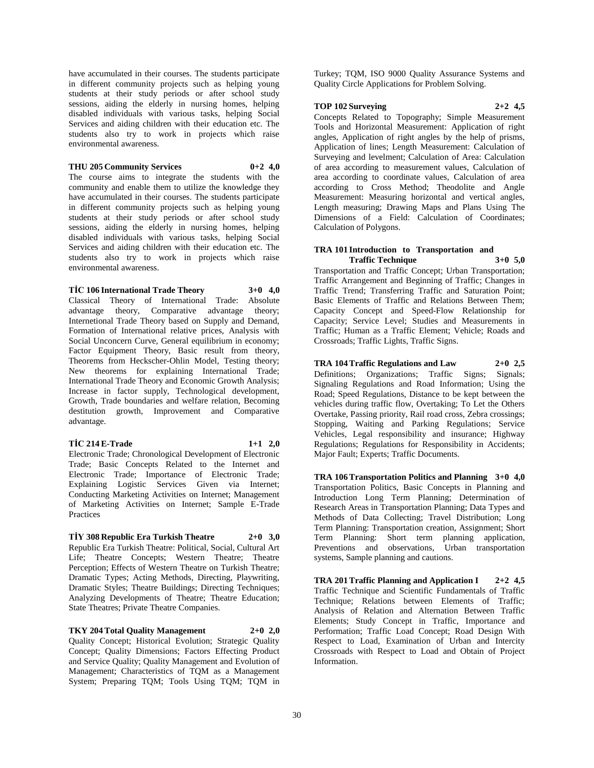have accumulated in their courses. The students participate in different community projects such as helping young students at their study periods or after school study sessions, aiding the elderly in nursing homes, helping disabled individuals with various tasks, helping Social Services and aiding children with their education etc. The students also try to work in projects which raise environmental awareness.

#### **THU 205 Community Services 0+2 4,0**

The course aims to integrate the students with the community and enable them to utilize the knowledge they have accumulated in their courses. The students participate in different community projects such as helping young students at their study periods or after school study sessions, aiding the elderly in nursing homes, helping disabled individuals with various tasks, helping Social Services and aiding children with their education etc. The students also try to work in projects which raise environmental awareness.

**TİC 106 International Trade Theory 3+0 4,0**

Classical Theory of International Trade: Absolute advantage theory, Comparative advantage theory; Internetional Trade Theory based on Supply and Demand, Formation of International relative prices, Analysis with Social Unconcern Curve, General equilibrium in economy; Factor Equipment Theory, Basic result from theory, Theorems from Heckscher-Ohlin Model, Testing theory; New theorems for explaining International Trade; International Trade Theory and Economic Growth Analysis; Increase in factor supply, Technological development, Growth, Trade boundaries and welfare relation, Becoming destitution growth, Improvement and Comparative advantage.

#### **TİC 214 E-Trade 1+1 2,0**

Electronic Trade; Chronological Development of Electronic Trade; Basic Concepts Related to the Internet and Electronic Trade; Importance of Electronic Trade; Explaining Logistic Services Given via Internet; Conducting Marketing Activities on Internet; Management of Marketing Activities on Internet; Sample E-Trade Practices

**TİY 308 Republic Era Turkish Theatre 2+0 3,0** Republic Era Turkish Theatre: Political, Social, Cultural Art Life; Theatre Concepts; Western Theatre; Theatre Perception; Effects of Western Theatre on Turkish Theatre; Dramatic Types; Acting Methods, Directing, Playwriting, Dramatic Styles; Theatre Buildings; Directing Techniques; Analyzing Developments of Theatre; Theatre Education; State Theatres; Private Theatre Companies.

# **TKY 204 Total Quality Management 2+0 2,0**

Quality Concept; Historical Evolution; Strategic Quality Concept; Quality Dimensions; Factors Effecting Product and Service Quality; Quality Management and Evolution of Management; Characteristics of TQM as a Management System; Preparing TQM; Tools Using TQM; TQM in

Turkey; TQM, ISO 9000 Quality Assurance Systems and Quality Circle Applications for Problem Solving.

## **TOP 102 Surveying 2+2 4,5**

Concepts Related to Topography; Simple Measurement Tools and Horizontal Measurement: Application of right angles, Application of right angles by the help of prisms, Application of lines; Length Measurement: Calculation of Surveying and levelment; Calculation of Area: Calculation of area according to measurement values, Calculation of area according to coordinate values, Calculation of area according to Cross Method; Theodolite and Angle Measurement: Measuring horizontal and vertical angles, Length measuring; Drawing Maps and Plans Using The Dimensions of a Field: Calculation of Coordinates; Calculation of Polygons.

#### **TRA 101 Introduction to Transportation and Traffic Technique 3+0 5,0**

Transportation and Traffic Concept; Urban Transportation; Traffic Arrangement and Beginning of Traffic; Changes in Traffic Trend; Transferring Traffic and Saturation Point; Basic Elements of Traffic and Relations Between Them; Capacity Concept and Speed-Flow Relationship for Capacity; Service Level; Studies and Measurements in Traffic; Human as a Traffic Element; Vehicle; Roads and Crossroads; Traffic Lights, Traffic Signs.

**TRA 104 Traffic Regulations and Law 2+0 2,5** Definitions; Organizations; Traffic Signs; Signals; Signaling Regulations and Road Information; Using the Road; Speed Regulations, Distance to be kept between the vehicles during traffic flow, Overtaking; To Let the Others Overtake, Passing priority, Rail road cross, Zebra crossings; Stopping, Waiting and Parking Regulations; Service Vehicles, Legal responsibility and insurance; Highway Regulations; Regulations for Responsibility in Accidents; Major Fault; Experts; Traffic Documents.

**TRA 106 Transportation Politics and Planning 3+0 4,0** Transportation Politics, Basic Concepts in Planning and Introduction Long Term Planning; Determination of Research Areas in Transportation Planning; Data Types and Methods of Data Collecting; Travel Distribution; Long Term Planning: Transportation creation, Assignment; Short Term Planning: Short term planning application, Preventions and observations, Urban transportation systems, Sample planning and cautions.

**TRA 201 Traffic Planning and Application I 2+2 4,5** Traffic Technique and Scientific Fundamentals of Traffic Technique; Relations between Elements of Traffic; Analysis of Relation and Alternation Between Traffic Elements; Study Concept in Traffic, Importance and Performation; Traffic Load Concept; Road Design With Respect to Load, Examination of Urban and Intercity Crossroads with Respect to Load and Obtain of Project Information.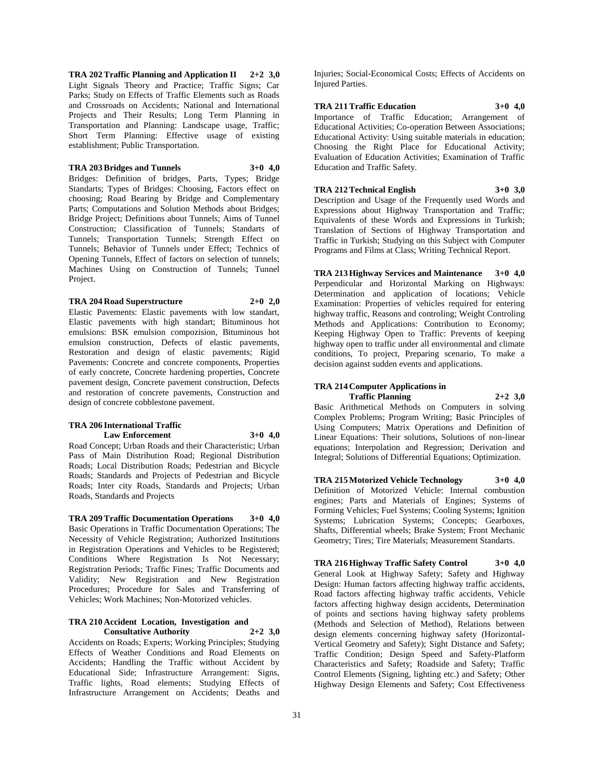**TRA 202 Traffic Planning and Application II 2+2 3,0** Light Signals Theory and Practice; Traffic Signs; Car Parks; Study on Effects of Traffic Elements such as Roads and Crossroads on Accidents; National and International Projects and Their Results; Long Term Planning in Transportation and Planning: Landscape usage, Traffic; Short Term Planning: Effective usage of existing establishment; Public Transportation.

#### **TRA 203 Bridges and Tunnels 3+0 4,0**

Bridges: Definition of bridges, Parts, Types; Bridge Standarts; Types of Bridges: Choosing, Factors effect on choosing; Road Bearing by Bridge and Complementary Parts; Computations and Solution Methods about Bridges; Bridge Project; Definitions about Tunnels; Aims of Tunnel Construction; Classification of Tunnels; Standarts of Tunnels; Transportation Tunnels; Strength Effect on Tunnels; Behavior of Tunnels under Effect; Technics of Opening Tunnels, Effect of factors on selection of tunnels; Machines Using on Construction of Tunnels; Tunnel Project.

#### **TRA 204 Road Superstructure 2+0 2,0**

Elastic Pavements: Elastic pavements with low standart, Elastic pavements with high standart; Bituminous hot emulsions: BSK emulsion compozision, Bituminous hot emulsion construction, Defects of elastic pavements, Restoration and design of elastic pavements; Rigid Pavements: Concrete and concrete components, Properties of early concrete, Concrete hardening properties, Concrete pavement design, Concrete pavement construction, Defects and restoration of concrete pavements, Construction and design of concrete cobblestone pavement.

#### **TRA 206 International Traffic Law Enforcement 3+0 4,0**

Road Concept; Urban Roads and their Characteristic; Urban Pass of Main Distribution Road; Regional Distribution Roads; Local Distribution Roads; Pedestrian and Bicycle Roads; Standards and Projects of Pedestrian and Bicycle Roads; Inter city Roads, Standards and Projects; Urban Roads, Standards and Projects

**TRA 209 Traffic Documentation Operations 3+0 4,0** Basic Operations in Traffic Documentation Operations; The Necessity of Vehicle Registration; Authorized Institutions in Registration Operations and Vehicles to be Registered; Conditions Where Registration Is Not Necessary; Registration Periods; Traffic Fines; Traffic Documents and Validity; New Registration and New Registration Procedures; Procedure for Sales and Transferring of Vehicles; Work Machines; Non-Motorized vehicles.

#### **TRA 210 Accident Location, Investigation and Consultative Authority 2+2 3,0**

Accidents on Roads; Experts; Working Principles; Studying Effects of Weather Conditions and Road Elements on Accidents; Handling the Traffic without Accident by Educational Side; Infrastructure Arrangement: Signs, Traffic lights, Road elements; Studying Effects of Infrastructure Arrangement on Accidents; Deaths and

Injuries; Social-Economical Costs; Effects of Accidents on Injured Parties.

## **TRA 211 Traffic Education 3+0 4,0**

Importance of Traffic Education; Arrangement of Educational Activities; Co-operation Between Associations; Educational Activity: Using suitable materials in education; Choosing the Right Place for Educational Activity; Evaluation of Education Activities; Examination of Traffic Education and Traffic Safety.

## **TRA 212 Technical English 3+0 3,0** Description and Usage of the Frequently used Words and Expressions about Highway Transportation and Traffic;

Equivalents of these Words and Expressions in Turkish; Translation of Sections of Highway Transportation and Traffic in Turkish; Studying on this Subject with Computer Programs and Films at Class; Writing Technical Report.

**TRA 213 Highway Services and Maintenance 3+0 4,0** Perpendicular and Horizontal Marking on Highways: Determination and application of locations; Vehicle Examination: Properties of vehicles required for entering highway traffic, Reasons and controling; Weight Controling Methods and Applications: Contribution to Economy; Keeping Highway Open to Traffic: Prevents of keeping highway open to traffic under all environmental and climate conditions, To project, Preparing scenario, To make a decision against sudden events and applications.

## **TRA 214 Computer Applications in Traffic Planning 2+2 3,0**

Basic Arithmetical Methods on Computers in solving Complex Problems; Program Writing; Basic Principles of Using Computers; Matrix Operations and Definition of Linear Equations: Their solutions, Solutions of non-linear equations; Interpolation and Regression; Derivation and Integral; Solutions of Differential Equations; Optimization.

**TRA 215 Motorized Vehicle Technology 3+0 4,0** Definition of Motorized Vehicle: Internal combustion engines; Parts and Materials of Engines; Systems of Forming Vehicles; Fuel Systems; Cooling Systems; Ignition Systems; Lubrication Systems; Concepts; Gearboxes, Shafts, Differential wheels; Brake System; Front Mechanic Geometry; Tires; Tire Materials; Measurement Standarts.

**TRA 216 Highway Traffic Safety Control 3+0 4,0** General Look at Highway Safety; Safety and Highway Design: Human factors affecting highway traffic accidents, Road factors affecting highway traffic accidents, Vehicle factors affecting highway design accidents, Determination of points and sections having highway safety problems (Methods and Selection of Method), Relations between design elements concerning highway safety (Horizontal-Vertical Geometry and Safety); Sight Distance and Safety; Traffic Condition; Design Speed and Safety-Platform Characteristics and Safety; Roadside and Safety; Traffic Control Elements (Signing, lighting etc.) and Safety; Other Highway Design Elements and Safety; Cost Effectiveness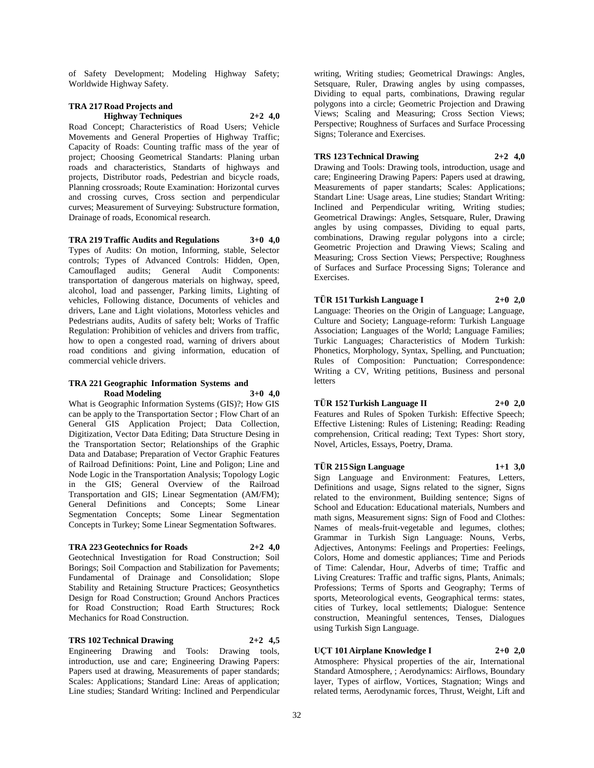of Safety Development; Modeling Highway Safety; Worldwide Highway Safety.

## **TRA 217 Road Projects and Highway Techniques 2+2 4,0** Road Concept; Characteristics of Road Users; Vehicle

Movements and General Properties of Highway Traffic; Capacity of Roads: Counting traffic mass of the year of project; Choosing Geometrical Standarts: Planing urban roads and characteristics, Standarts of highways and projects, Distributor roads, Pedestrian and bicycle roads, Planning crossroads; Route Examination: Horizontal curves and crossing curves, Cross section and perpendicular curves; Measurement of Surveying: Substructure formation, Drainage of roads, Economical research.

**TRA 219 Traffic Audits and Regulations 3+0 4,0** Types of Audits: On motion, Informing, stable, Selector controls; Types of Advanced Controls: Hidden, Open, Camouflaged audits; General Audit Components: transportation of dangerous materials on highway, speed, alcohol, load and passenger, Parking limits, Lighting of vehicles, Following distance, Documents of vehicles and drivers, Lane and Light violations, Motorless vehicles and Pedestrians audits, Audits of safety belt; Works of Traffic Regulation: Prohibition of vehicles and drivers from traffic, how to open a congested road, warning of drivers about road conditions and giving information, education of commercial vehicle drivers.

#### **TRA 221 Geographic Information Systems and Road Modeling 3+0 4,0**

What is Geographic Information Systems (GIS)?; How GIS can be apply to the Transportation Sector ; Flow Chart of an General GIS Application Project; Data Collection, Digitization, Vector Data Editing; Data Structure Desing in the Transportation Sector; Relationships of the Graphic Data and Database; Preparation of Vector Graphic Features of Railroad Definitions: Point, Line and Poligon; Line and Node Logic in the Transportation Analysis; Topology Logic in the GIS; General Overview of the Railroad Transportation and GIS; Linear Segmentation (AM/FM); General Definitions and Concepts; Some Linear Segmentation Concepts; Some Linear Segmentation Concepts in Turkey; Some Linear Segmentation Softwares.

## **TRA 223 Geotechnics for Roads 2+2 4,0**

Geotechnical Investigation for Road Construction; Soil Borings; Soil Compaction and Stabilization for Pavements; Fundamental of Drainage and Consolidation; Slope Stability and Retaining Structure Practices; Geosynthetics Design for Road Construction; Ground Anchors Practices for Road Construction; Road Earth Structures; Rock Mechanics for Road Construction.

## **TRS 102 Technical Drawing 2+2 4,5**

Engineering Drawing and Tools: Drawing tools, introduction, use and care; Engineering Drawing Papers: Papers used at drawing, Measurements of paper standards; Scales: Applications; Standard Line: Areas of application; Line studies; Standard Writing: Inclined and Perpendicular

writing, Writing studies; Geometrical Drawings: Angles, Setsquare, Ruler, Drawing angles by using compasses, Dividing to equal parts, combinations, Drawing regular polygons into a circle; Geometric Projection and Drawing Views; Scaling and Measuring; Cross Section Views; Perspective; Roughness of Surfaces and Surface Processing Signs; Tolerance and Exercises.

## **TRS 123 Technical Drawing 2+2 4,0**

Drawing and Tools: Drawing tools, introduction, usage and care; Engineering Drawing Papers: Papers used at drawing, Measurements of paper standarts; Scales: Applications; Standart Line: Usage areas, Line studies; Standart Writing: Inclined and Perpendicular writing, Writing studies; Geometrical Drawings: Angles, Setsquare, Ruler, Drawing angles by using compasses, Dividing to equal parts, combinations, Drawing regular polygons into a circle; Geometric Projection and Drawing Views; Scaling and Measuring; Cross Section Views; Perspective; Roughness of Surfaces and Surface Processing Signs; Tolerance and Exercises.

# **TÜR 151 Turkish Language I 2+0 2,0**

Language: Theories on the Origin of Language; Language, Culture and Society; Language-reform: Turkish Language Association; Languages of the World; Language Families; Turkic Languages; Characteristics of Modern Turkish: Phonetics, Morphology, Syntax, Spelling, and Punctuation; Rules of Composition: Punctuation; Correspondence: Writing a CV, Writing petitions, Business and personal letters

## **TÜR 152 Turkish Language II 2+0 2,0**

Features and Rules of Spoken Turkish: Effective Speech; Effective Listening: Rules of Listening; Reading: Reading comprehension, Critical reading; Text Types: Short story, Novel, Articles, Essays, Poetry, Drama.

# **TÜR 215 Sign Language 1+1 3,0**

Sign Language and Environment: Features, Letters, Definitions and usage, Signs related to the signer, Signs related to the environment, Building sentence; Signs of School and Education: Educational materials, Numbers and math signs, Measurement signs: Sign of Food and Clothes: Names of meals-fruit-vegetable and legumes, clothes; Grammar in Turkish Sign Language: Nouns, Verbs, Adjectives, Antonyms: Feelings and Properties: Feelings, Colors, Home and domestic appliances; Time and Periods of Time: Calendar, Hour, Adverbs of time; Traffic and Living Creatures: Traffic and traffic signs, Plants, Animals; Professions; Terms of Sports and Geography; Terms of sports, Meteorological events, Geographical terms: states, cities of Turkey, local settlements; Dialogue: Sentence construction, Meaningful sentences, Tenses, Dialogues using Turkish Sign Language.

## **UÇT 101 Airplane Knowledge I 2+0 2,0**

Atmosphere: Physical properties of the air, International Standard Atmosphere, ; Aerodynamics: Airflows, Boundary layer, Types of airflow, Vortices, Stagnation; Wings and related terms, Aerodynamic forces, Thrust, Weight, Lift and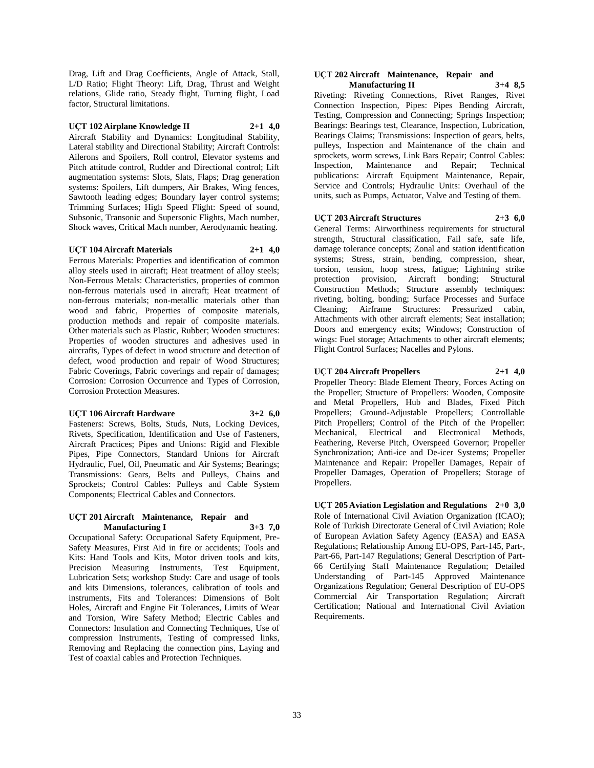Drag, Lift and Drag Coefficients, Angle of Attack, Stall, L/D Ratio; Flight Theory: Lift, Drag, Thrust and Weight relations, Glide ratio, Steady flight, Turning flight, Load factor, Structural limitations.

## **UÇT 102 Airplane Knowledge II 2+1 4,0**

Aircraft Stability and Dynamics: Longitudinal Stability, Lateral stability and Directional Stability; Aircraft Controls: Ailerons and Spoilers, Roll control, Elevator systems and Pitch attitude control, Rudder and Directional control; Lift augmentation systems: Slots, Slats, Flaps; Drag generation systems: Spoilers, Lift dumpers, Air Brakes, Wing fences, Sawtooth leading edges; Boundary layer control systems; Trimming Surfaces; High Speed Flight: Speed of sound, Subsonic, Transonic and Supersonic Flights, Mach number, Shock waves, Critical Mach number, Aerodynamic heating.

#### **UÇT 104 Aircraft Materials 2+1 4,0**

Ferrous Materials: Properties and identification of common alloy steels used in aircraft; Heat treatment of alloy steels; Non-Ferrous Metals: Characteristics, properties of common non-ferrous materials used in aircraft; Heat treatment of non-ferrous materials; non-metallic materials other than wood and fabric, Properties of composite materials, production methods and repair of composite materials. Other materials such as Plastic, Rubber; Wooden structures: Properties of wooden structures and adhesives used in aircrafts, Types of defect in wood structure and detection of defect, wood production and repair of Wood Structures; Fabric Coverings, Fabric coverings and repair of damages; Corrosion: Corrosion Occurrence and Types of Corrosion, Corrosion Protection Measures.

#### **UÇT 106 Aircraft Hardware 3+2 6,0**

Fasteners: Screws, Bolts, Studs, Nuts, Locking Devices, Rivets, Specification, Identification and Use of Fasteners, Aircraft Practices; Pipes and Unions: Rigid and Flexible Pipes, Pipe Connectors, Standard Unions for Aircraft Hydraulic, Fuel, Oil, Pneumatic and Air Systems; Bearings; Transmissions: Gears, Belts and Pulleys, Chains and Sprockets; Control Cables: Pulleys and Cable System Components; Electrical Cables and Connectors.

#### **UÇT 201 Aircraft Maintenance, Repair and Manufacturing I 3+3 7,0**

Occupational Safety: Occupational Safety Equipment, Pre-Safety Measures, First Aid in fire or accidents; Tools and Kits: Hand Tools and Kits, Motor driven tools and kits, Precision Measuring Instruments, Test Equipment, Lubrication Sets; workshop Study: Care and usage of tools and kits Dimensions, tolerances, calibration of tools and instruments, Fits and Tolerances: Dimensions of Bolt Holes, Aircraft and Engine Fit Tolerances, Limits of Wear and Torsion, Wire Safety Method; Electric Cables and Connectors: Insulation and Connecting Techniques, Use of compression Instruments, Testing of compressed links, Removing and Replacing the connection pins, Laying and Test of coaxial cables and Protection Techniques.

#### **UÇT 202 Aircraft Maintenance, Repair and Manufacturing II 3+4 8,5**

Riveting: Riveting Connections, Rivet Ranges, Rivet Connection Inspection, Pipes: Pipes Bending Aircraft, Testing, Compression and Connecting; Springs Inspection; Bearings: Bearings test, Clearance, Inspection, Lubrication, Bearings Claims; Transmissions: Inspection of gears, belts, pulleys, Inspection and Maintenance of the chain and sprockets, worm screws, Link Bars Repair; Control Cables: Inspection, Maintenance and Repair; Technical publications: Aircraft Equipment Maintenance, Repair, Service and Controls; Hydraulic Units: Overhaul of the units, such as Pumps, Actuator, Valve and Testing of them.

#### **UÇT 203 Aircraft Structures 2+3 6,0**

General Terms: Airworthiness requirements for structural strength, Structural classification, Fail safe, safe life, damage tolerance concepts; Zonal and station identification systems; Stress, strain, bending, compression, shear, torsion, tension, hoop stress, fatigue; Lightning strike protection provision, Aircraft bonding; Structural Construction Methods; Structure assembly techniques: riveting, bolting, bonding; Surface Processes and Surface Cleaning; Airframe Structures: Pressurized cabin, Attachments with other aircraft elements; Seat installation; Doors and emergency exits; Windows; Construction of wings: Fuel storage; Attachments to other aircraft elements; Flight Control Surfaces; Nacelles and Pylons.

## **UÇT 204 Aircraft Propellers 2+1 4,0**

Propeller Theory: Blade Element Theory, Forces Acting on the Propeller; Structure of Propellers: Wooden, Composite and Metal Propellers, Hub and Blades, Fixed Pitch Propellers; Ground-Adjustable Propellers; Controllable Pitch Propellers; Control of the Pitch of the Propeller: Mechanical, Electrical and Electronical Methods, Feathering, Reverse Pitch, Overspeed Governor; Propeller Synchronization; Anti-ice and De-icer Systems; Propeller Maintenance and Repair: Propeller Damages, Repair of Propeller Damages, Operation of Propellers; Storage of Propellers.

**UÇT 205 Aviation Legislation and Regulations 2+0 3,0** Role of International Civil Aviation Organization (ICAO); Role of Turkish Directorate General of Civil Aviation; Role of European Aviation Safety Agency (EASA) and EASA Regulations; Relationship Among EU-OPS, Part-145, Part-, Part-66, Part-147 Regulations; General Description of Part-66 Certifying Staff Maintenance Regulation; Detailed Understanding of Part-145 Approved Maintenance Organizations Regulation; General Description of EU-OPS Commercial Air Transportation Regulation; Aircraft Certification; National and International Civil Aviation Requirements.